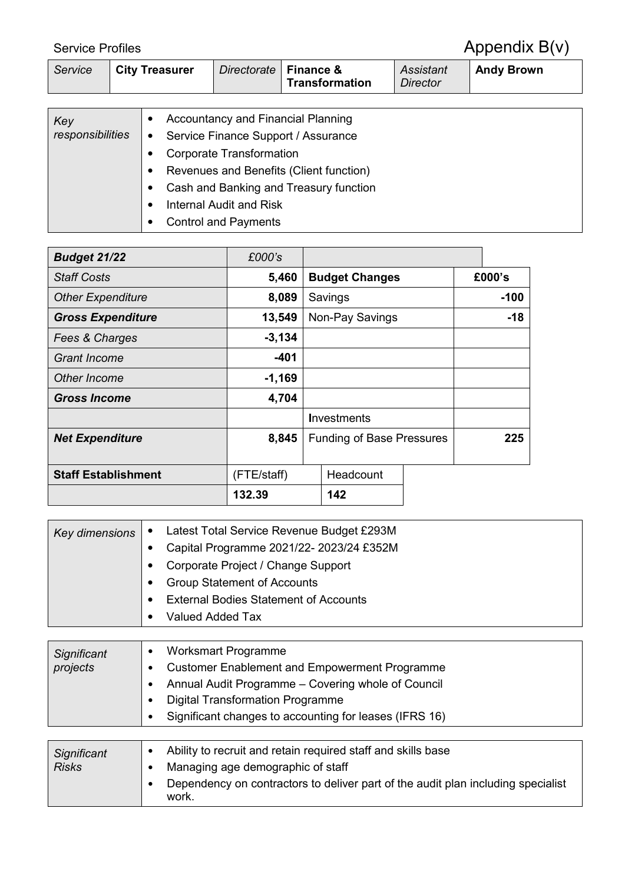## Service Profiles **Appendix B(v)** Service Profiles

| Service                 | <b>City Treasurer</b> |                        | <b>Directorate</b>                                                                               | <b>Finance &amp;</b><br><b>Transformation</b>                                                                                                                  | Assistant<br><b>Director</b> | <b>Andy Brown</b> |
|-------------------------|-----------------------|------------------------|--------------------------------------------------------------------------------------------------|----------------------------------------------------------------------------------------------------------------------------------------------------------------|------------------------------|-------------------|
|                         |                       |                        |                                                                                                  |                                                                                                                                                                |                              |                   |
| Key<br>responsibilities |                       | $\bullet$<br>$\bullet$ | <b>Corporate Transformation</b><br><b>Internal Audit and Risk</b><br><b>Control and Payments</b> | Accountancy and Financial Planning<br>Service Finance Support / Assurance<br>Revenues and Benefits (Client function)<br>Cash and Banking and Treasury function |                              |                   |

| <b>Budget 21/22</b>        | £000's      |                                  |                 |  |        |       |
|----------------------------|-------------|----------------------------------|-----------------|--|--------|-------|
| <b>Staff Costs</b>         | 5,460       | <b>Budget Changes</b>            |                 |  | £000's |       |
| <b>Other Expenditure</b>   | 8,089       |                                  | Savings         |  | $-100$ |       |
| <b>Gross Expenditure</b>   | 13,549      |                                  | Non-Pay Savings |  |        | $-18$ |
| Fees & Charges             | $-3,134$    |                                  |                 |  |        |       |
| <b>Grant Income</b>        | -401        |                                  |                 |  |        |       |
| Other Income               | $-1,169$    |                                  |                 |  |        |       |
| <b>Gross Income</b>        | 4,704       |                                  |                 |  |        |       |
|                            |             |                                  | Investments     |  |        |       |
| <b>Net Expenditure</b>     | 8,845       | <b>Funding of Base Pressures</b> |                 |  |        | 225   |
| <b>Staff Establishment</b> | (FTE/staff) |                                  | Headcount       |  |        |       |
|                            | 132.39      |                                  | 142             |  |        |       |

| Key dimensions | Latest Total Service Revenue Budget £293M<br>Capital Programme 2021/22-2023/24 £352M<br>Corporate Project / Change Support<br><b>Group Statement of Accounts</b> |
|----------------|------------------------------------------------------------------------------------------------------------------------------------------------------------------|
|                | <b>External Bodies Statement of Accounts</b>                                                                                                                     |
|                | <b>Valued Added Tax</b>                                                                                                                                          |

| Significant<br>projects     | <b>Worksmart Programme</b><br>$\bullet$<br><b>Customer Enablement and Empowerment Programme</b><br>Annual Audit Programme - Covering whole of Council<br><b>Digital Transformation Programme</b><br>Significant changes to accounting for leases (IFRS 16)<br>$\bullet$ |
|-----------------------------|-------------------------------------------------------------------------------------------------------------------------------------------------------------------------------------------------------------------------------------------------------------------------|
| Significant<br><b>Risks</b> | Ability to recruit and retain required staff and skills base<br>$\bullet$<br>Managing age demographic of staff<br>٠<br>Dependency on contractors to deliver part of the audit plan including specialist<br>work.                                                        |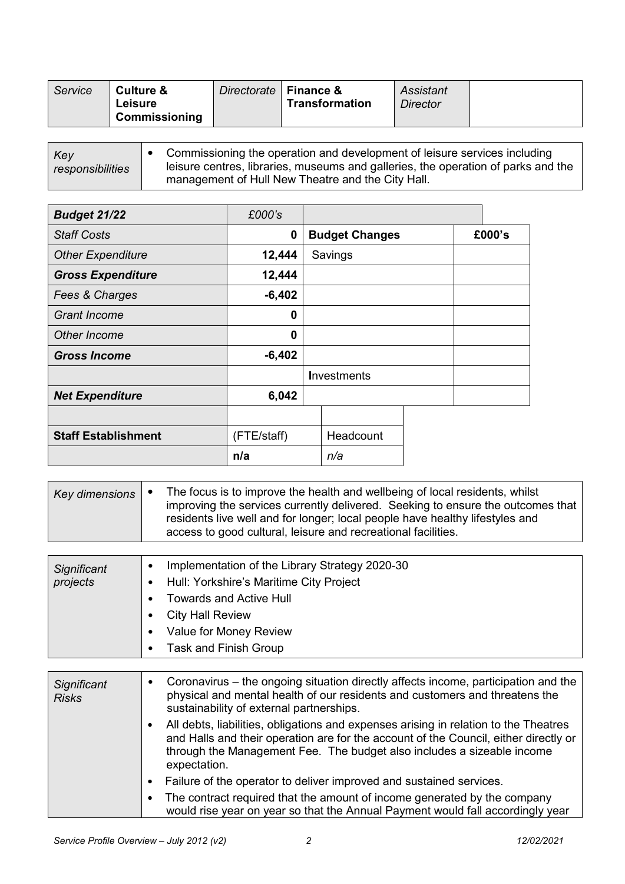| <b>Culture &amp;</b><br>Service<br>Leisure<br><b>Commissioning</b> | Directorate   Finance &<br><b>Transformation</b> | Assistant<br><b>Director</b> |  |
|--------------------------------------------------------------------|--------------------------------------------------|------------------------------|--|
|--------------------------------------------------------------------|--------------------------------------------------|------------------------------|--|

| Key              | Commissioning the operation and development of leisure services including         |
|------------------|-----------------------------------------------------------------------------------|
| responsibilities | leisure centres, libraries, museums and galleries, the operation of parks and the |
|                  | management of Hull New Theatre and the City Hall.                                 |

| <b>Budget 21/22</b>             | £000's      |  |                       |  |        |
|---------------------------------|-------------|--|-----------------------|--|--------|
| <b>Staff Costs</b>              | 0           |  | <b>Budget Changes</b> |  | £000's |
| <b>Other Expenditure</b>        | 12,444      |  | Savings               |  |        |
| <b>Gross Expenditure</b>        | 12,444      |  |                       |  |        |
| Fees & Charges                  | $-6,402$    |  |                       |  |        |
| <b>Grant Income</b>             | 0           |  |                       |  |        |
| Other Income                    | 0           |  |                       |  |        |
| <b>Gross Income</b>             | $-6,402$    |  |                       |  |        |
|                                 |             |  | <b>Investments</b>    |  |        |
| 6,042<br><b>Net Expenditure</b> |             |  |                       |  |        |
|                                 |             |  |                       |  |        |
| <b>Staff Establishment</b>      | (FTE/staff) |  | Headcount             |  |        |
|                                 | n/a         |  | n/a                   |  |        |

| The focus is to improve the health and wellbeing of local residents, whilst<br>Key dimensions<br>improving the services currently delivered. Seeking to ensure the outcomes that<br>residents live well and for longer; local people have healthy lifestyles and<br>access to good cultural, leisure and recreational facilities. |  |
|-----------------------------------------------------------------------------------------------------------------------------------------------------------------------------------------------------------------------------------------------------------------------------------------------------------------------------------|--|
|-----------------------------------------------------------------------------------------------------------------------------------------------------------------------------------------------------------------------------------------------------------------------------------------------------------------------------------|--|

| Significant<br>projects | Implementation of the Library Strategy 2020-30<br>Hull: Yorkshire's Maritime City Project<br><b>Towards and Active Hull</b> |
|-------------------------|-----------------------------------------------------------------------------------------------------------------------------|
|                         | <b>City Hall Review</b><br>Value for Money Review<br>Task and Finish Group                                                  |

| Significant<br><b>Risks</b> | Coronavirus – the ongoing situation directly affects income, participation and the<br>physical and mental health of our residents and customers and threatens the<br>sustainability of external partnerships.                                                                       |  |  |
|-----------------------------|-------------------------------------------------------------------------------------------------------------------------------------------------------------------------------------------------------------------------------------------------------------------------------------|--|--|
|                             | All debts, liabilities, obligations and expenses arising in relation to the Theatres<br>$\bullet$<br>and Halls and their operation are for the account of the Council, either directly or<br>through the Management Fee. The budget also includes a sizeable income<br>expectation. |  |  |
|                             | Failure of the operator to deliver improved and sustained services.<br>$\bullet$                                                                                                                                                                                                    |  |  |
|                             | The contract required that the amount of income generated by the company<br>$\bullet$<br>would rise year on year so that the Annual Payment would fall accordingly year                                                                                                             |  |  |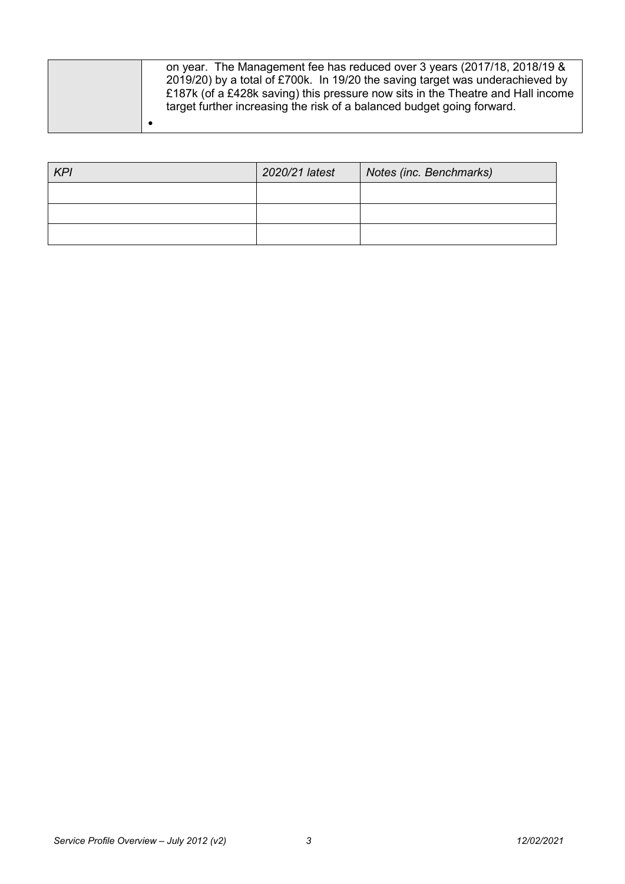| on year. The Management fee has reduced over 3 years (2017/18, 2018/19 &<br>2019/20) by a total of £700k. In 19/20 the saving target was underachieved by<br>£187k (of a £428k saving) this pressure now sits in the Theatre and Hall income<br>target further increasing the risk of a balanced budget going forward. |
|------------------------------------------------------------------------------------------------------------------------------------------------------------------------------------------------------------------------------------------------------------------------------------------------------------------------|
|                                                                                                                                                                                                                                                                                                                        |

| <b>KPI</b> | 2020/21 latest | Notes (inc. Benchmarks) |
|------------|----------------|-------------------------|
|            |                |                         |
|            |                |                         |
|            |                |                         |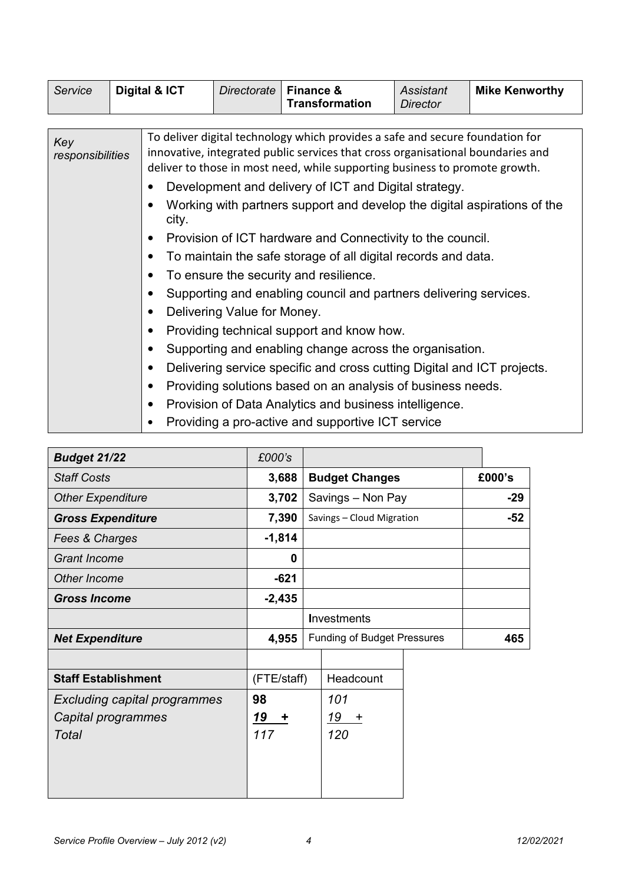| Digital & ICT<br>Service                                                             |  | <b>Directorate</b>                                                                                                                                                                                                                              | <b>Finance &amp;</b><br><b>Transformation</b> | Assistant<br>Director                                                    | <b>Mike Kenworthy</b> |  |  |  |
|--------------------------------------------------------------------------------------|--|-------------------------------------------------------------------------------------------------------------------------------------------------------------------------------------------------------------------------------------------------|-----------------------------------------------|--------------------------------------------------------------------------|-----------------------|--|--|--|
|                                                                                      |  |                                                                                                                                                                                                                                                 |                                               |                                                                          |                       |  |  |  |
| Key<br>responsibilities                                                              |  | To deliver digital technology which provides a safe and secure foundation for<br>innovative, integrated public services that cross organisational boundaries and<br>deliver to those in most need, while supporting business to promote growth. |                                               |                                                                          |                       |  |  |  |
|                                                                                      |  |                                                                                                                                                                                                                                                 |                                               | Development and delivery of ICT and Digital strategy.                    |                       |  |  |  |
|                                                                                      |  | city.                                                                                                                                                                                                                                           |                                               | Working with partners support and develop the digital aspirations of the |                       |  |  |  |
|                                                                                      |  | $\bullet$                                                                                                                                                                                                                                       |                                               | Provision of ICT hardware and Connectivity to the council.               |                       |  |  |  |
|                                                                                      |  | $\bullet$                                                                                                                                                                                                                                       |                                               | To maintain the safe storage of all digital records and data.            |                       |  |  |  |
| To ensure the security and resilience.<br>٠                                          |  |                                                                                                                                                                                                                                                 |                                               |                                                                          |                       |  |  |  |
| Supporting and enabling council and partners delivering services.<br>٠               |  |                                                                                                                                                                                                                                                 |                                               |                                                                          |                       |  |  |  |
| Delivering Value for Money.<br>$\bullet$                                             |  |                                                                                                                                                                                                                                                 |                                               |                                                                          |                       |  |  |  |
| Providing technical support and know how.<br>$\bullet$                               |  |                                                                                                                                                                                                                                                 |                                               |                                                                          |                       |  |  |  |
| Supporting and enabling change across the organisation.<br>$\bullet$                 |  |                                                                                                                                                                                                                                                 |                                               |                                                                          |                       |  |  |  |
| Delivering service specific and cross cutting Digital and ICT projects.<br>$\bullet$ |  |                                                                                                                                                                                                                                                 |                                               |                                                                          |                       |  |  |  |
| Providing solutions based on an analysis of business needs.<br>$\bullet$             |  |                                                                                                                                                                                                                                                 |                                               |                                                                          |                       |  |  |  |
|                                                                                      |  | $\bullet$                                                                                                                                                                                                                                       |                                               | Provision of Data Analytics and business intelligence.                   |                       |  |  |  |
|                                                                                      |  | Providing a pro-active and supportive ICT service                                                                                                                                                                                               |                                               |                                                                          |                       |  |  |  |

| <b>Budget 21/22</b>                 | £000's               |                                    |  |        |
|-------------------------------------|----------------------|------------------------------------|--|--------|
| <b>Staff Costs</b>                  | 3,688                | <b>Budget Changes</b>              |  | £000's |
| <b>Other Expenditure</b>            | 3,702                | Savings - Non Pay                  |  | -29    |
| <b>Gross Expenditure</b>            | 7,390                | Savings - Cloud Migration          |  | $-52$  |
| Fees & Charges                      | $-1,814$             |                                    |  |        |
| <b>Grant Income</b>                 | $\bf{0}$             |                                    |  |        |
| Other Income                        | $-621$               |                                    |  |        |
| <b>Gross Income</b>                 | $-2,435$             |                                    |  |        |
|                                     |                      | <b>Investments</b>                 |  |        |
| <b>Net Expenditure</b>              | 4,955                | <b>Funding of Budget Pressures</b> |  | 465    |
|                                     |                      |                                    |  |        |
| <b>Staff Establishment</b>          | (FTE/staff)          | Headcount                          |  |        |
| <b>Excluding capital programmes</b> | 98                   | 101                                |  |        |
| Capital programmes                  | 19<br>$\overline{1}$ | 19<br>$+$                          |  |        |
| Total                               | 117                  | 120                                |  |        |
|                                     |                      |                                    |  |        |
|                                     |                      |                                    |  |        |
|                                     |                      |                                    |  |        |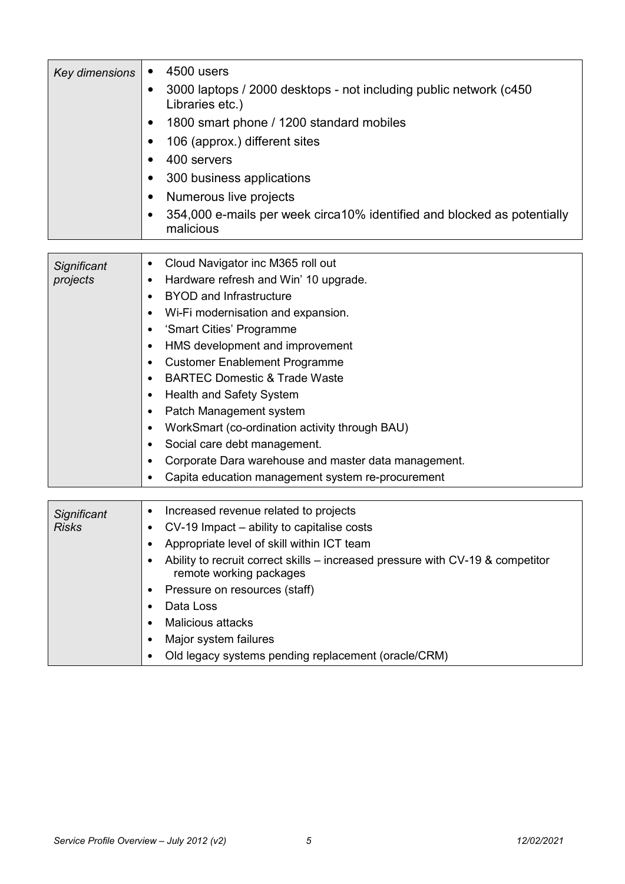| Key dimensions | 4500 users<br>$\bullet$                                                                            |
|----------------|----------------------------------------------------------------------------------------------------|
|                | 3000 laptops / 2000 desktops - not including public network (c450)<br>$\bullet$<br>Libraries etc.) |
|                | 1800 smart phone / 1200 standard mobiles<br>$\bullet$                                              |
|                | 106 (approx.) different sites<br>$\bullet$                                                         |
|                | 400 servers<br>$\bullet$                                                                           |
|                | 300 business applications                                                                          |
|                | Numerous live projects<br>٠                                                                        |
|                | 354,000 e-mails per week circa10% identified and blocked as potentially<br>$\bullet$<br>malicious  |

| Significant | Cloud Navigator inc M365 roll out<br>$\bullet$              |  |  |  |  |
|-------------|-------------------------------------------------------------|--|--|--|--|
| projects    | Hardware refresh and Win' 10 upgrade.<br>$\bullet$          |  |  |  |  |
|             | BYOD and Infrastructure<br>$\bullet$                        |  |  |  |  |
|             | Wi-Fi modernisation and expansion.<br>٠                     |  |  |  |  |
|             | 'Smart Cities' Programme                                    |  |  |  |  |
|             | HMS development and improvement<br>$\bullet$                |  |  |  |  |
|             | <b>Customer Enablement Programme</b><br>٠                   |  |  |  |  |
|             | <b>BARTEC Domestic &amp; Trade Waste</b><br>$\bullet$       |  |  |  |  |
|             | <b>Health and Safety System</b><br>$\bullet$                |  |  |  |  |
|             | Patch Management system<br>٠                                |  |  |  |  |
|             | WorkSmart (co-ordination activity through BAU)<br>$\bullet$ |  |  |  |  |
|             | Social care debt management.                                |  |  |  |  |
|             | Corporate Dara warehouse and master data management.        |  |  |  |  |
|             | Capita education management system re-procurement           |  |  |  |  |
|             |                                                             |  |  |  |  |

| Significant<br><b>Risks</b> | Increased revenue related to projects<br>$\bullet$<br>CV-19 Impact – ability to capitalise costs<br>Appropriate level of skill within ICT team<br>$\bullet$<br>Ability to recruit correct skills – increased pressure with CV-19 & competitor<br>$\bullet$<br>remote working packages<br>Pressure on resources (staff)<br>$\bullet$<br>Data Loss<br>$\bullet$ |
|-----------------------------|---------------------------------------------------------------------------------------------------------------------------------------------------------------------------------------------------------------------------------------------------------------------------------------------------------------------------------------------------------------|
|                             | Malicious attacks<br>$\bullet$                                                                                                                                                                                                                                                                                                                                |
|                             | Major system failures<br>$\bullet$                                                                                                                                                                                                                                                                                                                            |
|                             | Old legacy systems pending replacement (oracle/CRM)                                                                                                                                                                                                                                                                                                           |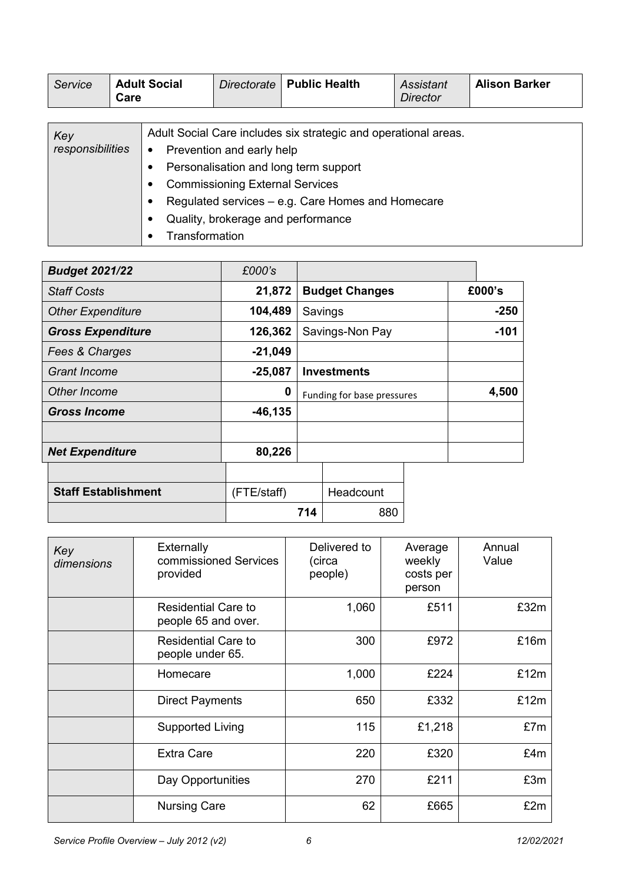| Service                 | Care | <b>Adult Social</b>                                           | Directorate                                                         | <b>Public Health</b>                                                                                                                                                                                | Assistant<br><b>Director</b> | <b>Alison Barker</b> |  |
|-------------------------|------|---------------------------------------------------------------|---------------------------------------------------------------------|-----------------------------------------------------------------------------------------------------------------------------------------------------------------------------------------------------|------------------------------|----------------------|--|
|                         |      |                                                               |                                                                     |                                                                                                                                                                                                     |                              |                      |  |
| Key<br>responsibilities |      | $\bullet$<br>$\bullet$<br>$\bullet$<br>$\bullet$<br>$\bullet$ | Prevention and early help<br><b>Commissioning External Services</b> | Adult Social Care includes six strategic and operational areas.<br>Personalisation and long term support<br>Regulated services – e.g. Care Homes and Homecare<br>Quality, brokerage and performance |                              |                      |  |
|                         |      | Transformation<br>$\bullet$                                   |                                                                     |                                                                                                                                                                                                     |                              |                      |  |

| <b>Budget 2021/22</b>      | £000's      |                            |                       |  |        |        |
|----------------------------|-------------|----------------------------|-----------------------|--|--------|--------|
| <b>Staff Costs</b>         | 21,872      |                            | <b>Budget Changes</b> |  | £000's |        |
| <b>Other Expenditure</b>   | 104,489     |                            | Savings               |  |        | $-250$ |
| <b>Gross Expenditure</b>   | 126,362     |                            | Savings-Non Pay       |  |        | $-101$ |
| Fees & Charges             | $-21,049$   |                            |                       |  |        |        |
| Grant Income               | $-25,087$   |                            | <b>Investments</b>    |  |        |        |
| Other Income               | 0           | Funding for base pressures |                       |  |        | 4,500  |
| <b>Gross Income</b>        | $-46, 135$  |                            |                       |  |        |        |
|                            |             |                            |                       |  |        |        |
| <b>Net Expenditure</b>     | 80,226      |                            |                       |  |        |        |
|                            |             |                            |                       |  |        |        |
| <b>Staff Establishment</b> | (FTE/staff) |                            | Headcount             |  |        |        |
|                            |             | 714                        | 880                   |  |        |        |

| Key<br>dimensions | Externally<br>commissioned Services<br>provided | Delivered to<br>(circa<br>people) | Average<br>weekly<br>costs per<br>person | Annual<br>Value |
|-------------------|-------------------------------------------------|-----------------------------------|------------------------------------------|-----------------|
|                   | Residential Care to<br>people 65 and over.      | 1,060                             | £511                                     | £32m            |
|                   | <b>Residential Care to</b><br>people under 65.  | 300                               | £972                                     | £16m            |
|                   | Homecare                                        | 1,000                             | £224                                     | £12m            |
|                   | <b>Direct Payments</b>                          | 650                               | £332                                     | £12m            |
|                   | Supported Living                                | 115                               | £1,218                                   | £7m             |
|                   | Extra Care                                      | 220                               | £320                                     | £4m             |
|                   | Day Opportunities                               | 270                               | £211                                     | £3m             |
|                   | <b>Nursing Care</b>                             | 62                                | £665                                     | £2m             |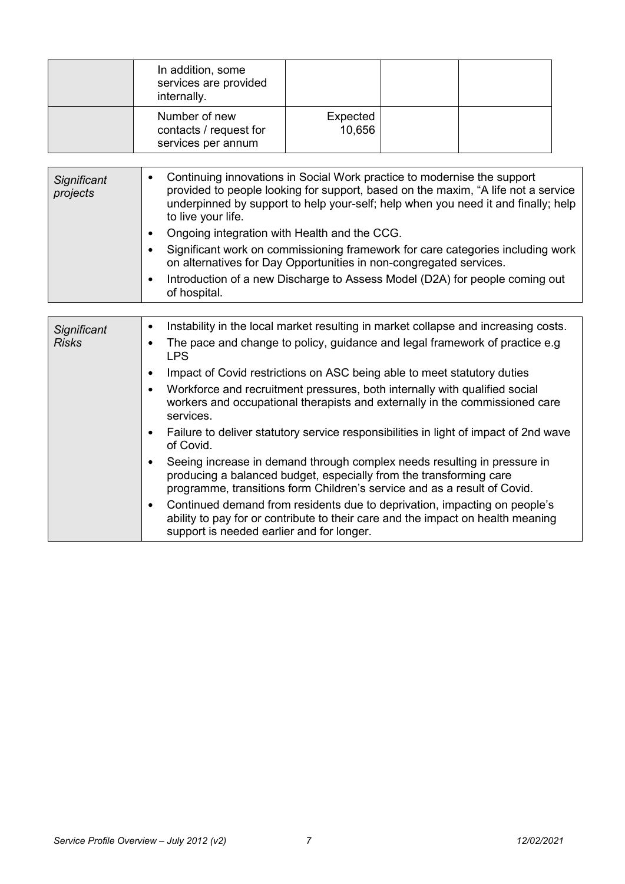| In addition, some<br>services are provided<br>internally.     |                    |  |
|---------------------------------------------------------------|--------------------|--|
| Number of new<br>contacts / request for<br>services per annum | Expected<br>10,656 |  |

| Significant<br>projects | Continuing innovations in Social Work practice to modernise the support<br>provided to people looking for support, based on the maxim, "A life not a service<br>underpinned by support to help your-self; help when you need it and finally; help<br>to live your life. |
|-------------------------|-------------------------------------------------------------------------------------------------------------------------------------------------------------------------------------------------------------------------------------------------------------------------|
|                         | Ongoing integration with Health and the CCG.                                                                                                                                                                                                                            |
|                         | Significant work on commissioning framework for care categories including work<br>on alternatives for Day Opportunities in non-congregated services.                                                                                                                    |
|                         | Introduction of a new Discharge to Assess Model (D2A) for people coming out<br>of hospital.                                                                                                                                                                             |

| Significant  | Instability in the local market resulting in market collapse and increasing costs.<br>$\bullet$                                                                                                                                         |
|--------------|-----------------------------------------------------------------------------------------------------------------------------------------------------------------------------------------------------------------------------------------|
| <b>Risks</b> | The pace and change to policy, guidance and legal framework of practice e.g.<br>٠<br><b>LPS</b>                                                                                                                                         |
|              | Impact of Covid restrictions on ASC being able to meet statutory duties<br>$\bullet$                                                                                                                                                    |
|              | Workforce and recruitment pressures, both internally with qualified social<br>$\bullet$<br>workers and occupational therapists and externally in the commissioned care<br>services.                                                     |
|              | Failure to deliver statutory service responsibilities in light of impact of 2nd wave<br>$\bullet$<br>of Covid.                                                                                                                          |
|              | Seeing increase in demand through complex needs resulting in pressure in<br>$\bullet$<br>producing a balanced budget, especially from the transforming care<br>programme, transitions form Children's service and as a result of Covid. |
|              | Continued demand from residents due to deprivation, impacting on people's<br>$\bullet$<br>ability to pay for or contribute to their care and the impact on health meaning<br>support is needed earlier and for longer.                  |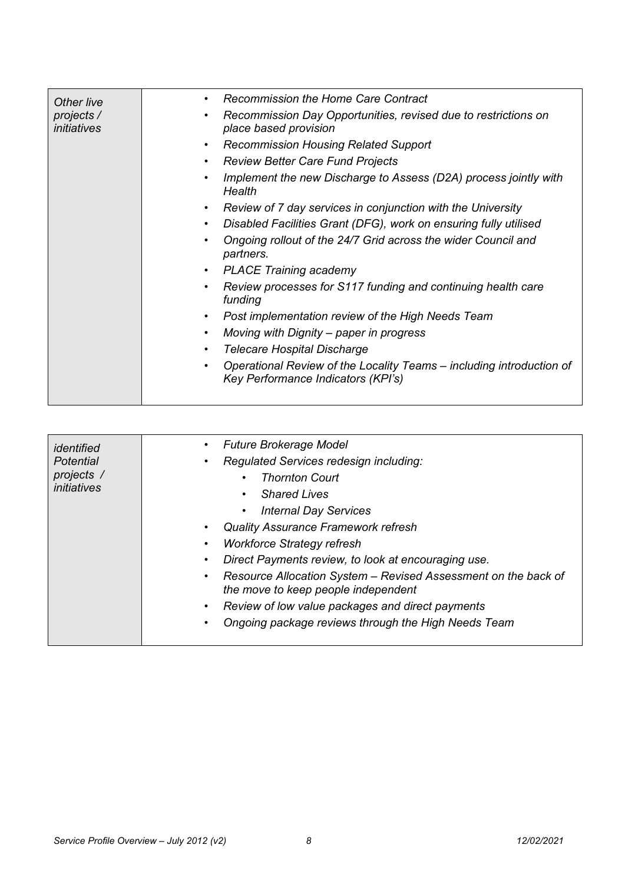| Other live                | <b>Recommission the Home Care Contract</b><br>$\bullet$                                                                 |
|---------------------------|-------------------------------------------------------------------------------------------------------------------------|
| projects /<br>initiatives | Recommission Day Opportunities, revised due to restrictions on<br>place based provision                                 |
|                           | <b>Recommission Housing Related Support</b><br>$\bullet$                                                                |
|                           | <b>Review Better Care Fund Projects</b><br>$\bullet$                                                                    |
|                           | Implement the new Discharge to Assess (D2A) process jointly with<br>Health                                              |
|                           | Review of 7 day services in conjunction with the University<br>$\bullet$                                                |
|                           | Disabled Facilities Grant (DFG), work on ensuring fully utilised<br>$\bullet$                                           |
|                           | Ongoing rollout of the 24/7 Grid across the wider Council and<br>partners.                                              |
|                           | <b>PLACE Training academy</b><br>$\bullet$                                                                              |
|                           | Review processes for S117 funding and continuing health care<br>$\bullet$<br>funding                                    |
|                           | Post implementation review of the High Needs Team<br>$\bullet$                                                          |
|                           | Moving with Dignity – paper in progress<br>$\bullet$                                                                    |
|                           | <b>Telecare Hospital Discharge</b><br>$\bullet$                                                                         |
|                           | Operational Review of the Locality Teams – including introduction of<br>$\bullet$<br>Key Performance Indicators (KPI's) |
|                           |                                                                                                                         |

| identified<br>Potential<br>projects /<br>initiatives | <b>Future Brokerage Model</b><br>Regulated Services redesign including:<br><b>Thornton Court</b><br>$\bullet$<br><b>Shared Lives</b><br><b>Internal Day Services</b><br>$\bullet$<br><b>Quality Assurance Framework refresh</b><br><b>Workforce Strategy refresh</b><br>Direct Payments review, to look at encouraging use.<br>Resource Allocation System – Revised Assessment on the back of<br>the move to keep people independent<br>Review of low value packages and direct payments<br>Ongoing package reviews through the High Needs Team |
|------------------------------------------------------|-------------------------------------------------------------------------------------------------------------------------------------------------------------------------------------------------------------------------------------------------------------------------------------------------------------------------------------------------------------------------------------------------------------------------------------------------------------------------------------------------------------------------------------------------|
|                                                      |                                                                                                                                                                                                                                                                                                                                                                                                                                                                                                                                                 |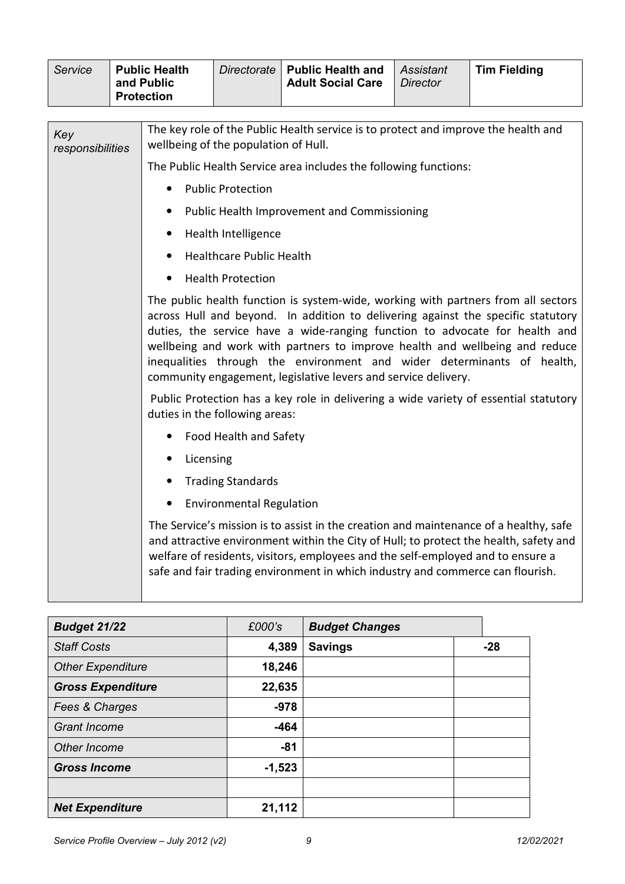| Service<br><b>Public Health</b><br>and Public<br><b>Protection</b>                                                                                                                                                                                                                                                                                                                                                                                                              |                                                                                                                                                                                                                                                                                                                                                     | Directorate            |                                                                                                                            | <b>Public Health and</b><br><b>Adult Social Care</b>                                 | Assistant<br><b>Director</b>                                     |  | <b>Tim Fielding</b> |       |  |
|---------------------------------------------------------------------------------------------------------------------------------------------------------------------------------------------------------------------------------------------------------------------------------------------------------------------------------------------------------------------------------------------------------------------------------------------------------------------------------|-----------------------------------------------------------------------------------------------------------------------------------------------------------------------------------------------------------------------------------------------------------------------------------------------------------------------------------------------------|------------------------|----------------------------------------------------------------------------------------------------------------------------|--------------------------------------------------------------------------------------|------------------------------------------------------------------|--|---------------------|-------|--|
|                                                                                                                                                                                                                                                                                                                                                                                                                                                                                 |                                                                                                                                                                                                                                                                                                                                                     |                        |                                                                                                                            |                                                                                      |                                                                  |  |                     |       |  |
| Key<br>responsibilities                                                                                                                                                                                                                                                                                                                                                                                                                                                         |                                                                                                                                                                                                                                                                                                                                                     |                        | The key role of the Public Health service is to protect and improve the health and<br>wellbeing of the population of Hull. |                                                                                      |                                                                  |  |                     |       |  |
|                                                                                                                                                                                                                                                                                                                                                                                                                                                                                 |                                                                                                                                                                                                                                                                                                                                                     |                        |                                                                                                                            |                                                                                      | The Public Health Service area includes the following functions: |  |                     |       |  |
|                                                                                                                                                                                                                                                                                                                                                                                                                                                                                 |                                                                                                                                                                                                                                                                                                                                                     | $\bullet$              | <b>Public Protection</b>                                                                                                   |                                                                                      |                                                                  |  |                     |       |  |
|                                                                                                                                                                                                                                                                                                                                                                                                                                                                                 |                                                                                                                                                                                                                                                                                                                                                     |                        |                                                                                                                            |                                                                                      | <b>Public Health Improvement and Commissioning</b>               |  |                     |       |  |
|                                                                                                                                                                                                                                                                                                                                                                                                                                                                                 |                                                                                                                                                                                                                                                                                                                                                     |                        | Health Intelligence                                                                                                        |                                                                                      |                                                                  |  |                     |       |  |
|                                                                                                                                                                                                                                                                                                                                                                                                                                                                                 |                                                                                                                                                                                                                                                                                                                                                     |                        | <b>Healthcare Public Health</b>                                                                                            |                                                                                      |                                                                  |  |                     |       |  |
|                                                                                                                                                                                                                                                                                                                                                                                                                                                                                 |                                                                                                                                                                                                                                                                                                                                                     |                        | <b>Health Protection</b>                                                                                                   |                                                                                      |                                                                  |  |                     |       |  |
| The public health function is system-wide, working with partners from all sectors<br>across Hull and beyond. In addition to delivering against the specific statutory<br>duties, the service have a wide-ranging function to advocate for health and<br>wellbeing and work with partners to improve health and wellbeing and reduce<br>inequalities through the environment and wider determinants of health,<br>community engagement, legislative levers and service delivery. |                                                                                                                                                                                                                                                                                                                                                     |                        |                                                                                                                            |                                                                                      |                                                                  |  |                     |       |  |
| duties in the following areas:                                                                                                                                                                                                                                                                                                                                                                                                                                                  |                                                                                                                                                                                                                                                                                                                                                     |                        |                                                                                                                            | Public Protection has a key role in delivering a wide variety of essential statutory |                                                                  |  |                     |       |  |
|                                                                                                                                                                                                                                                                                                                                                                                                                                                                                 |                                                                                                                                                                                                                                                                                                                                                     | Food Health and Safety |                                                                                                                            |                                                                                      |                                                                  |  |                     |       |  |
|                                                                                                                                                                                                                                                                                                                                                                                                                                                                                 |                                                                                                                                                                                                                                                                                                                                                     | Licensing              |                                                                                                                            |                                                                                      |                                                                  |  |                     |       |  |
|                                                                                                                                                                                                                                                                                                                                                                                                                                                                                 |                                                                                                                                                                                                                                                                                                                                                     |                        | <b>Trading Standards</b>                                                                                                   |                                                                                      |                                                                  |  |                     |       |  |
|                                                                                                                                                                                                                                                                                                                                                                                                                                                                                 |                                                                                                                                                                                                                                                                                                                                                     |                        | <b>Environmental Regulation</b>                                                                                            |                                                                                      |                                                                  |  |                     |       |  |
|                                                                                                                                                                                                                                                                                                                                                                                                                                                                                 | The Service's mission is to assist in the creation and maintenance of a healthy, safe<br>and attractive environment within the City of Hull; to protect the health, safety and<br>welfare of residents, visitors, employees and the self-employed and to ensure a<br>safe and fair trading environment in which industry and commerce can flourish. |                        |                                                                                                                            |                                                                                      |                                                                  |  |                     |       |  |
|                                                                                                                                                                                                                                                                                                                                                                                                                                                                                 |                                                                                                                                                                                                                                                                                                                                                     |                        | £000's                                                                                                                     |                                                                                      | <b>Budget Changes</b>                                            |  |                     |       |  |
| <b>Budget 21/22</b><br><b>Staff Costs</b>                                                                                                                                                                                                                                                                                                                                                                                                                                       |                                                                                                                                                                                                                                                                                                                                                     |                        |                                                                                                                            | 4,389                                                                                | <b>Savings</b>                                                   |  |                     | $-28$ |  |
| <b>Other Expenditure</b>                                                                                                                                                                                                                                                                                                                                                                                                                                                        |                                                                                                                                                                                                                                                                                                                                                     |                        | 18,246                                                                                                                     |                                                                                      |                                                                  |  |                     |       |  |
| <b>Gross Expenditure</b>                                                                                                                                                                                                                                                                                                                                                                                                                                                        |                                                                                                                                                                                                                                                                                                                                                     |                        | 22,635                                                                                                                     |                                                                                      |                                                                  |  |                     |       |  |
| Fees & Charges                                                                                                                                                                                                                                                                                                                                                                                                                                                                  |                                                                                                                                                                                                                                                                                                                                                     |                        | $-978$                                                                                                                     |                                                                                      |                                                                  |  |                     |       |  |
| <b>Grant Income</b>                                                                                                                                                                                                                                                                                                                                                                                                                                                             |                                                                                                                                                                                                                                                                                                                                                     |                        |                                                                                                                            | $-464$                                                                               |                                                                  |  |                     |       |  |

**Other Income 1999 -81** *Gross Income* **-1,523** 

*Net Expenditure* **21,112**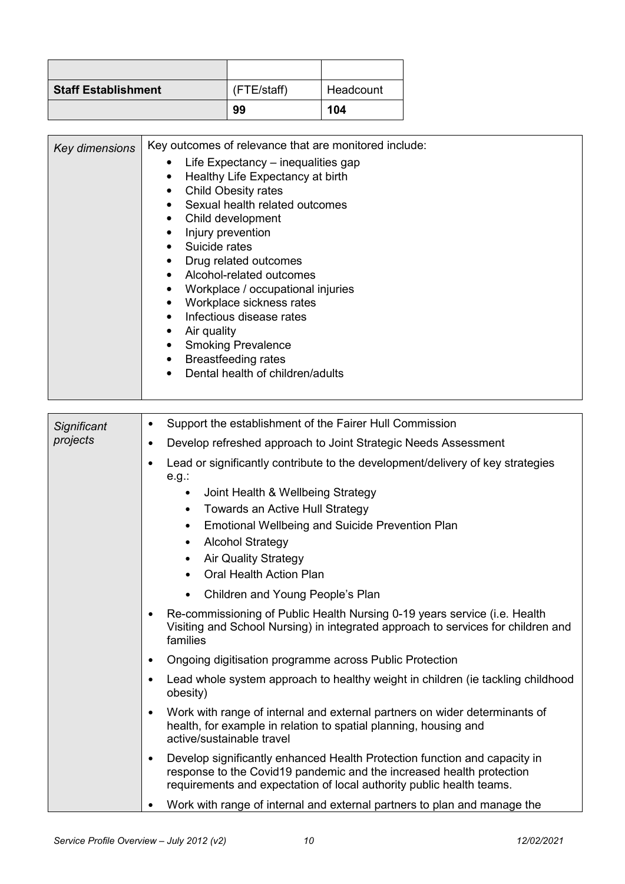| <b>Staff Establishment</b> | (FTE/staff) | Headcount |
|----------------------------|-------------|-----------|
|                            | 99          | 104       |

| Key dimensions | Key outcomes of relevance that are monitored include: |  |  |  |  |
|----------------|-------------------------------------------------------|--|--|--|--|
|                | Life Expectancy – inequalities gap                    |  |  |  |  |
|                | Healthy Life Expectancy at birth                      |  |  |  |  |
|                | Child Obesity rates                                   |  |  |  |  |
|                | Sexual health related outcomes                        |  |  |  |  |
|                | Child development                                     |  |  |  |  |
|                | Injury prevention                                     |  |  |  |  |
|                | • Suicide rates                                       |  |  |  |  |
|                | Drug related outcomes                                 |  |  |  |  |
|                | Alcohol-related outcomes                              |  |  |  |  |
|                | Workplace / occupational injuries                     |  |  |  |  |
|                | Workplace sickness rates                              |  |  |  |  |
|                | Infectious disease rates                              |  |  |  |  |
|                | Air quality                                           |  |  |  |  |
|                | <b>Smoking Prevalence</b>                             |  |  |  |  |
|                | <b>Breastfeeding rates</b>                            |  |  |  |  |
|                | Dental health of children/adults                      |  |  |  |  |
|                |                                                       |  |  |  |  |

| Significant | Support the establishment of the Fairer Hull Commission<br>$\bullet$                                                                                                                                                                   |  |  |  |  |  |
|-------------|----------------------------------------------------------------------------------------------------------------------------------------------------------------------------------------------------------------------------------------|--|--|--|--|--|
| projects    | Develop refreshed approach to Joint Strategic Needs Assessment<br>$\bullet$                                                                                                                                                            |  |  |  |  |  |
|             | Lead or significantly contribute to the development/delivery of key strategies<br>$\bullet$<br>$e.g.$ :                                                                                                                                |  |  |  |  |  |
|             | Joint Health & Wellbeing Strategy<br>$\bullet$                                                                                                                                                                                         |  |  |  |  |  |
|             | <b>Towards an Active Hull Strategy</b><br>$\bullet$                                                                                                                                                                                    |  |  |  |  |  |
|             | Emotional Wellbeing and Suicide Prevention Plan<br>$\bullet$                                                                                                                                                                           |  |  |  |  |  |
|             | <b>Alcohol Strategy</b>                                                                                                                                                                                                                |  |  |  |  |  |
|             | <b>Air Quality Strategy</b>                                                                                                                                                                                                            |  |  |  |  |  |
|             | Oral Health Action Plan                                                                                                                                                                                                                |  |  |  |  |  |
|             | Children and Young People's Plan                                                                                                                                                                                                       |  |  |  |  |  |
|             | Re-commissioning of Public Health Nursing 0-19 years service (i.e. Health<br>$\bullet$<br>Visiting and School Nursing) in integrated approach to services for children and<br>families                                                 |  |  |  |  |  |
|             | Ongoing digitisation programme across Public Protection                                                                                                                                                                                |  |  |  |  |  |
|             | Lead whole system approach to healthy weight in children (ie tackling childhood<br>$\bullet$<br>obesity)                                                                                                                               |  |  |  |  |  |
|             | Work with range of internal and external partners on wider determinants of<br>$\bullet$<br>health, for example in relation to spatial planning, housing and<br>active/sustainable travel                                               |  |  |  |  |  |
|             | Develop significantly enhanced Health Protection function and capacity in<br>$\bullet$<br>response to the Covid19 pandemic and the increased health protection<br>requirements and expectation of local authority public health teams. |  |  |  |  |  |
|             | Work with range of internal and external partners to plan and manage the                                                                                                                                                               |  |  |  |  |  |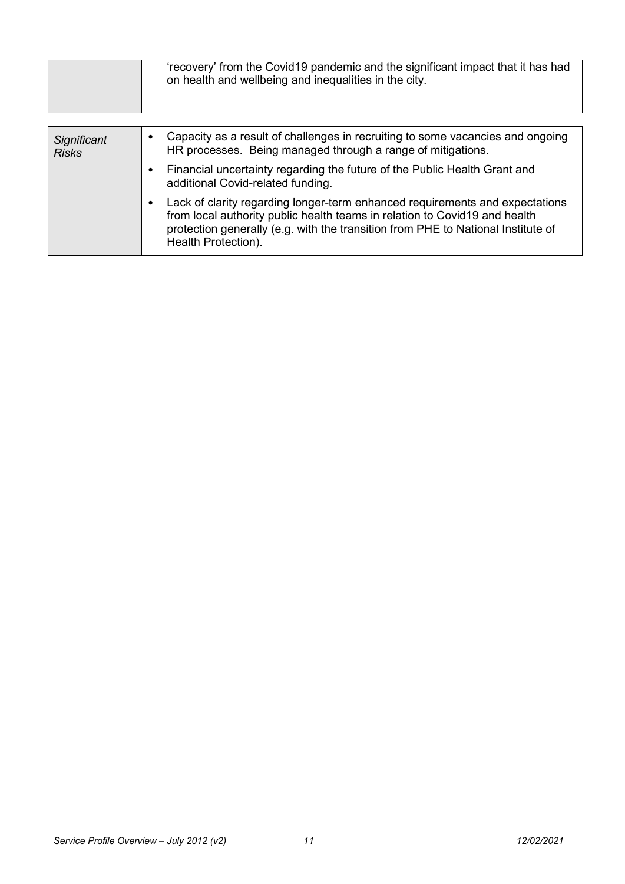|                             | 'recovery' from the Covid19 pandemic and the significant impact that it has had<br>on health and wellbeing and inequalities in the city.                                                                                                                    |
|-----------------------------|-------------------------------------------------------------------------------------------------------------------------------------------------------------------------------------------------------------------------------------------------------------|
|                             |                                                                                                                                                                                                                                                             |
| Significant<br><b>Risks</b> | Capacity as a result of challenges in recruiting to some vacancies and ongoing<br>HR processes. Being managed through a range of mitigations.                                                                                                               |
|                             | Financial uncertainty regarding the future of the Public Health Grant and<br>$\bullet$<br>additional Covid-related funding.                                                                                                                                 |
|                             | Lack of clarity regarding longer-term enhanced requirements and expectations<br>$\bullet$<br>from local authority public health teams in relation to Covid19 and health<br>protection generally (e.g. with the transition from PHE to National Institute of |

Health Protection).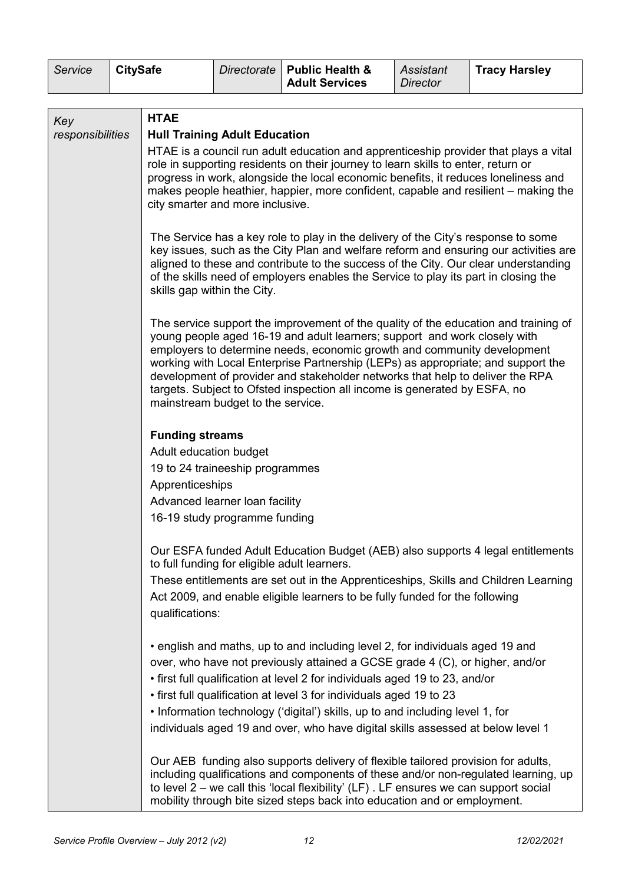| <b>CitySafe</b><br>Service                                                                                                                                                                                                                                                                                                                                                                                                                                                                                                         |  |                                      | Directorate | <b>Public Health &amp;</b><br><b>Adult Services</b>                                                                                                                                                                                                                                                                                                                                                                                                                                     | Assistant<br><b>Director</b> | <b>Tracy Harsley</b> |  |  |  |
|------------------------------------------------------------------------------------------------------------------------------------------------------------------------------------------------------------------------------------------------------------------------------------------------------------------------------------------------------------------------------------------------------------------------------------------------------------------------------------------------------------------------------------|--|--------------------------------------|-------------|-----------------------------------------------------------------------------------------------------------------------------------------------------------------------------------------------------------------------------------------------------------------------------------------------------------------------------------------------------------------------------------------------------------------------------------------------------------------------------------------|------------------------------|----------------------|--|--|--|
|                                                                                                                                                                                                                                                                                                                                                                                                                                                                                                                                    |  |                                      |             |                                                                                                                                                                                                                                                                                                                                                                                                                                                                                         |                              |                      |  |  |  |
| Key                                                                                                                                                                                                                                                                                                                                                                                                                                                                                                                                |  | <b>HTAE</b>                          |             |                                                                                                                                                                                                                                                                                                                                                                                                                                                                                         |                              |                      |  |  |  |
| responsibilities                                                                                                                                                                                                                                                                                                                                                                                                                                                                                                                   |  | <b>Hull Training Adult Education</b> |             |                                                                                                                                                                                                                                                                                                                                                                                                                                                                                         |                              |                      |  |  |  |
| HTAE is a council run adult education and apprenticeship provider that plays a vital<br>role in supporting residents on their journey to learn skills to enter, return or<br>progress in work, alongside the local economic benefits, it reduces loneliness and<br>makes people heathier, happier, more confident, capable and resilient - making the<br>city smarter and more inclusive.                                                                                                                                          |  |                                      |             |                                                                                                                                                                                                                                                                                                                                                                                                                                                                                         |                              |                      |  |  |  |
| The Service has a key role to play in the delivery of the City's response to some<br>key issues, such as the City Plan and welfare reform and ensuring our activities are<br>aligned to these and contribute to the success of the City. Our clear understanding<br>of the skills need of employers enables the Service to play its part in closing the<br>skills gap within the City.                                                                                                                                             |  |                                      |             |                                                                                                                                                                                                                                                                                                                                                                                                                                                                                         |                              |                      |  |  |  |
| The service support the improvement of the quality of the education and training of<br>young people aged 16-19 and adult learners; support and work closely with<br>employers to determine needs, economic growth and community development<br>working with Local Enterprise Partnership (LEPs) as appropriate; and support the<br>development of provider and stakeholder networks that help to deliver the RPA<br>targets. Subject to Ofsted inspection all income is generated by ESFA, no<br>mainstream budget to the service. |  |                                      |             |                                                                                                                                                                                                                                                                                                                                                                                                                                                                                         |                              |                      |  |  |  |
|                                                                                                                                                                                                                                                                                                                                                                                                                                                                                                                                    |  | <b>Funding streams</b>               |             |                                                                                                                                                                                                                                                                                                                                                                                                                                                                                         |                              |                      |  |  |  |
|                                                                                                                                                                                                                                                                                                                                                                                                                                                                                                                                    |  | Adult education budget               |             |                                                                                                                                                                                                                                                                                                                                                                                                                                                                                         |                              |                      |  |  |  |
|                                                                                                                                                                                                                                                                                                                                                                                                                                                                                                                                    |  | 19 to 24 traineeship programmes      |             |                                                                                                                                                                                                                                                                                                                                                                                                                                                                                         |                              |                      |  |  |  |
|                                                                                                                                                                                                                                                                                                                                                                                                                                                                                                                                    |  | Apprenticeships                      |             |                                                                                                                                                                                                                                                                                                                                                                                                                                                                                         |                              |                      |  |  |  |
|                                                                                                                                                                                                                                                                                                                                                                                                                                                                                                                                    |  | Advanced learner loan facility       |             |                                                                                                                                                                                                                                                                                                                                                                                                                                                                                         |                              |                      |  |  |  |
|                                                                                                                                                                                                                                                                                                                                                                                                                                                                                                                                    |  | 16-19 study programme funding        |             |                                                                                                                                                                                                                                                                                                                                                                                                                                                                                         |                              |                      |  |  |  |
|                                                                                                                                                                                                                                                                                                                                                                                                                                                                                                                                    |  |                                      |             |                                                                                                                                                                                                                                                                                                                                                                                                                                                                                         |                              |                      |  |  |  |
|                                                                                                                                                                                                                                                                                                                                                                                                                                                                                                                                    |  |                                      |             | Our ESFA funded Adult Education Budget (AEB) also supports 4 legal entitlements<br>to full funding for eligible adult learners.                                                                                                                                                                                                                                                                                                                                                         |                              |                      |  |  |  |
|                                                                                                                                                                                                                                                                                                                                                                                                                                                                                                                                    |  | qualifications:                      |             | These entitlements are set out in the Apprenticeships, Skills and Children Learning<br>Act 2009, and enable eligible learners to be fully funded for the following                                                                                                                                                                                                                                                                                                                      |                              |                      |  |  |  |
|                                                                                                                                                                                                                                                                                                                                                                                                                                                                                                                                    |  |                                      |             | • english and maths, up to and including level 2, for individuals aged 19 and<br>over, who have not previously attained a GCSE grade 4 (C), or higher, and/or<br>. first full qualification at level 2 for individuals aged 19 to 23, and/or<br>• first full qualification at level 3 for individuals aged 19 to 23<br>• Information technology ('digital') skills, up to and including level 1, for<br>individuals aged 19 and over, who have digital skills assessed at below level 1 |                              |                      |  |  |  |
|                                                                                                                                                                                                                                                                                                                                                                                                                                                                                                                                    |  |                                      |             | Our AEB funding also supports delivery of flexible tailored provision for adults,<br>including qualifications and components of these and/or non-regulated learning, up<br>to level $2$ – we call this 'local flexibility' (LF). LF ensures we can support social<br>mobility through bite sized steps back into education and or employment.                                                                                                                                           |                              |                      |  |  |  |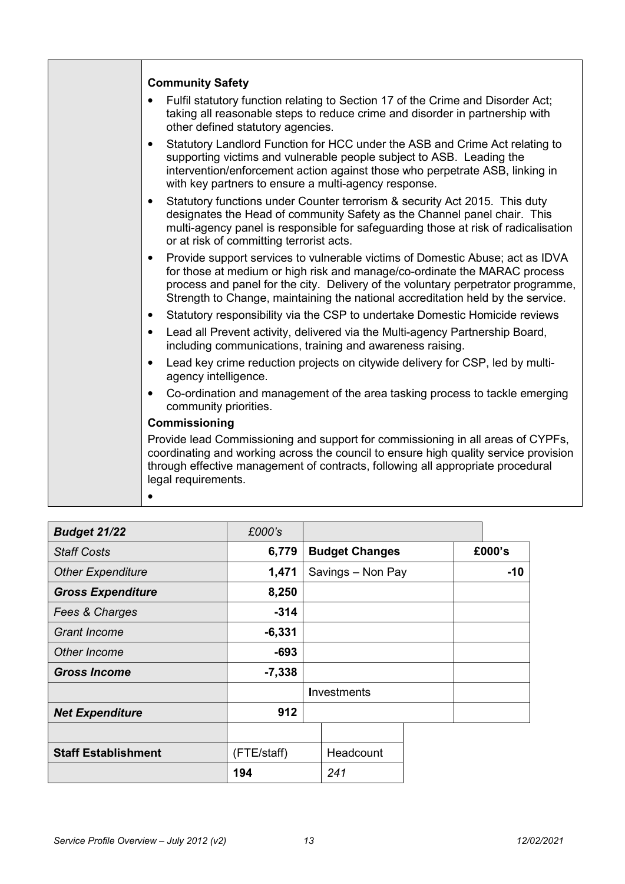| <b>Community Safety</b>                                                                                                                                                                                                                                                                                                                |
|----------------------------------------------------------------------------------------------------------------------------------------------------------------------------------------------------------------------------------------------------------------------------------------------------------------------------------------|
| Fulfil statutory function relating to Section 17 of the Crime and Disorder Act;<br>٠<br>taking all reasonable steps to reduce crime and disorder in partnership with<br>other defined statutory agencies.                                                                                                                              |
| Statutory Landlord Function for HCC under the ASB and Crime Act relating to<br>$\bullet$<br>supporting victims and vulnerable people subject to ASB. Leading the<br>intervention/enforcement action against those who perpetrate ASB, linking in<br>with key partners to ensure a multi-agency response.                               |
| Statutory functions under Counter terrorism & security Act 2015. This duty<br>$\bullet$<br>designates the Head of community Safety as the Channel panel chair. This<br>multi-agency panel is responsible for safeguarding those at risk of radicalisation<br>or at risk of committing terrorist acts.                                  |
| Provide support services to vulnerable victims of Domestic Abuse; act as IDVA<br>٠<br>for those at medium or high risk and manage/co-ordinate the MARAC process<br>process and panel for the city. Delivery of the voluntary perpetrator programme,<br>Strength to Change, maintaining the national accreditation held by the service. |
| Statutory responsibility via the CSP to undertake Domestic Homicide reviews<br>$\bullet$                                                                                                                                                                                                                                               |
| Lead all Prevent activity, delivered via the Multi-agency Partnership Board,<br>$\bullet$<br>including communications, training and awareness raising.                                                                                                                                                                                 |
| Lead key crime reduction projects on citywide delivery for CSP, led by multi-<br>$\bullet$<br>agency intelligence.                                                                                                                                                                                                                     |
| Co-ordination and management of the area tasking process to tackle emerging<br>$\bullet$<br>community priorities.                                                                                                                                                                                                                      |
| Commissioning                                                                                                                                                                                                                                                                                                                          |
| Provide lead Commissioning and support for commissioning in all areas of CYPFs,<br>coordinating and working across the council to ensure high quality service provision<br>through effective management of contracts, following all appropriate procedural<br>legal requirements.                                                      |
|                                                                                                                                                                                                                                                                                                                                        |

| <b>Budget 21/22</b>                       | £000's   |                       |  |        |  |
|-------------------------------------------|----------|-----------------------|--|--------|--|
| <b>Staff Costs</b>                        | 6,779    | <b>Budget Changes</b> |  | £000's |  |
| <b>Other Expenditure</b>                  | 1,471    | Savings - Non Pay     |  | $-10$  |  |
| <b>Gross Expenditure</b>                  | 8,250    |                       |  |        |  |
| Fees & Charges                            | $-314$   |                       |  |        |  |
| <b>Grant Income</b>                       | $-6,331$ |                       |  |        |  |
| Other Income                              | $-693$   |                       |  |        |  |
| <b>Gross Income</b>                       | $-7,338$ |                       |  |        |  |
|                                           |          | <b>Investments</b>    |  |        |  |
| <b>Net Expenditure</b>                    | 912      |                       |  |        |  |
|                                           |          |                       |  |        |  |
| <b>Staff Establishment</b><br>(FTE/staff) |          | Headcount             |  |        |  |
|                                           | 194      | 241                   |  |        |  |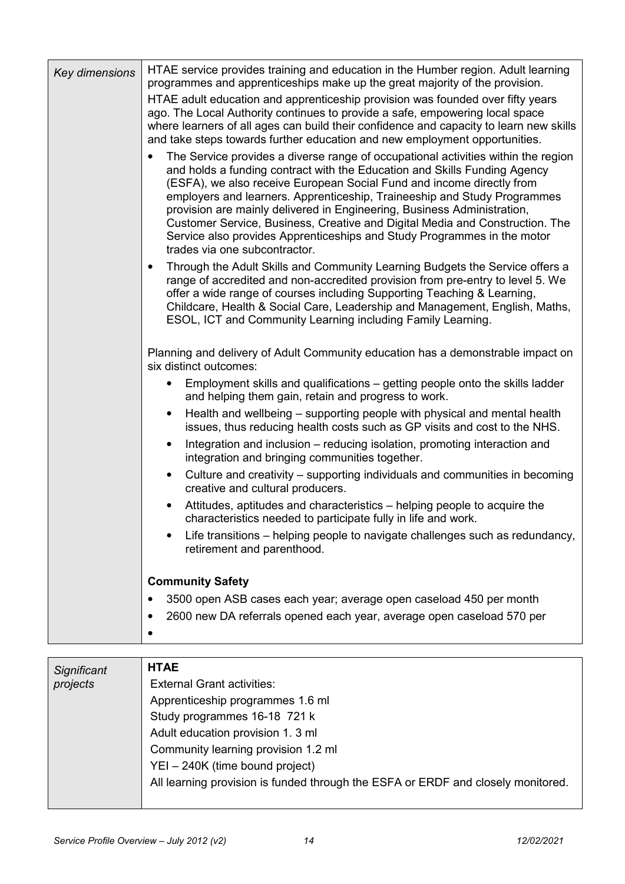| Key dimensions | HTAE service provides training and education in the Humber region. Adult learning<br>programmes and apprenticeships make up the great majority of the provision.<br>HTAE adult education and apprenticeship provision was founded over fifty years<br>ago. The Local Authority continues to provide a safe, empowering local space<br>where learners of all ages can build their confidence and capacity to learn new skills<br>and take steps towards further education and new employment opportunities.<br>The Service provides a diverse range of occupational activities within the region<br>and holds a funding contract with the Education and Skills Funding Agency<br>(ESFA), we also receive European Social Fund and income directly from<br>employers and learners. Apprenticeship, Traineeship and Study Programmes<br>provision are mainly delivered in Engineering, Business Administration,<br>Customer Service, Business, Creative and Digital Media and Construction. The<br>Service also provides Apprenticeships and Study Programmes in the motor<br>trades via one subcontractor. |
|----------------|----------------------------------------------------------------------------------------------------------------------------------------------------------------------------------------------------------------------------------------------------------------------------------------------------------------------------------------------------------------------------------------------------------------------------------------------------------------------------------------------------------------------------------------------------------------------------------------------------------------------------------------------------------------------------------------------------------------------------------------------------------------------------------------------------------------------------------------------------------------------------------------------------------------------------------------------------------------------------------------------------------------------------------------------------------------------------------------------------------|
|                | Through the Adult Skills and Community Learning Budgets the Service offers a<br>$\bullet$<br>range of accredited and non-accredited provision from pre-entry to level 5. We<br>offer a wide range of courses including Supporting Teaching & Learning,<br>Childcare, Health & Social Care, Leadership and Management, English, Maths,<br>ESOL, ICT and Community Learning including Family Learning.                                                                                                                                                                                                                                                                                                                                                                                                                                                                                                                                                                                                                                                                                                     |
|                | Planning and delivery of Adult Community education has a demonstrable impact on<br>six distinct outcomes:                                                                                                                                                                                                                                                                                                                                                                                                                                                                                                                                                                                                                                                                                                                                                                                                                                                                                                                                                                                                |
|                | Employment skills and qualifications – getting people onto the skills ladder<br>and helping them gain, retain and progress to work.                                                                                                                                                                                                                                                                                                                                                                                                                                                                                                                                                                                                                                                                                                                                                                                                                                                                                                                                                                      |
|                | Health and wellbeing – supporting people with physical and mental health<br>issues, thus reducing health costs such as GP visits and cost to the NHS.                                                                                                                                                                                                                                                                                                                                                                                                                                                                                                                                                                                                                                                                                                                                                                                                                                                                                                                                                    |
|                | Integration and inclusion – reducing isolation, promoting interaction and<br>integration and bringing communities together.                                                                                                                                                                                                                                                                                                                                                                                                                                                                                                                                                                                                                                                                                                                                                                                                                                                                                                                                                                              |
|                | Culture and creativity – supporting individuals and communities in becoming<br>creative and cultural producers.                                                                                                                                                                                                                                                                                                                                                                                                                                                                                                                                                                                                                                                                                                                                                                                                                                                                                                                                                                                          |
|                | Attitudes, aptitudes and characteristics – helping people to acquire the<br>$\bullet$<br>characteristics needed to participate fully in life and work.                                                                                                                                                                                                                                                                                                                                                                                                                                                                                                                                                                                                                                                                                                                                                                                                                                                                                                                                                   |
|                | Life transitions – helping people to navigate challenges such as redundancy,<br>retirement and parenthood.                                                                                                                                                                                                                                                                                                                                                                                                                                                                                                                                                                                                                                                                                                                                                                                                                                                                                                                                                                                               |
|                | <b>Community Safety</b>                                                                                                                                                                                                                                                                                                                                                                                                                                                                                                                                                                                                                                                                                                                                                                                                                                                                                                                                                                                                                                                                                  |
|                | 3500 open ASB cases each year; average open caseload 450 per month                                                                                                                                                                                                                                                                                                                                                                                                                                                                                                                                                                                                                                                                                                                                                                                                                                                                                                                                                                                                                                       |
|                | 2600 new DA referrals opened each year, average open caseload 570 per                                                                                                                                                                                                                                                                                                                                                                                                                                                                                                                                                                                                                                                                                                                                                                                                                                                                                                                                                                                                                                    |
|                | 1177.57                                                                                                                                                                                                                                                                                                                                                                                                                                                                                                                                                                                                                                                                                                                                                                                                                                                                                                                                                                                                                                                                                                  |

| Significant | <b>HTAE</b>                                                                      |
|-------------|----------------------------------------------------------------------------------|
| projects    | <b>External Grant activities:</b>                                                |
|             | Apprenticeship programmes 1.6 ml                                                 |
|             | Study programmes 16-18 721 k                                                     |
|             | Adult education provision 1.3 ml                                                 |
|             | Community learning provision 1.2 ml                                              |
|             | YEI - 240K (time bound project)                                                  |
|             | All learning provision is funded through the ESFA or ERDF and closely monitored. |
|             |                                                                                  |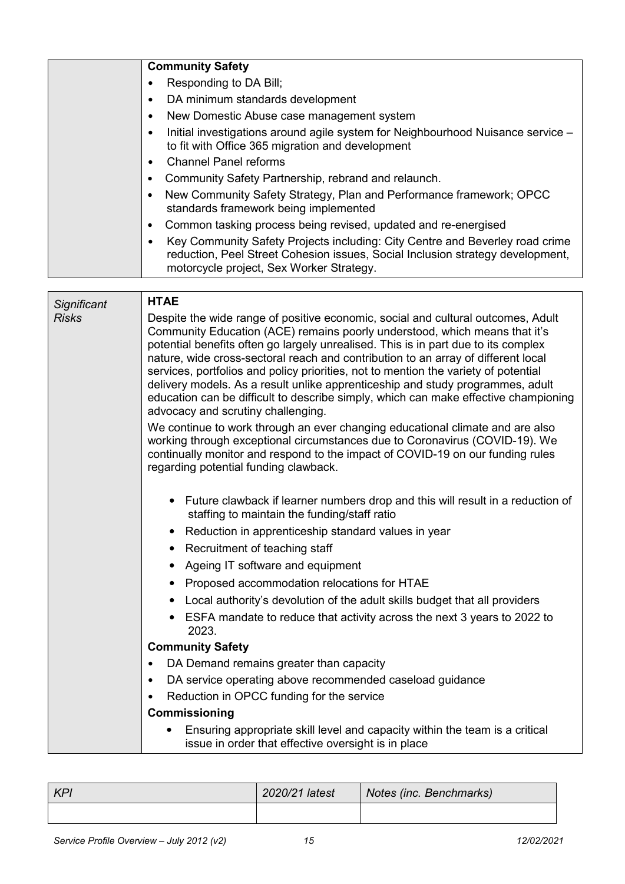|                             | <b>Community Safety</b>                                                                                                                                                                                                                                                                 |
|-----------------------------|-----------------------------------------------------------------------------------------------------------------------------------------------------------------------------------------------------------------------------------------------------------------------------------------|
|                             | Responding to DA Bill;<br>$\bullet$                                                                                                                                                                                                                                                     |
|                             | DA minimum standards development<br>$\bullet$                                                                                                                                                                                                                                           |
|                             | New Domestic Abuse case management system<br>$\bullet$                                                                                                                                                                                                                                  |
|                             | Initial investigations around agile system for Neighbourhood Nuisance service -<br>$\bullet$<br>to fit with Office 365 migration and development                                                                                                                                        |
|                             | <b>Channel Panel reforms</b><br>$\bullet$                                                                                                                                                                                                                                               |
|                             | Community Safety Partnership, rebrand and relaunch.<br>$\bullet$                                                                                                                                                                                                                        |
|                             | New Community Safety Strategy, Plan and Performance framework; OPCC<br>$\bullet$<br>standards framework being implemented                                                                                                                                                               |
|                             | Common tasking process being revised, updated and re-energised<br>$\bullet$                                                                                                                                                                                                             |
|                             | Key Community Safety Projects including: City Centre and Beverley road crime<br>$\bullet$<br>reduction, Peel Street Cohesion issues, Social Inclusion strategy development,<br>motorcycle project, Sex Worker Strategy.                                                                 |
|                             |                                                                                                                                                                                                                                                                                         |
| Significant<br><b>Risks</b> | <b>HTAE</b><br>Despite the wide range of positive economic, social and cultural outcomes, Adult<br>Community Education (ACE) remains poorly understood, which means that it's                                                                                                           |
|                             | potential benefits often go largely unrealised. This is in part due to its complex<br>nature, wide cross-sectoral reach and contribution to an array of different local<br>services, portfolios and policy priorities, not to mention the variety of potential                          |
|                             | delivery models. As a result unlike apprenticeship and study programmes, adult<br>education can be difficult to describe simply, which can make effective championing<br>advocacy and scrutiny challenging.                                                                             |
|                             | We continue to work through an ever changing educational climate and are also<br>working through exceptional circumstances due to Coronavirus (COVID-19). We<br>continually monitor and respond to the impact of COVID-19 on our funding rules<br>regarding potential funding clawback. |
|                             | Future clawback if learner numbers drop and this will result in a reduction of<br>$\bullet$<br>staffing to maintain the funding/staff ratio                                                                                                                                             |
|                             | Reduction in apprenticeship standard values in year<br>$\bullet$                                                                                                                                                                                                                        |
|                             | Recruitment of teaching staff                                                                                                                                                                                                                                                           |
|                             | Ageing IT software and equipment                                                                                                                                                                                                                                                        |
|                             | Proposed accommodation relocations for HTAE                                                                                                                                                                                                                                             |
|                             | Local authority's devolution of the adult skills budget that all providers                                                                                                                                                                                                              |
|                             | ESFA mandate to reduce that activity across the next 3 years to 2022 to<br>2023.                                                                                                                                                                                                        |
|                             | <b>Community Safety</b>                                                                                                                                                                                                                                                                 |
|                             | DA Demand remains greater than capacity<br>$\bullet$                                                                                                                                                                                                                                    |
|                             | DA service operating above recommended caseload guidance<br>$\bullet$                                                                                                                                                                                                                   |
|                             | Reduction in OPCC funding for the service                                                                                                                                                                                                                                               |
|                             | Commissioning                                                                                                                                                                                                                                                                           |
|                             | Ensuring appropriate skill level and capacity within the team is a critical<br>issue in order that effective oversight is in place                                                                                                                                                      |

| KPI | 2020/21 latest | Notes (inc. Benchmarks) |
|-----|----------------|-------------------------|
|     |                |                         |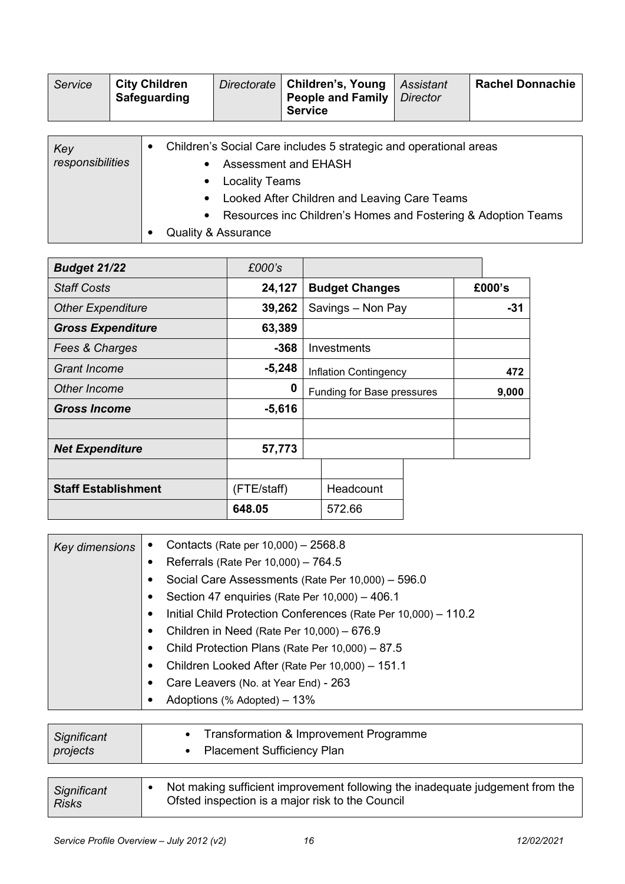| Service | <b>City Children</b><br>Safeguarding |                                                                   | Directorate   Children's, Young<br><b>People and Family</b><br><b>Service</b> | Assistant<br><b>Director</b> | <b>Rachel Donnachie</b> |  |
|---------|--------------------------------------|-------------------------------------------------------------------|-------------------------------------------------------------------------------|------------------------------|-------------------------|--|
|         |                                      |                                                                   |                                                                               |                              |                         |  |
| Key     |                                      | Children's Social Care includes 5 strategic and operational areas |                                                                               |                              |                         |  |

| Key              | Children's Social Care includes 5 strategic and operational areas |
|------------------|-------------------------------------------------------------------|
| responsibilities | Assessment and EHASH                                              |
|                  | <b>Locality Teams</b>                                             |
|                  | Looked After Children and Leaving Care Teams                      |
|                  | Resources inc Children's Homes and Fostering & Adoption Teams     |
|                  | <b>Quality &amp; Assurance</b>                                    |

| <b>Budget 21/22</b>        | £000's      |                   |                              |  |  |        |
|----------------------------|-------------|-------------------|------------------------------|--|--|--------|
| <b>Staff Costs</b>         | 24,127      |                   | <b>Budget Changes</b>        |  |  | £000's |
| <b>Other Expenditure</b>   | 39,262      | Savings - Non Pay |                              |  |  |        |
| <b>Gross Expenditure</b>   | 63,389      |                   |                              |  |  |        |
| Fees & Charges             | $-368$      |                   | Investments                  |  |  |        |
| <b>Grant Income</b>        | $-5,248$    |                   | <b>Inflation Contingency</b> |  |  | 472    |
| Other Income               | 0           |                   | Funding for Base pressures   |  |  | 9,000  |
| <b>Gross Income</b>        | $-5,616$    |                   |                              |  |  |        |
|                            |             |                   |                              |  |  |        |
| <b>Net Expenditure</b>     | 57,773      |                   |                              |  |  |        |
|                            |             |                   |                              |  |  |        |
| <b>Staff Establishment</b> | (FTE/staff) |                   | Headcount                    |  |  |        |
|                            | 648.05      |                   | 572.66                       |  |  |        |

| Key dimensions                 | Contacts (Rate per 10,000) - 2568.8<br>$\bullet$<br>Referrals (Rate Per 10,000) - 764.5<br>$\bullet$<br>Social Care Assessments (Rate Per 10,000) - 596.0<br>$\bullet$<br>Section 47 enquiries (Rate Per $10,000$ ) - 406.1<br>Initial Child Protection Conferences (Rate Per 10,000) – 110.2<br>$\bullet$<br>Children in Need (Rate Per 10,000) - 676.9<br>$\bullet$<br>Child Protection Plans (Rate Per $10,000$ ) – 87.5<br>$\bullet$<br>Children Looked After (Rate Per 10,000) - 151.1<br>$\bullet$<br>Care Leavers (No. at Year End) - 263<br>$\bullet$<br>Adoptions (% Adopted) – 13% |
|--------------------------------|----------------------------------------------------------------------------------------------------------------------------------------------------------------------------------------------------------------------------------------------------------------------------------------------------------------------------------------------------------------------------------------------------------------------------------------------------------------------------------------------------------------------------------------------------------------------------------------------|
|                                |                                                                                                                                                                                                                                                                                                                                                                                                                                                                                                                                                                                              |
| <b>Significant</b><br>projects | Transformation & Improvement Programme<br>$\bullet$<br><b>Placement Sufficiency Plan</b><br>٠                                                                                                                                                                                                                                                                                                                                                                                                                                                                                                |
|                                |                                                                                                                                                                                                                                                                                                                                                                                                                                                                                                                                                                                              |
| <b>Significant</b><br>Risks    | Not making sufficient improvement following the inadequate judgement from the<br>$\bullet$<br>Ofsted inspection is a major risk to the Council                                                                                                                                                                                                                                                                                                                                                                                                                                               |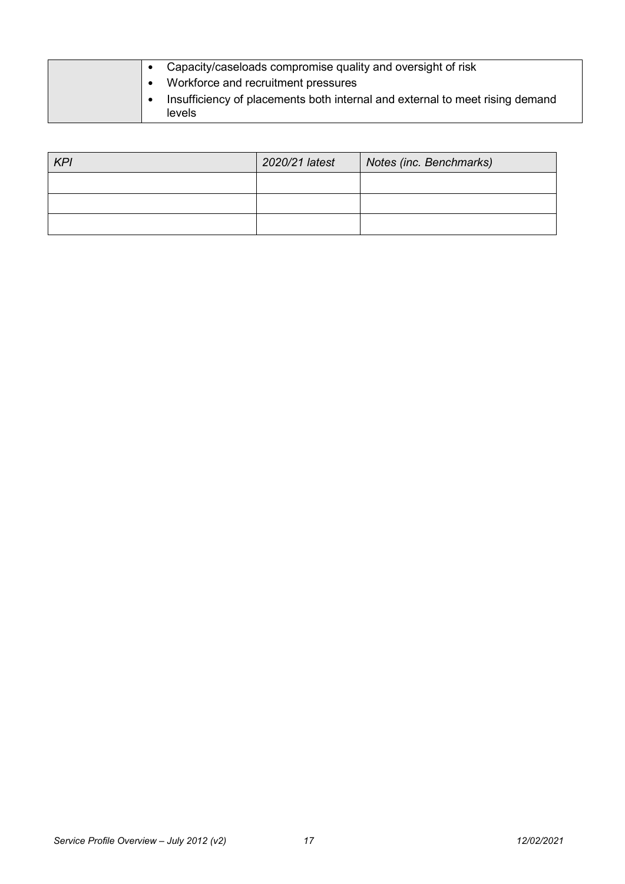| Capacity/caseloads compromise quality and oversight of risk                            |
|----------------------------------------------------------------------------------------|
| Workforce and recruitment pressures                                                    |
| Insufficiency of placements both internal and external to meet rising demand<br>levels |

| KPI | 2020/21 latest | Notes (inc. Benchmarks) |
|-----|----------------|-------------------------|
|     |                |                         |
|     |                |                         |
|     |                |                         |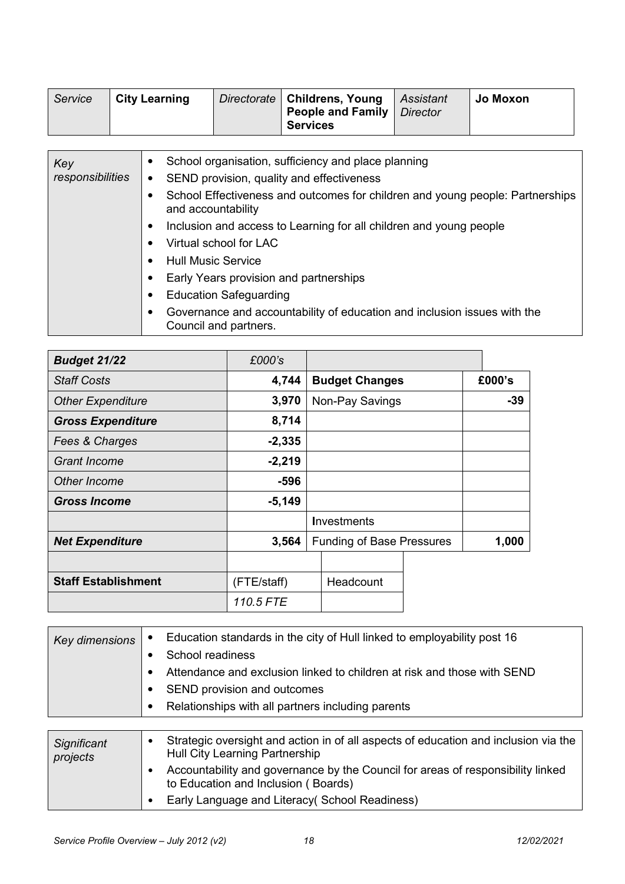| Service                                                                                                |  | <b>City Learning</b>                                               | Directorate                                                                   | <b>Childrens, Young</b><br><b>People and Family</b><br><b>Services</b> | Assistant<br><b>Director</b> | Jo Moxon |
|--------------------------------------------------------------------------------------------------------|--|--------------------------------------------------------------------|-------------------------------------------------------------------------------|------------------------------------------------------------------------|------------------------------|----------|
|                                                                                                        |  |                                                                    |                                                                               |                                                                        |                              |          |
| Key                                                                                                    |  | $\bullet$                                                          |                                                                               | School organisation, sufficiency and place planning                    |                              |          |
| responsibilities<br>SEND provision, quality and effectiveness<br>$\bullet$                             |  |                                                                    |                                                                               |                                                                        |                              |          |
| $\bullet$<br>and accountability                                                                        |  |                                                                    | School Effectiveness and outcomes for children and young people: Partnerships |                                                                        |                              |          |
| $\bullet$                                                                                              |  | Inclusion and access to Learning for all children and young people |                                                                               |                                                                        |                              |          |
|                                                                                                        |  | $\bullet$                                                          | Virtual school for LAC                                                        |                                                                        |                              |          |
| $\bullet$                                                                                              |  | <b>Hull Music Service</b>                                          |                                                                               |                                                                        |                              |          |
| $\bullet$                                                                                              |  | Early Years provision and partnerships                             |                                                                               |                                                                        |                              |          |
| <b>Education Safeguarding</b><br>$\bullet$                                                             |  |                                                                    |                                                                               |                                                                        |                              |          |
| Governance and accountability of education and inclusion issues with the<br>٠<br>Council and partners. |  |                                                                    |                                                                               |                                                                        |                              |          |

| <b>Budget 21/22</b>        | £000's      |                                  |  |        |
|----------------------------|-------------|----------------------------------|--|--------|
| <b>Staff Costs</b>         | 4,744       | <b>Budget Changes</b>            |  | £000's |
| <b>Other Expenditure</b>   | 3,970       | Non-Pay Savings                  |  | $-39$  |
| <b>Gross Expenditure</b>   | 8,714       |                                  |  |        |
| Fees & Charges             | $-2,335$    |                                  |  |        |
| Grant Income               | $-2,219$    |                                  |  |        |
| Other Income               | $-596$      |                                  |  |        |
| <b>Gross Income</b>        | $-5,149$    |                                  |  |        |
|                            |             | <b>Investments</b>               |  |        |
| <b>Net Expenditure</b>     | 3,564       | <b>Funding of Base Pressures</b> |  | 1,000  |
|                            |             |                                  |  |        |
| <b>Staff Establishment</b> | (FTE/staff) | Headcount                        |  |        |
|                            | 110.5 FTE   |                                  |  |        |

| Key dimensions          | Education standards in the city of Hull linked to employability post 16<br>School readiness                                        |
|-------------------------|------------------------------------------------------------------------------------------------------------------------------------|
|                         | Attendance and exclusion linked to children at risk and those with SEND<br>$\bullet$                                               |
|                         | SEND provision and outcomes<br>$\bullet$                                                                                           |
|                         | Relationships with all partners including parents<br>$\bullet$                                                                     |
|                         |                                                                                                                                    |
| Significant<br>projects | Strategic oversight and action in of all aspects of education and inclusion via the<br>$\bullet$<br>Hull City Learning Partnership |
|                         | Accountability and governance by the Council for areas of responsibility linked<br>٠<br>to Education and Inclusion (Boards)        |
|                         | Early Language and Literacy (School Readiness)<br>$\bullet$                                                                        |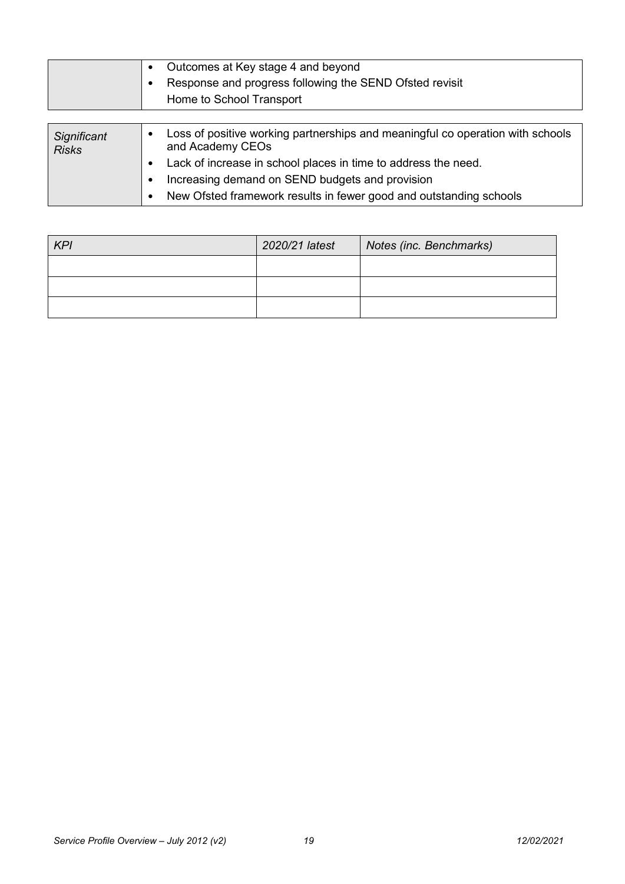|                                         | Outcomes at Key stage 4 and beyond<br>Response and progress following the SEND Ofsted revisit<br>Home to School Transport |
|-----------------------------------------|---------------------------------------------------------------------------------------------------------------------------|
|                                         |                                                                                                                           |
| $\bigcap_{i=1}^{n}$ $\bigcup_{i=1}^{n}$ | Loss of positive working partnerships and meaningful co-operation with schools.                                           |

| Significant<br><b>Risks</b> | Loss of positive working partnerships and meaningful co operation with schools<br>and Academy CEOs |
|-----------------------------|----------------------------------------------------------------------------------------------------|
|                             | Lack of increase in school places in time to address the need.                                     |
|                             | Increasing demand on SEND budgets and provision                                                    |
|                             | New Ofsted framework results in fewer good and outstanding schools                                 |

| <b>KPI</b> | 2020/21 latest | Notes (inc. Benchmarks) |  |  |
|------------|----------------|-------------------------|--|--|
|            |                |                         |  |  |
|            |                |                         |  |  |
|            |                |                         |  |  |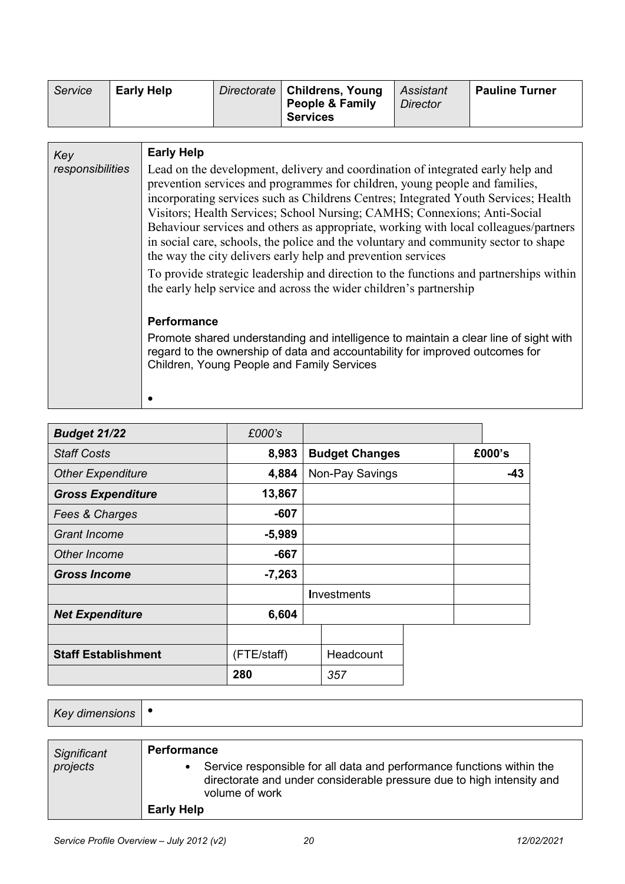| Service | <b>Early Help</b> | Directorate   Childrens, Young<br><b>People &amp; Family</b> | Assistant<br>Director | <b>Pauline Turner</b> |
|---------|-------------------|--------------------------------------------------------------|-----------------------|-----------------------|
|         |                   | <b>Services</b>                                              |                       |                       |

| Key              | <b>Early Help</b>                                                                                                                                                                                                                                                                                                                                                                                                                                                                                                                                                                 |
|------------------|-----------------------------------------------------------------------------------------------------------------------------------------------------------------------------------------------------------------------------------------------------------------------------------------------------------------------------------------------------------------------------------------------------------------------------------------------------------------------------------------------------------------------------------------------------------------------------------|
| responsibilities | Lead on the development, delivery and coordination of integrated early help and<br>prevention services and programmes for children, young people and families,<br>incorporating services such as Childrens Centres; Integrated Youth Services; Health<br>Visitors; Health Services; School Nursing; CAMHS; Connexions; Anti-Social<br>Behaviour services and others as appropriate, working with local colleagues/partners<br>in social care, schools, the police and the voluntary and community sector to shape<br>the way the city delivers early help and prevention services |
|                  | To provide strategic leadership and direction to the functions and partnerships within<br>the early help service and across the wider children's partnership                                                                                                                                                                                                                                                                                                                                                                                                                      |
|                  | <b>Performance</b>                                                                                                                                                                                                                                                                                                                                                                                                                                                                                                                                                                |
|                  | Promote shared understanding and intelligence to maintain a clear line of sight with<br>regard to the ownership of data and accountability for improved outcomes for<br>Children, Young People and Family Services                                                                                                                                                                                                                                                                                                                                                                |
|                  |                                                                                                                                                                                                                                                                                                                                                                                                                                                                                                                                                                                   |

| <b>Budget 21/22</b>        | £000's      |                       |  |        |
|----------------------------|-------------|-----------------------|--|--------|
| <b>Staff Costs</b>         | 8,983       | <b>Budget Changes</b> |  | £000's |
| <b>Other Expenditure</b>   | 4,884       | Non-Pay Savings       |  | -43    |
| <b>Gross Expenditure</b>   | 13,867      |                       |  |        |
| Fees & Charges             | $-607$      |                       |  |        |
| <b>Grant Income</b>        | $-5,989$    |                       |  |        |
| Other Income               | -667        |                       |  |        |
| <b>Gross Income</b>        | $-7,263$    |                       |  |        |
|                            |             | <b>Investments</b>    |  |        |
| <b>Net Expenditure</b>     | 6,604       |                       |  |        |
|                            |             |                       |  |        |
| <b>Staff Establishment</b> | (FTE/staff) | Headcount             |  |        |
|                            | 280         | 357                   |  |        |

| . .<br>$K_{\mathsf{P}}$<br>alizza e se e i e se e<br>ev aimer<br>ansions. |  |
|---------------------------------------------------------------------------|--|
|                                                                           |  |

| Significant | <b>Performance</b>                                                                                                                                               |  |  |  |  |
|-------------|------------------------------------------------------------------------------------------------------------------------------------------------------------------|--|--|--|--|
| projects    | Service responsible for all data and performance functions within the<br>directorate and under considerable pressure due to high intensity and<br>volume of work |  |  |  |  |
|             | <b>Early Help</b>                                                                                                                                                |  |  |  |  |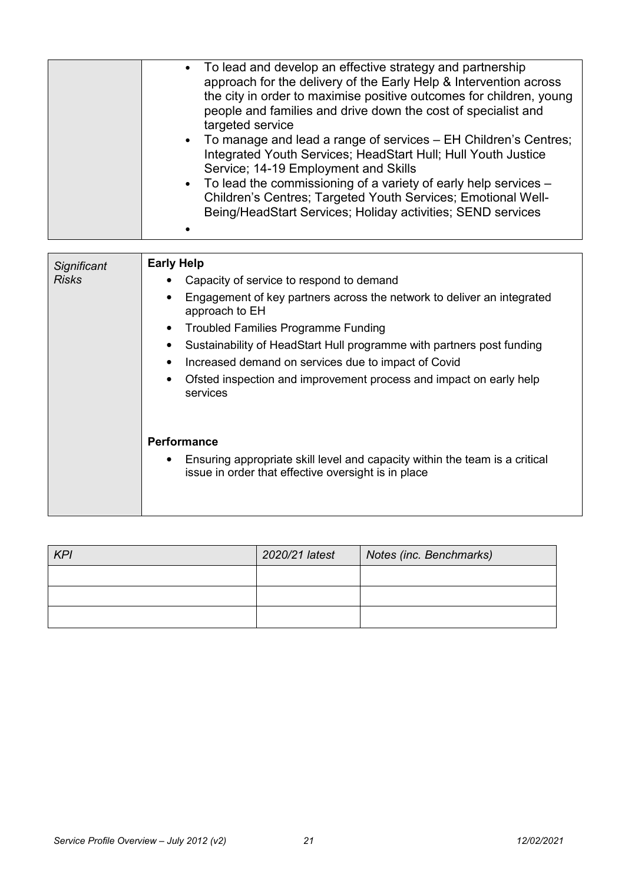| • To lead and develop an effective strategy and partnership<br>approach for the delivery of the Early Help & Intervention across<br>the city in order to maximise positive outcomes for children, young<br>people and families and drive down the cost of specialist and<br>targeted service<br>• To manage and lead a range of services – EH Children's Centres;<br>Integrated Youth Services; HeadStart Hull; Hull Youth Justice<br>Service; 14-19 Employment and Skills<br>• To lead the commissioning of a variety of early help services -<br>Children's Centres; Targeted Youth Services; Emotional Well-<br>Being/HeadStart Services; Holiday activities; SEND services |
|--------------------------------------------------------------------------------------------------------------------------------------------------------------------------------------------------------------------------------------------------------------------------------------------------------------------------------------------------------------------------------------------------------------------------------------------------------------------------------------------------------------------------------------------------------------------------------------------------------------------------------------------------------------------------------|
|                                                                                                                                                                                                                                                                                                                                                                                                                                                                                                                                                                                                                                                                                |

| Significant  | <b>Early Help</b>                                                                                                                                        |
|--------------|----------------------------------------------------------------------------------------------------------------------------------------------------------|
| <b>Risks</b> | Capacity of service to respond to demand                                                                                                                 |
|              | Engagement of key partners across the network to deliver an integrated<br>approach to EH                                                                 |
|              | <b>Troubled Families Programme Funding</b><br>$\bullet$                                                                                                  |
|              | Sustainability of HeadStart Hull programme with partners post funding                                                                                    |
|              | Increased demand on services due to impact of Covid<br>$\bullet$                                                                                         |
|              | Ofsted inspection and improvement process and impact on early help<br>services                                                                           |
|              | <b>Performance</b><br>Ensuring appropriate skill level and capacity within the team is a critical<br>issue in order that effective oversight is in place |
|              |                                                                                                                                                          |

| <b>KPI</b> | 2020/21 latest | Notes (inc. Benchmarks) |
|------------|----------------|-------------------------|
|            |                |                         |
|            |                |                         |
|            |                |                         |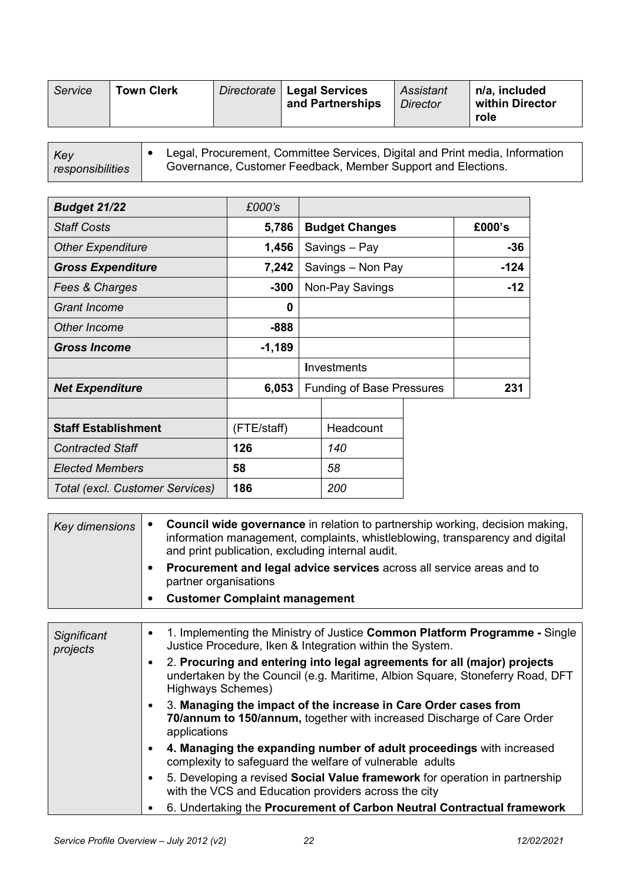| <b>Town Clerk</b><br>Service | Directorate   Legal Services<br>and Partnerships | Assistant<br><b>Director</b> | n/a, included<br>within Director<br>role |
|------------------------------|--------------------------------------------------|------------------------------|------------------------------------------|
|------------------------------|--------------------------------------------------|------------------------------|------------------------------------------|

| Key              |  |
|------------------|--|
| responsibilities |  |

• Legal, Procurement, Committee Services, Digital and Print media, Information Governance, Customer Feedback, Member Support and Elections.

| <b>Budget 21/22</b>             | £000's      |                                  |  |        |
|---------------------------------|-------------|----------------------------------|--|--------|
| <b>Staff Costs</b>              | 5,786       | <b>Budget Changes</b>            |  | £000's |
| <b>Other Expenditure</b>        | 1,456       | Savings - Pay                    |  |        |
| <b>Gross Expenditure</b>        | 7,242       | Savings - Non Pay                |  | $-124$ |
| Fees & Charges                  | $-300$      | Non-Pay Savings                  |  | $-12$  |
| Grant Income                    | 0           |                                  |  |        |
| <b>Other Income</b>             | -888        |                                  |  |        |
| <b>Gross Income</b>             | $-1,189$    |                                  |  |        |
|                                 |             | <b>Investments</b>               |  |        |
| <b>Net Expenditure</b>          | 6,053       | <b>Funding of Base Pressures</b> |  | 231    |
|                                 |             |                                  |  |        |
| <b>Staff Establishment</b>      | (FTE/staff) | Headcount                        |  |        |
| <b>Contracted Staff</b>         | 126         | 140                              |  |        |
| <b>Elected Members</b>          | 58          | 58                               |  |        |
| Total (excl. Customer Services) | 186         | 200                              |  |        |

| Key dimensions          | Council wide governance in relation to partnership working, decision making,<br>$\bullet$<br>information management, complaints, whistleblowing, transparency and digital<br>and print publication, excluding internal audit. |  |  |  |
|-------------------------|-------------------------------------------------------------------------------------------------------------------------------------------------------------------------------------------------------------------------------|--|--|--|
|                         | Procurement and legal advice services across all service areas and to<br>$\bullet$<br>partner organisations                                                                                                                   |  |  |  |
|                         | <b>Customer Complaint management</b><br>٠                                                                                                                                                                                     |  |  |  |
|                         |                                                                                                                                                                                                                               |  |  |  |
| Significant<br>projects | 1. Implementing the Ministry of Justice Common Platform Programme - Single<br>Justice Procedure, Iken & Integration within the System.                                                                                        |  |  |  |
|                         | 2. Procuring and entering into legal agreements for all (major) projects<br>$\bullet$<br>undertaken by the Council (e.g. Maritime, Albion Square, Stoneferry Road, DFT<br><b>Highways Schemes)</b>                            |  |  |  |
|                         | 3. Managing the impact of the increase in Care Order cases from<br>$\bullet$<br>70/annum to 150/annum, together with increased Discharge of Care Order<br>applications                                                        |  |  |  |
|                         | 4. Managing the expanding number of adult proceedings with increased<br>$\bullet$<br>complexity to safeguard the welfare of vulnerable adults                                                                                 |  |  |  |
|                         | 5. Developing a revised Social Value framework for operation in partnership<br>$\bullet$<br>with the VCS and Education providers across the city                                                                              |  |  |  |
|                         | 6. Undertaking the Procurement of Carbon Neutral Contractual framework                                                                                                                                                        |  |  |  |
|                         |                                                                                                                                                                                                                               |  |  |  |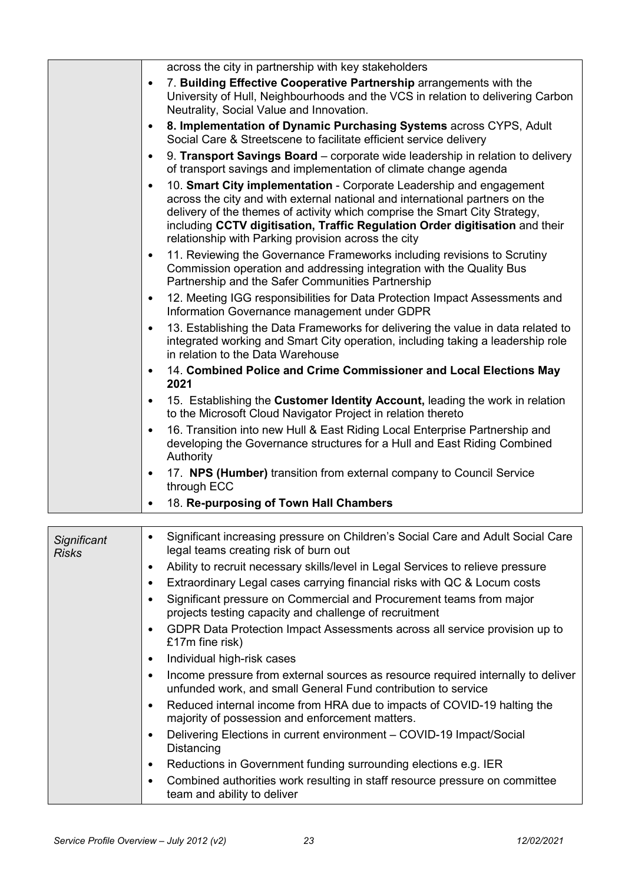|                             | across the city in partnership with key stakeholders                                                                                                                                                                                                                                                                                                                                  |
|-----------------------------|---------------------------------------------------------------------------------------------------------------------------------------------------------------------------------------------------------------------------------------------------------------------------------------------------------------------------------------------------------------------------------------|
|                             | 7. Building Effective Cooperative Partnership arrangements with the<br>$\bullet$                                                                                                                                                                                                                                                                                                      |
|                             | University of Hull, Neighbourhoods and the VCS in relation to delivering Carbon                                                                                                                                                                                                                                                                                                       |
|                             | Neutrality, Social Value and Innovation.                                                                                                                                                                                                                                                                                                                                              |
|                             | 8. Implementation of Dynamic Purchasing Systems across CYPS, Adult<br>$\bullet$<br>Social Care & Streetscene to facilitate efficient service delivery                                                                                                                                                                                                                                 |
|                             | 9. Transport Savings Board – corporate wide leadership in relation to delivery<br>$\bullet$<br>of transport savings and implementation of climate change agenda                                                                                                                                                                                                                       |
|                             | 10. Smart City implementation - Corporate Leadership and engagement<br>$\bullet$<br>across the city and with external national and international partners on the<br>delivery of the themes of activity which comprise the Smart City Strategy,<br>including CCTV digitisation, Traffic Regulation Order digitisation and their<br>relationship with Parking provision across the city |
|                             | 11. Reviewing the Governance Frameworks including revisions to Scrutiny<br>$\bullet$<br>Commission operation and addressing integration with the Quality Bus<br>Partnership and the Safer Communities Partnership                                                                                                                                                                     |
|                             | 12. Meeting IGG responsibilities for Data Protection Impact Assessments and<br>$\bullet$<br>Information Governance management under GDPR                                                                                                                                                                                                                                              |
|                             | 13. Establishing the Data Frameworks for delivering the value in data related to<br>$\bullet$<br>integrated working and Smart City operation, including taking a leadership role<br>in relation to the Data Warehouse                                                                                                                                                                 |
|                             | 14. Combined Police and Crime Commissioner and Local Elections May<br>2021                                                                                                                                                                                                                                                                                                            |
|                             | 15. Establishing the Customer Identity Account, leading the work in relation<br>$\bullet$<br>to the Microsoft Cloud Navigator Project in relation thereto                                                                                                                                                                                                                             |
|                             | 16. Transition into new Hull & East Riding Local Enterprise Partnership and<br>$\bullet$<br>developing the Governance structures for a Hull and East Riding Combined<br>Authority                                                                                                                                                                                                     |
|                             | 17. NPS (Humber) transition from external company to Council Service<br>$\bullet$<br>through ECC                                                                                                                                                                                                                                                                                      |
|                             | 18. Re-purposing of Town Hall Chambers                                                                                                                                                                                                                                                                                                                                                |
|                             |                                                                                                                                                                                                                                                                                                                                                                                       |
| Significant<br><b>Risks</b> | Significant increasing pressure on Children's Social Care and Adult Social Care<br>$\bullet$<br>legal teams creating risk of burn out                                                                                                                                                                                                                                                 |
|                             | Ability to recruit necessary skills/level in Legal Services to relieve pressure<br>$\bullet$                                                                                                                                                                                                                                                                                          |
|                             | Extraordinary Legal cases carrying financial risks with QC & Locum costs<br>٠                                                                                                                                                                                                                                                                                                         |
|                             | Significant pressure on Commercial and Procurement teams from major<br>$\bullet$<br>projects testing capacity and challenge of recruitment                                                                                                                                                                                                                                            |
|                             | GDPR Data Protection Impact Assessments across all service provision up to<br>$\bullet$<br>£17m fine risk)                                                                                                                                                                                                                                                                            |
|                             | Individual high-risk cases<br>$\bullet$                                                                                                                                                                                                                                                                                                                                               |
|                             | Income pressure from external sources as resource required internally to deliver<br>$\bullet$                                                                                                                                                                                                                                                                                         |
|                             | unfunded work, and small General Fund contribution to service                                                                                                                                                                                                                                                                                                                         |
|                             | Reduced internal income from HRA due to impacts of COVID-19 halting the<br>$\bullet$<br>majority of possession and enforcement matters.                                                                                                                                                                                                                                               |
|                             | Delivering Elections in current environment - COVID-19 Impact/Social<br>$\bullet$<br>Distancing                                                                                                                                                                                                                                                                                       |
|                             | Reductions in Government funding surrounding elections e.g. IER<br>٠                                                                                                                                                                                                                                                                                                                  |
|                             | Combined authorities work resulting in staff resource pressure on committee<br>$\bullet$                                                                                                                                                                                                                                                                                              |
|                             | team and ability to deliver                                                                                                                                                                                                                                                                                                                                                           |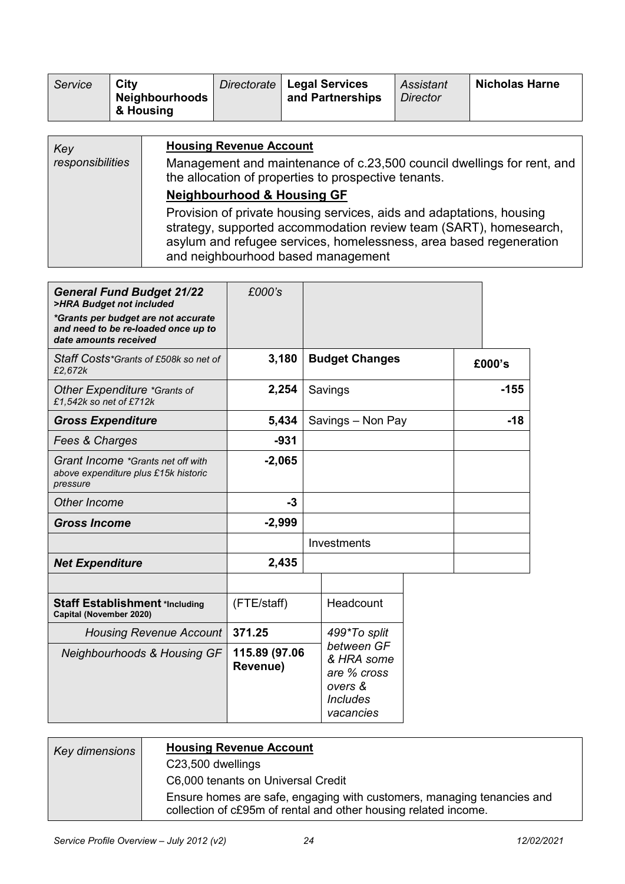| Key              | <b>Housing Revenue Account</b>                                                                                                                                                                                                                        |  |  |  |  |
|------------------|-------------------------------------------------------------------------------------------------------------------------------------------------------------------------------------------------------------------------------------------------------|--|--|--|--|
| responsibilities | Management and maintenance of c.23,500 council dwellings for rent, and<br>the allocation of properties to prospective tenants.                                                                                                                        |  |  |  |  |
|                  | <b>Neighbourhood &amp; Housing GF</b>                                                                                                                                                                                                                 |  |  |  |  |
|                  | Provision of private housing services, aids and adaptations, housing<br>strategy, supported accommodation review team (SART), homesearch,<br>asylum and refugee services, homelessness, area based regeneration<br>and neighbourhood based management |  |  |  |  |

| <b>General Fund Budget 21/22</b><br>>HRA Budget not included<br>*Grants per budget are not accurate<br>and need to be re-loaded once up to<br>date amounts received | £000's                    |  |                                                                                    |  |        |
|---------------------------------------------------------------------------------------------------------------------------------------------------------------------|---------------------------|--|------------------------------------------------------------------------------------|--|--------|
| Staff Costs*Grants of £508k so net of<br>£2.672k                                                                                                                    | 3,180                     |  | <b>Budget Changes</b>                                                              |  | £000's |
| Other Expenditure *Grants of<br>£1,542k so net of £712k                                                                                                             | 2,254                     |  | Savings                                                                            |  | $-155$ |
| <b>Gross Expenditure</b>                                                                                                                                            | 5,434                     |  | Savings - Non Pay                                                                  |  | $-18$  |
| Fees & Charges                                                                                                                                                      | $-931$                    |  |                                                                                    |  |        |
| Grant Income *Grants net off with<br>above expenditure plus £15k historic<br>pressure                                                                               | $-2,065$                  |  |                                                                                    |  |        |
| Other Income                                                                                                                                                        | $-3$                      |  |                                                                                    |  |        |
| <b>Gross Income</b>                                                                                                                                                 | $-2,999$                  |  |                                                                                    |  |        |
|                                                                                                                                                                     |                           |  | Investments                                                                        |  |        |
| <b>Net Expenditure</b>                                                                                                                                              | 2,435                     |  |                                                                                    |  |        |
|                                                                                                                                                                     |                           |  |                                                                                    |  |        |
| (FTE/staff)<br><b>Staff Establishment *Including</b><br>Capital (November 2020)                                                                                     |                           |  | Headcount                                                                          |  |        |
| <b>Housing Revenue Account</b>                                                                                                                                      | 371.25                    |  | 499*To split                                                                       |  |        |
| <b>Neighbourhoods &amp; Housing GF</b>                                                                                                                              | 115.89 (97.06<br>Revenue) |  | between GF<br>& HRA some<br>are % cross<br>overs &<br><b>Includes</b><br>vacancies |  |        |

| Key dimensions | <b>Housing Revenue Account</b>                                                                                                            |
|----------------|-------------------------------------------------------------------------------------------------------------------------------------------|
|                | C23,500 dwellings                                                                                                                         |
|                | C6,000 tenants on Universal Credit                                                                                                        |
|                | Ensure homes are safe, engaging with customers, managing tenancies and<br>collection of c£95m of rental and other housing related income. |
|                |                                                                                                                                           |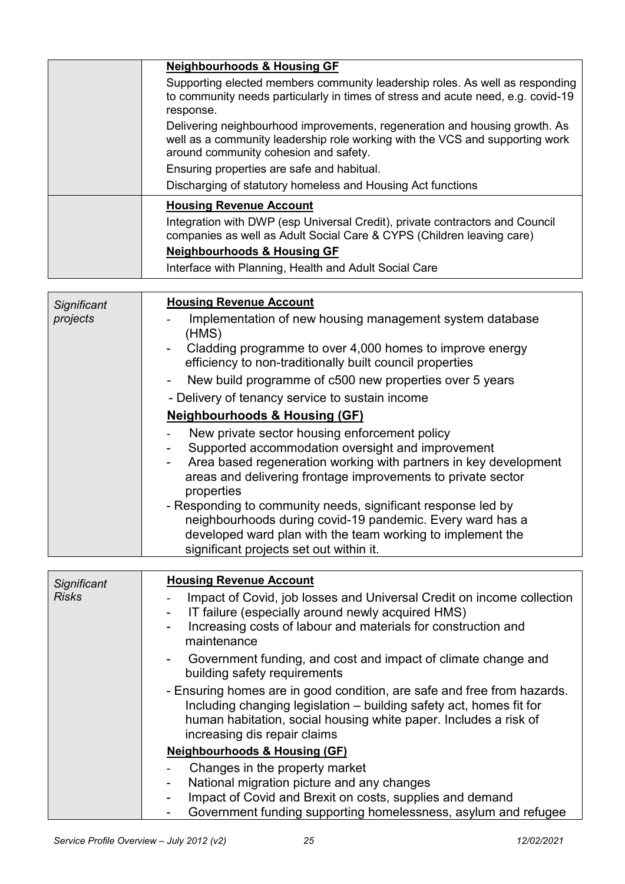| <b>Neighbourhoods &amp; Housing GF</b>                                                                                                                                                              |
|-----------------------------------------------------------------------------------------------------------------------------------------------------------------------------------------------------|
| Supporting elected members community leadership roles. As well as responding<br>to community needs particularly in times of stress and acute need, e.g. covid-19<br>response.                       |
| Delivering neighbourhood improvements, regeneration and housing growth. As<br>well as a community leadership role working with the VCS and supporting work<br>around community cohesion and safety. |
| Ensuring properties are safe and habitual.                                                                                                                                                          |
| Discharging of statutory homeless and Housing Act functions                                                                                                                                         |
| <b>Housing Revenue Account</b>                                                                                                                                                                      |
| Integration with DWP (esp Universal Credit), private contractors and Council<br>companies as well as Adult Social Care & CYPS (Children leaving care)                                               |
| <b>Neighbourhoods &amp; Housing GF</b>                                                                                                                                                              |
| Interface with Planning, Health and Adult Social Care                                                                                                                                               |

| Significant | <b>Housing Revenue Account</b>                                                                                                                                                                                                                       |
|-------------|------------------------------------------------------------------------------------------------------------------------------------------------------------------------------------------------------------------------------------------------------|
| projects    | Implementation of new housing management system database<br>(HMS)                                                                                                                                                                                    |
|             | Cladding programme to over 4,000 homes to improve energy<br>efficiency to non-traditionally built council properties                                                                                                                                 |
|             | New build programme of c500 new properties over 5 years                                                                                                                                                                                              |
|             | - Delivery of tenancy service to sustain income                                                                                                                                                                                                      |
|             | <b>Neighbourhoods &amp; Housing (GF)</b>                                                                                                                                                                                                             |
|             | New private sector housing enforcement policy<br>Supported accommodation oversight and improvement<br>Area based regeneration working with partners in key development<br>areas and delivering frontage improvements to private sector<br>properties |
|             | - Responding to community needs, significant response led by<br>neighbourhoods during covid-19 pandemic. Every ward has a<br>developed ward plan with the team working to implement the<br>significant projects set out within it.                   |

| Significant  | <b>Housing Revenue Account</b>                                                                                                                                                                                                                     |
|--------------|----------------------------------------------------------------------------------------------------------------------------------------------------------------------------------------------------------------------------------------------------|
| <b>Risks</b> | Impact of Covid, job losses and Universal Credit on income collection<br>IT failure (especially around newly acquired HMS)<br>Increasing costs of labour and materials for construction and<br>maintenance                                         |
|              | Government funding, and cost and impact of climate change and<br>building safety requirements                                                                                                                                                      |
|              | - Ensuring homes are in good condition, are safe and free from hazards.<br>Including changing legislation – building safety act, homes fit for<br>human habitation, social housing white paper. Includes a risk of<br>increasing dis repair claims |
|              | <b>Neighbourhoods &amp; Housing (GF)</b>                                                                                                                                                                                                           |
|              | Changes in the property market<br>National migration picture and any changes<br>Impact of Covid and Brexit on costs, supplies and demand                                                                                                           |
|              | Government funding supporting homelessness, asylum and refugee                                                                                                                                                                                     |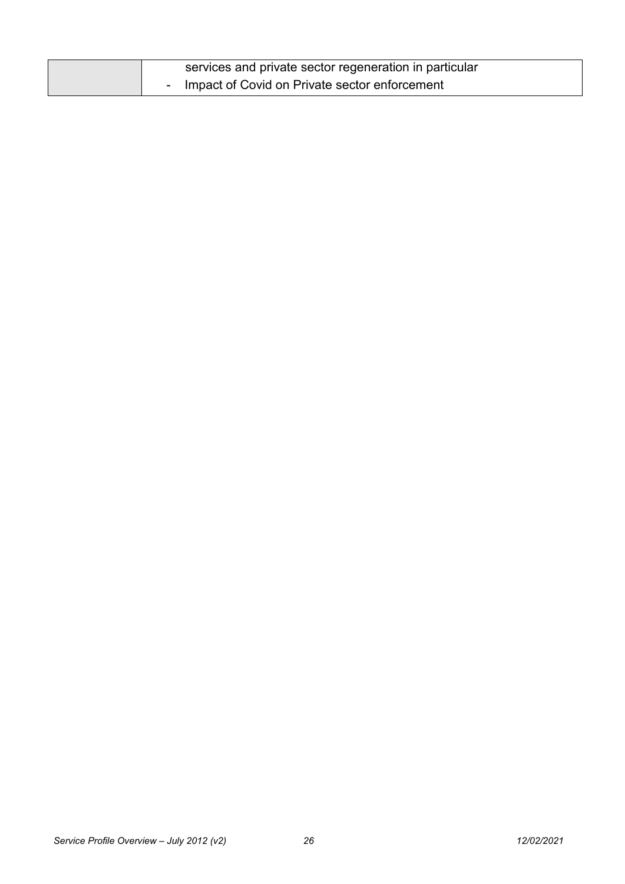| services and private sector regeneration in particular |
|--------------------------------------------------------|
| Impact of Covid on Private sector enforcement          |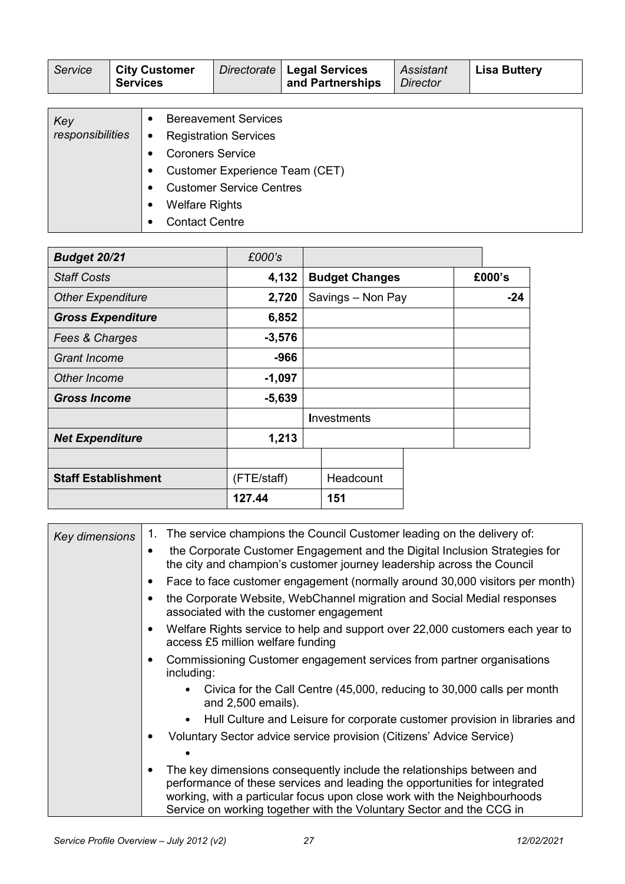| Service                                                                                                                                                                                                                                                                              | <b>City Customer</b><br><b>Services</b> |  | <b>Directorate</b> | <b>Legal Services</b><br>and Partnerships | Assistant<br><b>Director</b> | <b>Lisa Buttery</b> |
|--------------------------------------------------------------------------------------------------------------------------------------------------------------------------------------------------------------------------------------------------------------------------------------|-----------------------------------------|--|--------------------|-------------------------------------------|------------------------------|---------------------|
|                                                                                                                                                                                                                                                                                      |                                         |  |                    |                                           |                              |                     |
| <b>Bereavement Services</b><br>Key<br>responsibilities<br><b>Registration Services</b><br>$\bullet$<br><b>Coroners Service</b><br>Customer Experience Team (CET)<br>$\bullet$<br><b>Customer Service Centres</b><br>٠<br><b>Welfare Rights</b><br>$\bullet$<br><b>Contact Centre</b> |                                         |  |                    |                                           |                              |                     |

| <b>Budget 20/21</b>        | £000's      |                       |                    |  |                   |  |  |       |
|----------------------------|-------------|-----------------------|--------------------|--|-------------------|--|--|-------|
| <b>Staff Costs</b>         | 4,132       | <b>Budget Changes</b> |                    |  | £000's            |  |  |       |
| <b>Other Expenditure</b>   | 2,720       |                       |                    |  | Savings - Non Pay |  |  | $-24$ |
| <b>Gross Expenditure</b>   | 6,852       |                       |                    |  |                   |  |  |       |
| Fees & Charges             | $-3,576$    |                       |                    |  |                   |  |  |       |
| Grant Income               | $-966$      |                       |                    |  |                   |  |  |       |
| Other Income               | $-1,097$    |                       |                    |  |                   |  |  |       |
| <b>Gross Income</b>        | $-5,639$    |                       |                    |  |                   |  |  |       |
|                            |             |                       | <b>Investments</b> |  |                   |  |  |       |
| <b>Net Expenditure</b>     | 1,213       |                       |                    |  |                   |  |  |       |
|                            |             |                       |                    |  |                   |  |  |       |
| <b>Staff Establishment</b> | (FTE/staff) |                       | Headcount          |  |                   |  |  |       |
|                            | 127.44      |                       | 151                |  |                   |  |  |       |

| Key dimensions | The service champions the Council Customer leading on the delivery of:<br>1.                                                                                                                                                                                                                                         |
|----------------|----------------------------------------------------------------------------------------------------------------------------------------------------------------------------------------------------------------------------------------------------------------------------------------------------------------------|
|                | the Corporate Customer Engagement and the Digital Inclusion Strategies for<br>$\bullet$<br>the city and champion's customer journey leadership across the Council                                                                                                                                                    |
|                | Face to face customer engagement (normally around 30,000 visitors per month)<br>$\bullet$                                                                                                                                                                                                                            |
|                | the Corporate Website, WebChannel migration and Social Medial responses<br>$\bullet$<br>associated with the customer engagement                                                                                                                                                                                      |
|                | Welfare Rights service to help and support over 22,000 customers each year to<br>$\bullet$<br>access £5 million welfare funding                                                                                                                                                                                      |
|                | Commissioning Customer engagement services from partner organisations<br>$\bullet$<br>including:                                                                                                                                                                                                                     |
|                | Civica for the Call Centre (45,000, reducing to 30,000 calls per month<br>$\bullet$<br>and 2,500 emails).                                                                                                                                                                                                            |
|                | Hull Culture and Leisure for corporate customer provision in libraries and<br>$\bullet$                                                                                                                                                                                                                              |
|                | Voluntary Sector advice service provision (Citizens' Advice Service)<br>$\bullet$                                                                                                                                                                                                                                    |
|                |                                                                                                                                                                                                                                                                                                                      |
|                | The key dimensions consequently include the relationships between and<br>$\bullet$<br>performance of these services and leading the opportunities for integrated<br>working, with a particular focus upon close work with the Neighbourhoods<br>Service on working together with the Voluntary Sector and the CCG in |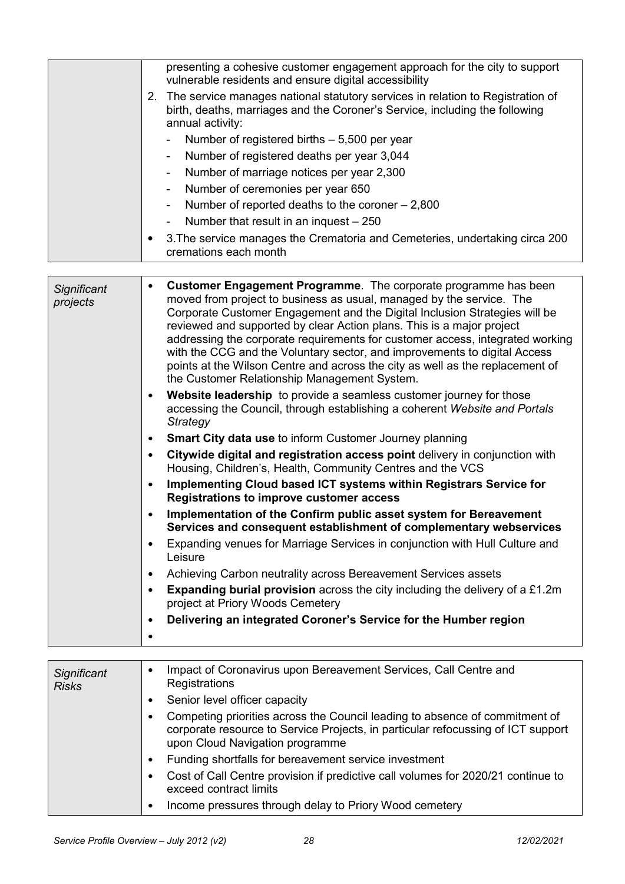|                             | presenting a cohesive customer engagement approach for the city to support<br>vulnerable residents and ensure digital accessibility                                                                                                                                                                                                                                                                                                                                                                                                                                                                        |
|-----------------------------|------------------------------------------------------------------------------------------------------------------------------------------------------------------------------------------------------------------------------------------------------------------------------------------------------------------------------------------------------------------------------------------------------------------------------------------------------------------------------------------------------------------------------------------------------------------------------------------------------------|
|                             | 2. The service manages national statutory services in relation to Registration of<br>birth, deaths, marriages and the Coroner's Service, including the following<br>annual activity:                                                                                                                                                                                                                                                                                                                                                                                                                       |
|                             | Number of registered births $-5,500$ per year                                                                                                                                                                                                                                                                                                                                                                                                                                                                                                                                                              |
|                             | Number of registered deaths per year 3,044                                                                                                                                                                                                                                                                                                                                                                                                                                                                                                                                                                 |
|                             | Number of marriage notices per year 2,300                                                                                                                                                                                                                                                                                                                                                                                                                                                                                                                                                                  |
|                             | Number of ceremonies per year 650                                                                                                                                                                                                                                                                                                                                                                                                                                                                                                                                                                          |
|                             | Number of reported deaths to the coroner $-2,800$                                                                                                                                                                                                                                                                                                                                                                                                                                                                                                                                                          |
|                             | Number that result in an inquest $-250$                                                                                                                                                                                                                                                                                                                                                                                                                                                                                                                                                                    |
|                             | 3. The service manages the Crematoria and Cemeteries, undertaking circa 200<br>$\bullet$<br>cremations each month                                                                                                                                                                                                                                                                                                                                                                                                                                                                                          |
|                             |                                                                                                                                                                                                                                                                                                                                                                                                                                                                                                                                                                                                            |
| Significant<br>projects     | Customer Engagement Programme. The corporate programme has been<br>$\bullet$<br>moved from project to business as usual, managed by the service. The<br>Corporate Customer Engagement and the Digital Inclusion Strategies will be<br>reviewed and supported by clear Action plans. This is a major project<br>addressing the corporate requirements for customer access, integrated working<br>with the CCG and the Voluntary sector, and improvements to digital Access<br>points at the Wilson Centre and across the city as well as the replacement of<br>the Customer Relationship Management System. |
|                             | Website leadership to provide a seamless customer journey for those<br>$\bullet$<br>accessing the Council, through establishing a coherent Website and Portals<br>Strategy                                                                                                                                                                                                                                                                                                                                                                                                                                 |
|                             | <b>Smart City data use to inform Customer Journey planning</b><br>$\bullet$                                                                                                                                                                                                                                                                                                                                                                                                                                                                                                                                |
|                             | Citywide digital and registration access point delivery in conjunction with<br>$\bullet$<br>Housing, Children's, Health, Community Centres and the VCS                                                                                                                                                                                                                                                                                                                                                                                                                                                     |
|                             | Implementing Cloud based ICT systems within Registrars Service for<br>$\bullet$<br><b>Registrations to improve customer access</b>                                                                                                                                                                                                                                                                                                                                                                                                                                                                         |
|                             | Implementation of the Confirm public asset system for Bereavement<br>$\bullet$<br>Services and consequent establishment of complementary webservices                                                                                                                                                                                                                                                                                                                                                                                                                                                       |
|                             | Expanding venues for Marriage Services in conjunction with Hull Culture and<br>$\bullet$<br>Leisure                                                                                                                                                                                                                                                                                                                                                                                                                                                                                                        |
|                             | Achieving Carbon neutrality across Bereavement Services assets<br>$\bullet$                                                                                                                                                                                                                                                                                                                                                                                                                                                                                                                                |
|                             | <b>Expanding burial provision</b> across the city including the delivery of a £1.2m<br>$\bullet$<br>project at Priory Woods Cemetery                                                                                                                                                                                                                                                                                                                                                                                                                                                                       |
|                             | Delivering an integrated Coroner's Service for the Humber region<br>$\bullet$                                                                                                                                                                                                                                                                                                                                                                                                                                                                                                                              |
|                             | $\bullet$                                                                                                                                                                                                                                                                                                                                                                                                                                                                                                                                                                                                  |
|                             |                                                                                                                                                                                                                                                                                                                                                                                                                                                                                                                                                                                                            |
| Significant<br><b>Risks</b> | Impact of Coronavirus upon Bereavement Services, Call Centre and<br>$\bullet$<br>Registrations                                                                                                                                                                                                                                                                                                                                                                                                                                                                                                             |
|                             | Senior level officer capacity<br>٠                                                                                                                                                                                                                                                                                                                                                                                                                                                                                                                                                                         |

|  | Competing priorities across the Council leading to absence of commitment of<br>corporate resource to Service Projects, in particular refocussing of ICT support<br>upon Cloud Navigation programme |
|--|----------------------------------------------------------------------------------------------------------------------------------------------------------------------------------------------------|
|  | Funding shortfalls for bereavement service investment                                                                                                                                              |
|  | Cost of Call Centre provision if predictive call volumes for 2020/21 continue to<br>exceed contract limits                                                                                         |

• Income pressures through delay to Priory Wood cemetery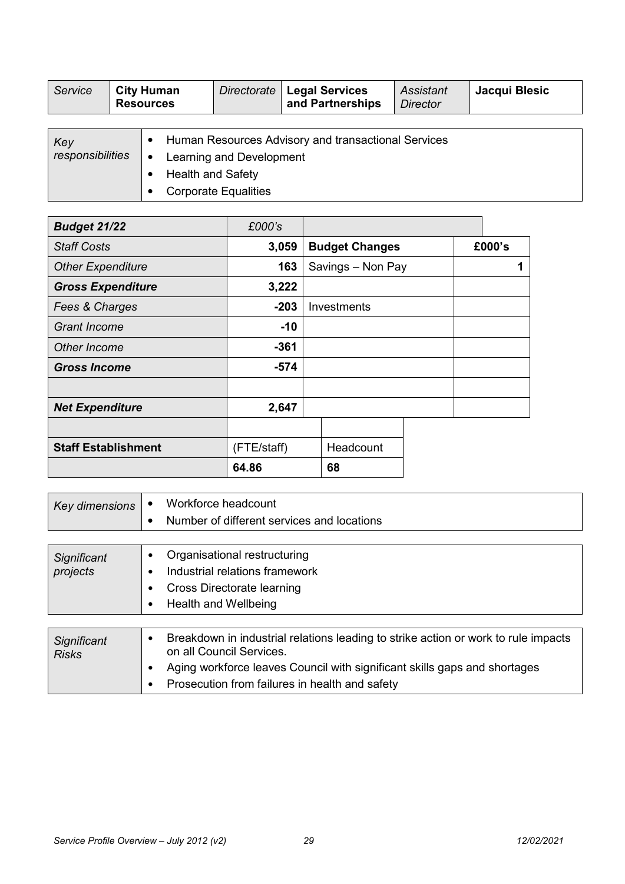| <b>City Human</b><br>Service<br><b>Resources</b>                                                                                                                              |  | Directorate | <b>Legal Services</b><br>and Partnerships | Assistant<br><b>Director</b> | Jacqui Blesic |
|-------------------------------------------------------------------------------------------------------------------------------------------------------------------------------|--|-------------|-------------------------------------------|------------------------------|---------------|
| Human Resources Advisory and transactional Services<br>$\bullet$<br>Key<br>responsibilities<br>Learning and Development<br>$\bullet$<br><b>Health and Safety</b><br>$\bullet$ |  |             |                                           |                              |               |
| <b>Corporate Equalities</b>                                                                                                                                                   |  |             |                                           |                              |               |

| <b>Budget 21/22</b>        | £000's      |                       |  |        |
|----------------------------|-------------|-----------------------|--|--------|
| <b>Staff Costs</b>         | 3,059       | <b>Budget Changes</b> |  | £000's |
| <b>Other Expenditure</b>   | 163         | Savings - Non Pay     |  |        |
| <b>Gross Expenditure</b>   | 3,222       |                       |  |        |
| Fees & Charges             | $-203$      | Investments           |  |        |
| <b>Grant Income</b>        | $-10$       |                       |  |        |
| Other Income               | $-361$      |                       |  |        |
| <b>Gross Income</b>        | $-574$      |                       |  |        |
|                            |             |                       |  |        |
| <b>Net Expenditure</b>     | 2,647       |                       |  |        |
|                            |             |                       |  |        |
| <b>Staff Establishment</b> | (FTE/staff) | Headcount             |  |        |
|                            | 64.86       | 68                    |  |        |

| Key dimensions          | Workforce headcount<br>Number of different services and locations                                   |
|-------------------------|-----------------------------------------------------------------------------------------------------|
| Significant<br>projects | Organisational restructuring<br>Industrial relations framework<br><b>Cross Directorate learning</b> |

| Significant<br><b>Risks</b> | Breakdown in industrial relations leading to strike action or work to rule impacts<br>on all Council Services. |
|-----------------------------|----------------------------------------------------------------------------------------------------------------|
|                             | Aging workforce leaves Council with significant skills gaps and shortages                                      |
|                             | Prosecution from failures in health and safety                                                                 |

• Health and Wellbeing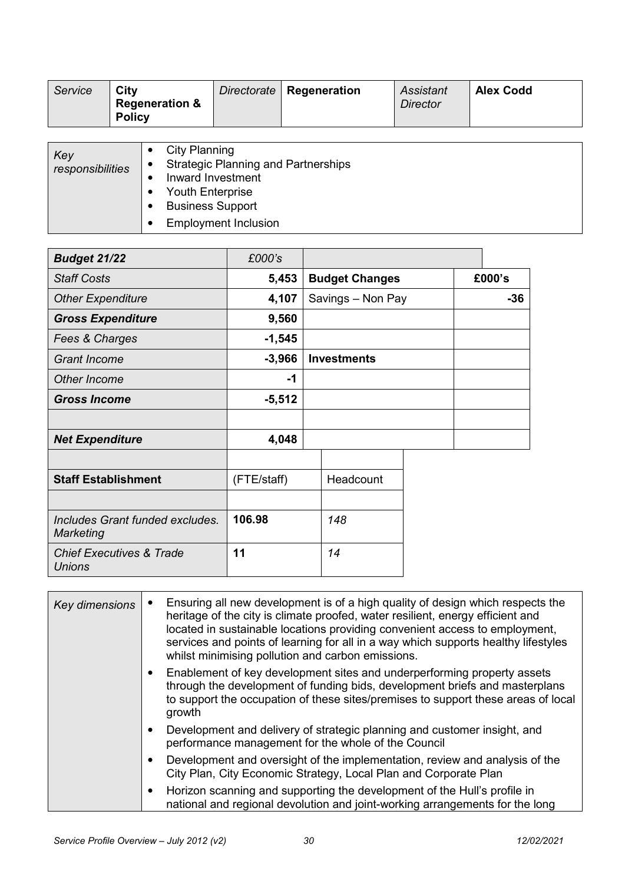| <b>Regeneration &amp;</b><br><b>Director</b><br><b>Policy</b> |
|---------------------------------------------------------------|
|---------------------------------------------------------------|

| Key<br>responsibilities | <b>City Planning</b><br><b>Strategic Planning and Partnerships</b><br>Inward Investment<br>Youth Enterprise |
|-------------------------|-------------------------------------------------------------------------------------------------------------|
|                         | <b>Business Support</b><br>٠                                                                                |
|                         | <b>Employment Inclusion</b>                                                                                 |

| <b>Budget 21/22</b>                                  | £000's      |                       |  |        |
|------------------------------------------------------|-------------|-----------------------|--|--------|
| <b>Staff Costs</b>                                   | 5,453       | <b>Budget Changes</b> |  | £000's |
| <b>Other Expenditure</b>                             | 4,107       | Savings - Non Pay     |  | $-36$  |
| <b>Gross Expenditure</b>                             | 9,560       |                       |  |        |
| Fees & Charges                                       | $-1,545$    |                       |  |        |
| <b>Grant Income</b>                                  | $-3,966$    | <b>Investments</b>    |  |        |
| Other Income                                         | -1          |                       |  |        |
| <b>Gross Income</b>                                  | $-5,512$    |                       |  |        |
|                                                      |             |                       |  |        |
| <b>Net Expenditure</b>                               | 4,048       |                       |  |        |
|                                                      |             |                       |  |        |
| <b>Staff Establishment</b>                           | (FTE/staff) | Headcount             |  |        |
|                                                      |             |                       |  |        |
| Includes Grant funded excludes.<br><b>Marketing</b>  | 106.98      | 148                   |  |        |
| <b>Chief Executives &amp; Trade</b><br><b>Unions</b> | 11          | 14                    |  |        |

| Key dimensions | Ensuring all new development is of a high quality of design which respects the<br>heritage of the city is climate proofed, water resilient, energy efficient and<br>located in sustainable locations providing convenient access to employment,<br>services and points of learning for all in a way which supports healthy lifestyles<br>whilst minimising pollution and carbon emissions. |
|----------------|--------------------------------------------------------------------------------------------------------------------------------------------------------------------------------------------------------------------------------------------------------------------------------------------------------------------------------------------------------------------------------------------|
|                | Enablement of key development sites and underperforming property assets<br>through the development of funding bids, development briefs and masterplans<br>to support the occupation of these sites/premises to support these areas of local<br>growth                                                                                                                                      |
|                | Development and delivery of strategic planning and customer insight, and<br>performance management for the whole of the Council                                                                                                                                                                                                                                                            |
|                | Development and oversight of the implementation, review and analysis of the<br>City Plan, City Economic Strategy, Local Plan and Corporate Plan                                                                                                                                                                                                                                            |
|                | Horizon scanning and supporting the development of the Hull's profile in<br>$\bullet$<br>national and regional devolution and joint-working arrangements for the long                                                                                                                                                                                                                      |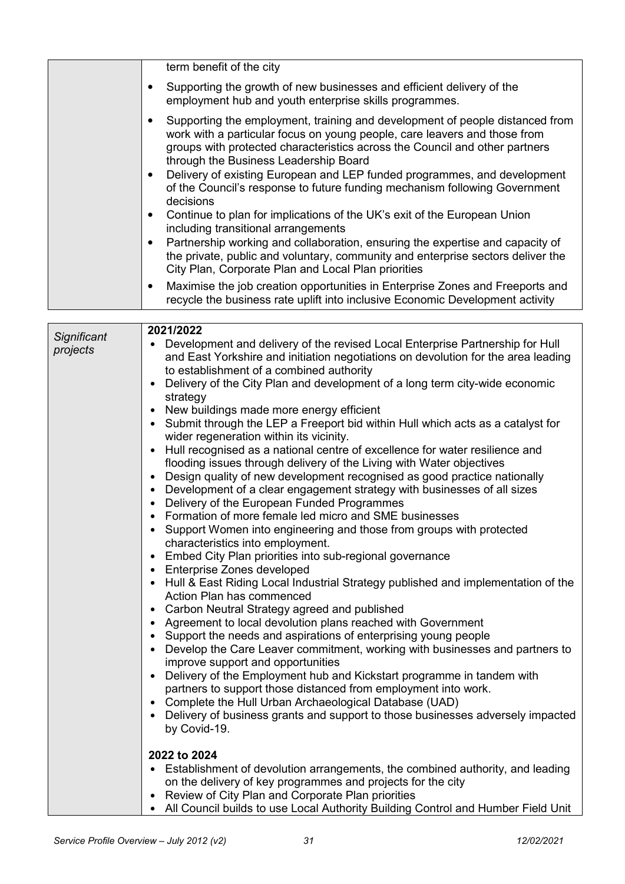|                         | term benefit of the city                                                                                                                                                                                                                                                                                   |
|-------------------------|------------------------------------------------------------------------------------------------------------------------------------------------------------------------------------------------------------------------------------------------------------------------------------------------------------|
|                         | Supporting the growth of new businesses and efficient delivery of the<br>$\bullet$<br>employment hub and youth enterprise skills programmes.                                                                                                                                                               |
|                         | Supporting the employment, training and development of people distanced from<br>$\bullet$<br>work with a particular focus on young people, care leavers and those from<br>groups with protected characteristics across the Council and other partners<br>through the Business Leadership Board             |
|                         | Delivery of existing European and LEP funded programmes, and development<br>$\bullet$<br>of the Council's response to future funding mechanism following Government<br>decisions                                                                                                                           |
|                         | Continue to plan for implications of the UK's exit of the European Union<br>$\bullet$<br>including transitional arrangements                                                                                                                                                                               |
|                         | Partnership working and collaboration, ensuring the expertise and capacity of<br>$\bullet$<br>the private, public and voluntary, community and enterprise sectors deliver the<br>City Plan, Corporate Plan and Local Plan priorities                                                                       |
|                         | Maximise the job creation opportunities in Enterprise Zones and Freeports and<br>$\bullet$<br>recycle the business rate uplift into inclusive Economic Development activity                                                                                                                                |
|                         | 2021/2022                                                                                                                                                                                                                                                                                                  |
| Significant<br>projects | Development and delivery of the revised Local Enterprise Partnership for Hull<br>and East Yorkshire and initiation negotiations on devolution for the area leading<br>to establishment of a combined authority<br>Delivery of the City Plan and development of a long term city-wide economic<br>$\bullet$ |
|                         | strategy                                                                                                                                                                                                                                                                                                   |
|                         | New buildings made more energy efficient<br>$\bullet$<br>Submit through the LEP a Freeport bid within Hull which acts as a catalyst for<br>$\bullet$                                                                                                                                                       |
|                         | wider regeneration within its vicinity.                                                                                                                                                                                                                                                                    |
|                         | Hull recognised as a national centre of excellence for water resilience and<br>$\bullet$                                                                                                                                                                                                                   |
|                         | flooding issues through delivery of the Living with Water objectives                                                                                                                                                                                                                                       |
|                         | Design quality of new development recognised as good practice nationally<br>$\bullet$<br>Development of a clear engagement strategy with businesses of all sizes<br>$\bullet$                                                                                                                              |
|                         | Delivery of the European Funded Programmes                                                                                                                                                                                                                                                                 |
|                         | Formation of more female led micro and SME businesses                                                                                                                                                                                                                                                      |
|                         | Support Women into engineering and those from groups with protected<br>characteristics into employment.                                                                                                                                                                                                    |
|                         | Embed City Plan priorities into sub-regional governance<br>$\bullet$                                                                                                                                                                                                                                       |
|                         | Enterprise Zones developed<br>$\bullet$                                                                                                                                                                                                                                                                    |
|                         | Hull & East Riding Local Industrial Strategy published and implementation of the<br>$\bullet$<br>Action Plan has commenced                                                                                                                                                                                 |
|                         | Carbon Neutral Strategy agreed and published<br>٠<br>Agreement to local devolution plans reached with Government<br>$\bullet$                                                                                                                                                                              |
|                         | Support the needs and aspirations of enterprising young people                                                                                                                                                                                                                                             |
|                         | Develop the Care Leaver commitment, working with businesses and partners to<br>$\bullet$<br>improve support and opportunities                                                                                                                                                                              |
|                         | Delivery of the Employment hub and Kickstart programme in tandem with<br>$\bullet$<br>partners to support those distanced from employment into work.                                                                                                                                                       |
|                         | Complete the Hull Urban Archaeological Database (UAD)<br>$\bullet$                                                                                                                                                                                                                                         |
|                         | Delivery of business grants and support to those businesses adversely impacted<br>by Covid-19.                                                                                                                                                                                                             |
|                         | 2022 to 2024                                                                                                                                                                                                                                                                                               |
|                         | Establishment of devolution arrangements, the combined authority, and leading<br>$\bullet$                                                                                                                                                                                                                 |
|                         | on the delivery of key programmes and projects for the city                                                                                                                                                                                                                                                |
|                         | Review of City Plan and Corporate Plan priorities<br>$\bullet$<br>All Council builds to use Local Authority Building Control and Humber Field Unit                                                                                                                                                         |
|                         |                                                                                                                                                                                                                                                                                                            |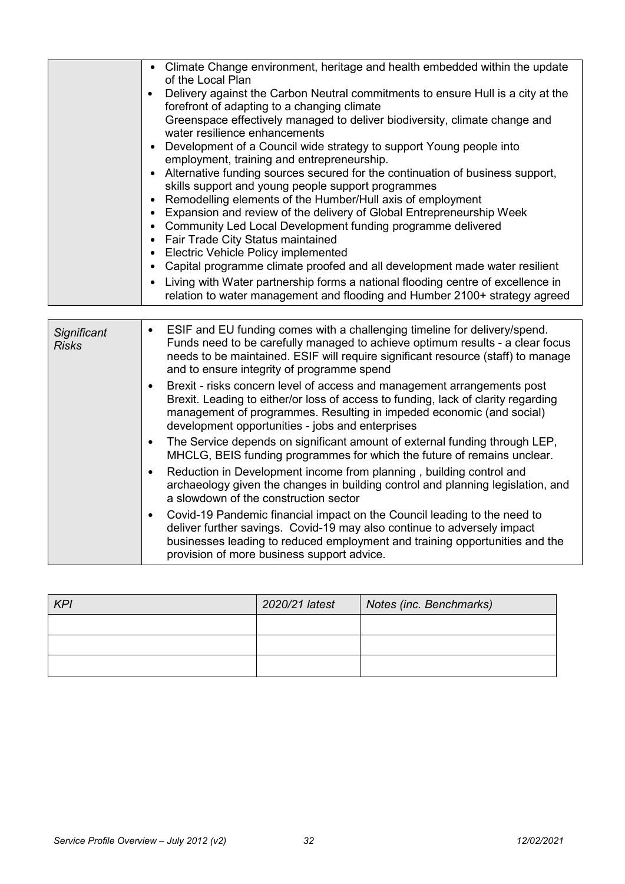|                             | • Climate Change environment, heritage and health embedded within the update<br>of the Local Plan<br>Delivery against the Carbon Neutral commitments to ensure Hull is a city at the<br>$\bullet$<br>forefront of adapting to a changing climate<br>Greenspace effectively managed to deliver biodiversity, climate change and<br>water resilience enhancements<br>Development of a Council wide strategy to support Young people into<br>employment, training and entrepreneurship.<br>• Alternative funding sources secured for the continuation of business support,<br>skills support and young people support programmes<br>Remodelling elements of the Humber/Hull axis of employment<br>Expansion and review of the delivery of Global Entrepreneurship Week<br>• Community Led Local Development funding programme delivered<br>• Fair Trade City Status maintained<br>• Electric Vehicle Policy implemented<br>Capital programme climate proofed and all development made water resilient<br>Living with Water partnership forms a national flooding centre of excellence in<br>relation to water management and flooding and Humber 2100+ strategy agreed                                                                                                                                       |
|-----------------------------|-----------------------------------------------------------------------------------------------------------------------------------------------------------------------------------------------------------------------------------------------------------------------------------------------------------------------------------------------------------------------------------------------------------------------------------------------------------------------------------------------------------------------------------------------------------------------------------------------------------------------------------------------------------------------------------------------------------------------------------------------------------------------------------------------------------------------------------------------------------------------------------------------------------------------------------------------------------------------------------------------------------------------------------------------------------------------------------------------------------------------------------------------------------------------------------------------------------------------------------------------------------------------------------------------------------|
|                             |                                                                                                                                                                                                                                                                                                                                                                                                                                                                                                                                                                                                                                                                                                                                                                                                                                                                                                                                                                                                                                                                                                                                                                                                                                                                                                           |
| Significant<br><b>Risks</b> | ESIF and EU funding comes with a challenging timeline for delivery/spend.<br>$\bullet$<br>Funds need to be carefully managed to achieve optimum results - a clear focus<br>needs to be maintained. ESIF will require significant resource (staff) to manage<br>and to ensure integrity of programme spend<br>Brexit - risks concern level of access and management arrangements post<br>$\bullet$<br>Brexit. Leading to either/or loss of access to funding, lack of clarity regarding<br>management of programmes. Resulting in impeded economic (and social)<br>development opportunities - jobs and enterprises<br>The Service depends on significant amount of external funding through LEP,<br>$\bullet$<br>MHCLG, BEIS funding programmes for which the future of remains unclear.<br>Reduction in Development income from planning, building control and<br>$\bullet$<br>archaeology given the changes in building control and planning legislation, and<br>a slowdown of the construction sector<br>Covid-19 Pandemic financial impact on the Council leading to the need to<br>$\bullet$<br>deliver further savings. Covid-19 may also continue to adversely impact<br>businesses leading to reduced employment and training opportunities and the<br>provision of more business support advice. |

| KPI | 2020/21 latest | Notes (inc. Benchmarks) |
|-----|----------------|-------------------------|
|     |                |                         |
|     |                |                         |
|     |                |                         |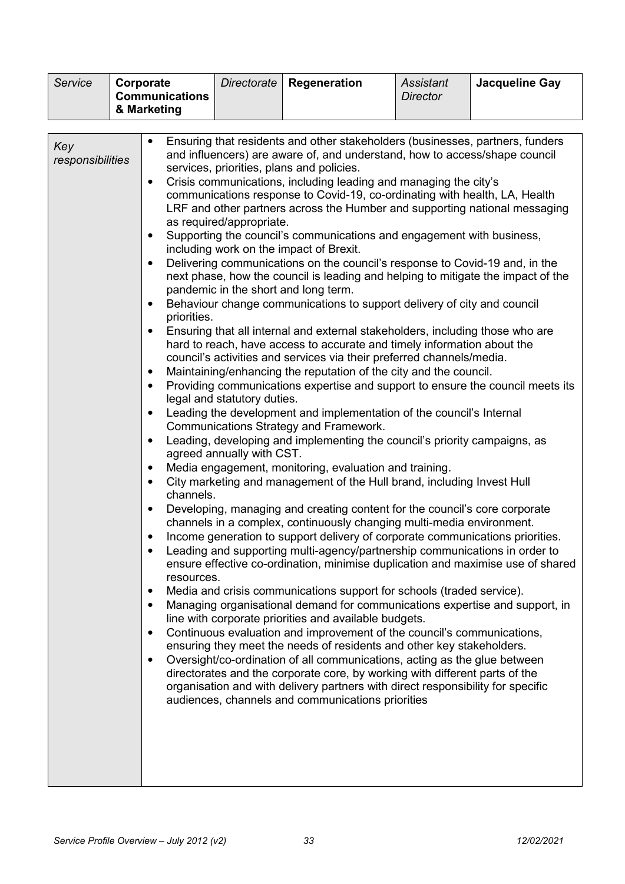| Service                 | Corporate<br><b>Communications</b><br>& Marketing                                                                                                                                                                                                                        | <b>Directorate</b>                                                                   | Regeneration                                                                                                                                                                                                                                                                                                                                                                                                                                                                                                                                                                                                                                                                                                                                                                                                                                                                                                                                                                                                                                                                                                                                                                                                                                                                                                                                                                                                                                                                                                                                                                                                                                                                                                                                                                                                                                                                                                                                                                                                                                                                                                                                                                                                                                                                                                                                                                                                                                                                                                                                                                                                                                                       | Assistant<br><b>Director</b> | Jacqueline Gay |
|-------------------------|--------------------------------------------------------------------------------------------------------------------------------------------------------------------------------------------------------------------------------------------------------------------------|--------------------------------------------------------------------------------------|--------------------------------------------------------------------------------------------------------------------------------------------------------------------------------------------------------------------------------------------------------------------------------------------------------------------------------------------------------------------------------------------------------------------------------------------------------------------------------------------------------------------------------------------------------------------------------------------------------------------------------------------------------------------------------------------------------------------------------------------------------------------------------------------------------------------------------------------------------------------------------------------------------------------------------------------------------------------------------------------------------------------------------------------------------------------------------------------------------------------------------------------------------------------------------------------------------------------------------------------------------------------------------------------------------------------------------------------------------------------------------------------------------------------------------------------------------------------------------------------------------------------------------------------------------------------------------------------------------------------------------------------------------------------------------------------------------------------------------------------------------------------------------------------------------------------------------------------------------------------------------------------------------------------------------------------------------------------------------------------------------------------------------------------------------------------------------------------------------------------------------------------------------------------------------------------------------------------------------------------------------------------------------------------------------------------------------------------------------------------------------------------------------------------------------------------------------------------------------------------------------------------------------------------------------------------------------------------------------------------------------------------------------------------|------------------------------|----------------|
|                         |                                                                                                                                                                                                                                                                          |                                                                                      |                                                                                                                                                                                                                                                                                                                                                                                                                                                                                                                                                                                                                                                                                                                                                                                                                                                                                                                                                                                                                                                                                                                                                                                                                                                                                                                                                                                                                                                                                                                                                                                                                                                                                                                                                                                                                                                                                                                                                                                                                                                                                                                                                                                                                                                                                                                                                                                                                                                                                                                                                                                                                                                                    |                              |                |
| Key<br>responsibilities | $\bullet$<br>$\bullet$<br>$\bullet$<br>$\bullet$<br>$\bullet$<br>priorities.<br>$\bullet$<br>$\bullet$<br>$\bullet$<br>$\bullet$<br>$\bullet$<br>$\bullet$<br>$\bullet$<br>channels.<br>$\bullet$<br>٠<br>resources.<br>$\bullet$<br>$\bullet$<br>$\bullet$<br>$\bullet$ | as required/appropriate.<br>legal and statutory duties.<br>agreed annually with CST. | Ensuring that residents and other stakeholders (businesses, partners, funders<br>and influencers) are aware of, and understand, how to access/shape council<br>services, priorities, plans and policies.<br>Crisis communications, including leading and managing the city's<br>communications response to Covid-19, co-ordinating with health, LA, Health<br>LRF and other partners across the Humber and supporting national messaging<br>Supporting the council's communications and engagement with business,<br>including work on the impact of Brexit.<br>Delivering communications on the council's response to Covid-19 and, in the<br>next phase, how the council is leading and helping to mitigate the impact of the<br>pandemic in the short and long term.<br>Behaviour change communications to support delivery of city and council<br>Ensuring that all internal and external stakeholders, including those who are<br>hard to reach, have access to accurate and timely information about the<br>council's activities and services via their preferred channels/media.<br>Maintaining/enhancing the reputation of the city and the council.<br>Providing communications expertise and support to ensure the council meets its<br>Leading the development and implementation of the council's Internal<br>Communications Strategy and Framework.<br>Leading, developing and implementing the council's priority campaigns, as<br>Media engagement, monitoring, evaluation and training.<br>City marketing and management of the Hull brand, including Invest Hull<br>Developing, managing and creating content for the council's core corporate<br>channels in a complex, continuously changing multi-media environment.<br>Income generation to support delivery of corporate communications priorities.<br>Leading and supporting multi-agency/partnership communications in order to<br>ensure effective co-ordination, minimise duplication and maximise use of shared<br>Media and crisis communications support for schools (traded service).<br>Managing organisational demand for communications expertise and support, in<br>line with corporate priorities and available budgets.<br>Continuous evaluation and improvement of the council's communications,<br>ensuring they meet the needs of residents and other key stakeholders.<br>Oversight/co-ordination of all communications, acting as the glue between<br>directorates and the corporate core, by working with different parts of the<br>organisation and with delivery partners with direct responsibility for specific<br>audiences, channels and communications priorities |                              |                |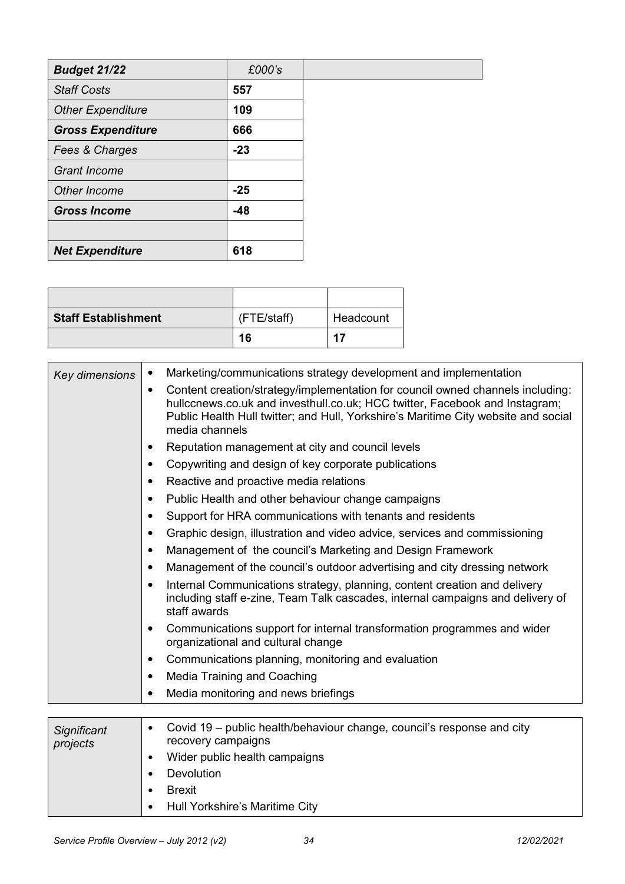| <b>Budget 21/22</b>      | £000's |
|--------------------------|--------|
| <b>Staff Costs</b>       | 557    |
| <b>Other Expenditure</b> | 109    |
| <b>Gross Expenditure</b> | 666    |
| Fees & Charges           | $-23$  |
| <b>Grant Income</b>      |        |
| Other Income             | $-25$  |
| <b>Gross Income</b>      | $-48$  |
|                          |        |
| <b>Net Expenditure</b>   | 618    |

| <b>Staff Establishment</b> | (FTE/staff) | Headcount |
|----------------------------|-------------|-----------|
|                            | 16          | 17        |

| Key dimensions          | Marketing/communications strategy development and implementation<br>$\bullet$<br>Content creation/strategy/implementation for council owned channels including:<br>$\bullet$<br>hullccnews.co.uk and investhull.co.uk; HCC twitter, Facebook and Instagram;<br>Public Health Hull twitter; and Hull, Yorkshire's Maritime City website and social<br>media channels |
|-------------------------|---------------------------------------------------------------------------------------------------------------------------------------------------------------------------------------------------------------------------------------------------------------------------------------------------------------------------------------------------------------------|
|                         | Reputation management at city and council levels<br>$\bullet$                                                                                                                                                                                                                                                                                                       |
|                         | Copywriting and design of key corporate publications<br>$\bullet$                                                                                                                                                                                                                                                                                                   |
|                         | Reactive and proactive media relations<br>$\bullet$                                                                                                                                                                                                                                                                                                                 |
|                         | Public Health and other behaviour change campaigns<br>$\bullet$                                                                                                                                                                                                                                                                                                     |
|                         | Support for HRA communications with tenants and residents<br>$\bullet$                                                                                                                                                                                                                                                                                              |
|                         | Graphic design, illustration and video advice, services and commissioning<br>$\bullet$                                                                                                                                                                                                                                                                              |
|                         | Management of the council's Marketing and Design Framework<br>$\bullet$                                                                                                                                                                                                                                                                                             |
|                         | Management of the council's outdoor advertising and city dressing network<br>$\bullet$                                                                                                                                                                                                                                                                              |
|                         | Internal Communications strategy, planning, content creation and delivery<br>$\bullet$<br>including staff e-zine, Team Talk cascades, internal campaigns and delivery of<br>staff awards                                                                                                                                                                            |
|                         | Communications support for internal transformation programmes and wider<br>$\bullet$<br>organizational and cultural change                                                                                                                                                                                                                                          |
|                         | Communications planning, monitoring and evaluation<br>$\bullet$                                                                                                                                                                                                                                                                                                     |
|                         | Media Training and Coaching<br>$\bullet$                                                                                                                                                                                                                                                                                                                            |
|                         | Media monitoring and news briefings<br>$\bullet$                                                                                                                                                                                                                                                                                                                    |
|                         |                                                                                                                                                                                                                                                                                                                                                                     |
| Significant<br>projects | Covid 19 - public health/behaviour change, council's response and city<br>$\bullet$<br>recovery campaigns                                                                                                                                                                                                                                                           |
|                         | Wider public health campaigns<br>$\bullet$                                                                                                                                                                                                                                                                                                                          |
|                         | Devolution<br>$\bullet$                                                                                                                                                                                                                                                                                                                                             |
|                         | <b>Brexit</b>                                                                                                                                                                                                                                                                                                                                                       |
|                         | Hull Yorkshire's Maritime City<br>$\bullet$                                                                                                                                                                                                                                                                                                                         |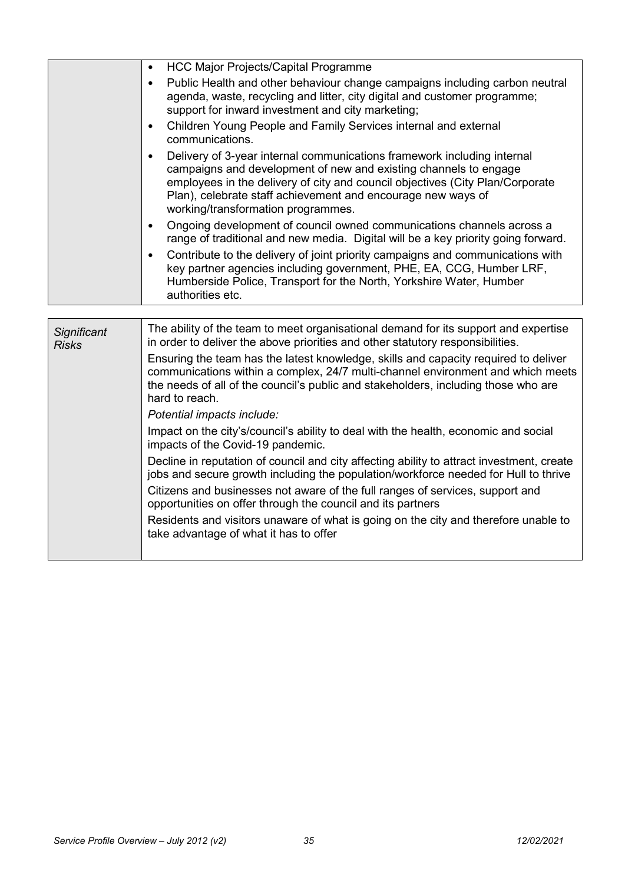|                             | <b>HCC Major Projects/Capital Programme</b><br>$\bullet$                                                                                                                                                                                                                                                                           |
|-----------------------------|------------------------------------------------------------------------------------------------------------------------------------------------------------------------------------------------------------------------------------------------------------------------------------------------------------------------------------|
|                             | Public Health and other behaviour change campaigns including carbon neutral<br>$\bullet$<br>agenda, waste, recycling and litter, city digital and customer programme;<br>support for inward investment and city marketing;                                                                                                         |
|                             | Children Young People and Family Services internal and external<br>$\bullet$<br>communications.                                                                                                                                                                                                                                    |
|                             | Delivery of 3-year internal communications framework including internal<br>campaigns and development of new and existing channels to engage<br>employees in the delivery of city and council objectives (City Plan/Corporate<br>Plan), celebrate staff achievement and encourage new ways of<br>working/transformation programmes. |
|                             | Ongoing development of council owned communications channels across a<br>$\bullet$<br>range of traditional and new media. Digital will be a key priority going forward.                                                                                                                                                            |
|                             | Contribute to the delivery of joint priority campaigns and communications with<br>$\bullet$<br>key partner agencies including government, PHE, EA, CCG, Humber LRF,<br>Humberside Police, Transport for the North, Yorkshire Water, Humber<br>authorities etc.                                                                     |
|                             |                                                                                                                                                                                                                                                                                                                                    |
| Significant<br><b>Risks</b> | The ability of the team to meet organisational demand for its support and expertise<br>in order to deliver the above priorities and other statutory responsibilities.                                                                                                                                                              |
|                             |                                                                                                                                                                                                                                                                                                                                    |
|                             | Ensuring the team has the latest knowledge, skills and capacity required to deliver<br>communications within a complex, 24/7 multi-channel environment and which meets<br>the needs of all of the council's public and stakeholders, including those who are<br>hard to reach.                                                     |
|                             | Potential impacts include:                                                                                                                                                                                                                                                                                                         |
|                             | Impact on the city's/council's ability to deal with the health, economic and social<br>impacts of the Covid-19 pandemic.                                                                                                                                                                                                           |
|                             | Decline in reputation of council and city affecting ability to attract investment, create<br>jobs and secure growth including the population/workforce needed for Hull to thrive                                                                                                                                                   |
|                             | Citizens and businesses not aware of the full ranges of services, support and<br>opportunities on offer through the council and its partners                                                                                                                                                                                       |
|                             | Residents and visitors unaware of what is going on the city and therefore unable to<br>take advantage of what it has to offer                                                                                                                                                                                                      |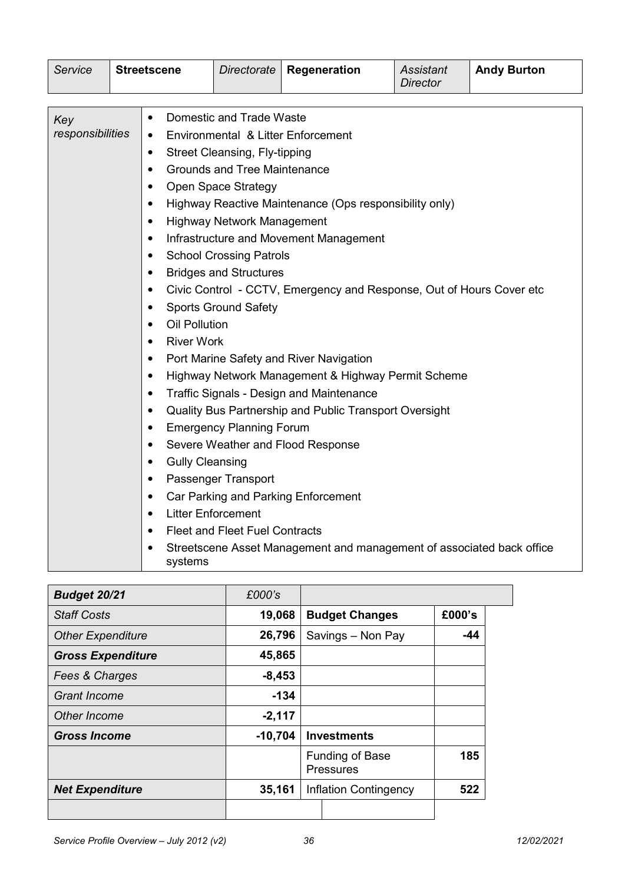| Service                 | <b>Streetscene</b>                                                                                                                                                                                                                                                                                                                                                                                                               | <b>Directorate</b>                                                                                                                                                                                                                                                                                                                                                                                    | <b>Regeneration</b>                                                                                                                                                                                                                                                                                                                                                                                                                                                                                                                                                        | Assistant<br><b>Director</b> | <b>Andy Burton</b> |
|-------------------------|----------------------------------------------------------------------------------------------------------------------------------------------------------------------------------------------------------------------------------------------------------------------------------------------------------------------------------------------------------------------------------------------------------------------------------|-------------------------------------------------------------------------------------------------------------------------------------------------------------------------------------------------------------------------------------------------------------------------------------------------------------------------------------------------------------------------------------------------------|----------------------------------------------------------------------------------------------------------------------------------------------------------------------------------------------------------------------------------------------------------------------------------------------------------------------------------------------------------------------------------------------------------------------------------------------------------------------------------------------------------------------------------------------------------------------------|------------------------------|--------------------|
|                         |                                                                                                                                                                                                                                                                                                                                                                                                                                  |                                                                                                                                                                                                                                                                                                                                                                                                       |                                                                                                                                                                                                                                                                                                                                                                                                                                                                                                                                                                            |                              |                    |
| Key<br>responsibilities | $\bullet$<br>$\bullet$<br>$\bullet$<br>$\bullet$<br>$\bullet$<br>$\bullet$<br>$\bullet$<br>$\bullet$<br>$\bullet$<br>$\bullet$<br>$\bullet$<br>$\bullet$<br><b>Oil Pollution</b><br>$\bullet$<br><b>River Work</b><br>$\bullet$<br>$\bullet$<br>$\bullet$<br>$\bullet$<br>$\bullet$<br>$\bullet$<br>$\bullet$<br><b>Gully Cleansing</b><br>$\bullet$<br>$\bullet$<br>$\bullet$<br>$\bullet$<br>$\bullet$<br>$\bullet$<br>systems | Domestic and Trade Waste<br><b>Street Cleansing, Fly-tipping</b><br><b>Grounds and Tree Maintenance</b><br>Open Space Strategy<br><b>Highway Network Management</b><br><b>School Crossing Patrols</b><br><b>Bridges and Structures</b><br><b>Sports Ground Safety</b><br><b>Emergency Planning Forum</b><br>Passenger Transport<br><b>Litter Enforcement</b><br><b>Fleet and Fleet Fuel Contracts</b> | Environmental & Litter Enforcement<br>Highway Reactive Maintenance (Ops responsibility only)<br>Infrastructure and Movement Management<br>Civic Control - CCTV, Emergency and Response, Out of Hours Cover etc<br>Port Marine Safety and River Navigation<br>Highway Network Management & Highway Permit Scheme<br>Traffic Signals - Design and Maintenance<br>Quality Bus Partnership and Public Transport Oversight<br>Severe Weather and Flood Response<br>Car Parking and Parking Enforcement<br>Streetscene Asset Management and management of associated back office |                              |                    |

| Budget 20/21                       | £000's    |                                     |        |
|------------------------------------|-----------|-------------------------------------|--------|
| <b>Staff Costs</b>                 | 19,068    | <b>Budget Changes</b>               | £000's |
| 26,796<br><b>Other Expenditure</b> |           | Savings - Non Pay                   | -44    |
| <b>Gross Expenditure</b>           | 45,865    |                                     |        |
| Fees & Charges                     | $-8,453$  |                                     |        |
| <b>Grant Income</b>                | $-134$    |                                     |        |
| Other Income                       | $-2,117$  |                                     |        |
| <b>Gross Income</b>                | $-10,704$ | <b>Investments</b>                  |        |
|                                    |           | Funding of Base<br><b>Pressures</b> | 185    |
| <b>Net Expenditure</b>             | 35,161    | <b>Inflation Contingency</b>        | 522    |
|                                    |           |                                     |        |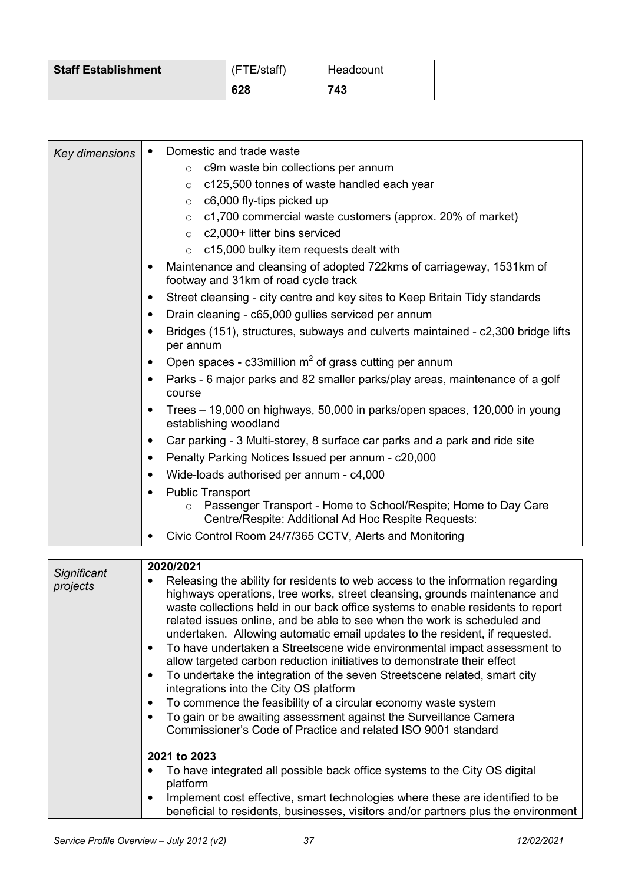| <b>Staff Establishment</b> | (FTE/staff) | Headcount |
|----------------------------|-------------|-----------|
|                            | 628         | 743       |

| Key dimensions | Domestic and trade waste<br>$\bullet$                                                                                                                                                                                                           |
|----------------|-------------------------------------------------------------------------------------------------------------------------------------------------------------------------------------------------------------------------------------------------|
|                | c9m waste bin collections per annum<br>$\circ$                                                                                                                                                                                                  |
|                | c125,500 tonnes of waste handled each year<br>$\circ$                                                                                                                                                                                           |
|                | c6,000 fly-tips picked up<br>$\circ$                                                                                                                                                                                                            |
|                | c1,700 commercial waste customers (approx. 20% of market)<br>$\circ$                                                                                                                                                                            |
|                | c2,000+ litter bins serviced<br>$\circ$                                                                                                                                                                                                         |
|                | c15,000 bulky item requests dealt with<br>$\circ$                                                                                                                                                                                               |
|                | Maintenance and cleansing of adopted 722kms of carriageway, 1531km of<br>$\bullet$<br>footway and 31km of road cycle track                                                                                                                      |
|                | Street cleansing - city centre and key sites to Keep Britain Tidy standards<br>٠                                                                                                                                                                |
|                | Drain cleaning - c65,000 gullies serviced per annum<br>$\bullet$                                                                                                                                                                                |
|                | Bridges (151), structures, subways and culverts maintained - c2,300 bridge lifts<br>$\bullet$<br>per annum                                                                                                                                      |
|                | Open spaces - $c33$ million m <sup>2</sup> of grass cutting per annum<br>$\bullet$                                                                                                                                                              |
|                | Parks - 6 major parks and 82 smaller parks/play areas, maintenance of a golf<br>٠<br>course                                                                                                                                                     |
|                | Trees - 19,000 on highways, 50,000 in parks/open spaces, 120,000 in young<br>$\bullet$<br>establishing woodland                                                                                                                                 |
|                | Car parking - 3 Multi-storey, 8 surface car parks and a park and ride site<br>٠                                                                                                                                                                 |
|                | Penalty Parking Notices Issued per annum - c20,000<br>$\bullet$                                                                                                                                                                                 |
|                | Wide-loads authorised per annum - c4,000<br>$\bullet$                                                                                                                                                                                           |
|                | <b>Public Transport</b><br>$\bullet$                                                                                                                                                                                                            |
|                | Passenger Transport - Home to School/Respite; Home to Day Care<br>$\circ$<br>Centre/Respite: Additional Ad Hoc Respite Requests:                                                                                                                |
|                | Civic Control Room 24/7/365 CCTV, Alerts and Monitoring<br>٠                                                                                                                                                                                    |
|                |                                                                                                                                                                                                                                                 |
| Significant    | 2020/2021                                                                                                                                                                                                                                       |
| projects       | Releasing the ability for residents to web access to the information regarding<br>highways operations, tree works, street cleansing, grounds maintenance and<br>waste collections held in our back office systems to enable residents to report |
|                | related issues online, and be able to see when the work is scheduled and                                                                                                                                                                        |

| undertaken. Allowing automatic email updates to the resident, if requested. |
|-----------------------------------------------------------------------------|
| To have undertaken a Streetscene wide environmental impact assessment to    |

- allow targeted carbon reduction initiatives to demonstrate their effect • To undertake the integration of the seven Streetscene related, smart city integrations into the City OS platform
- To commence the feasibility of a circular economy waste system
- To gain or be awaiting assessment against the Surveillance Camera Commissioner's Code of Practice and related ISO 9001 standard

## **2021 to 2023**

- To have integrated all possible back office systems to the City OS digital platform
- Implement cost effective, smart technologies where these are identified to be beneficial to residents, businesses, visitors and/or partners plus the environment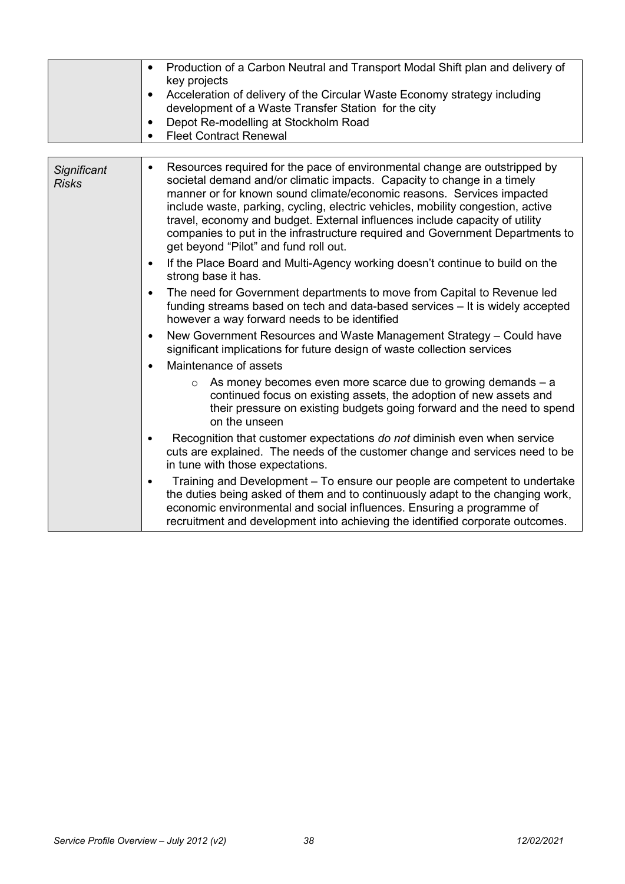|                             | Production of a Carbon Neutral and Transport Modal Shift plan and delivery of<br>$\bullet$<br>key projects<br>Acceleration of delivery of the Circular Waste Economy strategy including<br>$\bullet$<br>development of a Waste Transfer Station for the city<br>Depot Re-modelling at Stockholm Road<br>$\bullet$                                                                                                                                                                                                                                                                                                                                                                                                                                                                                                                                                                                                                                                                                                                                                                                                                                                                                                                                                                                                                                                                                                                                                                                                                                                                                                                                                                                                                                                                                                                                                            |
|-----------------------------|------------------------------------------------------------------------------------------------------------------------------------------------------------------------------------------------------------------------------------------------------------------------------------------------------------------------------------------------------------------------------------------------------------------------------------------------------------------------------------------------------------------------------------------------------------------------------------------------------------------------------------------------------------------------------------------------------------------------------------------------------------------------------------------------------------------------------------------------------------------------------------------------------------------------------------------------------------------------------------------------------------------------------------------------------------------------------------------------------------------------------------------------------------------------------------------------------------------------------------------------------------------------------------------------------------------------------------------------------------------------------------------------------------------------------------------------------------------------------------------------------------------------------------------------------------------------------------------------------------------------------------------------------------------------------------------------------------------------------------------------------------------------------------------------------------------------------------------------------------------------------|
|                             |                                                                                                                                                                                                                                                                                                                                                                                                                                                                                                                                                                                                                                                                                                                                                                                                                                                                                                                                                                                                                                                                                                                                                                                                                                                                                                                                                                                                                                                                                                                                                                                                                                                                                                                                                                                                                                                                              |
| Significant<br><b>Risks</b> | Resources required for the pace of environmental change are outstripped by<br>$\bullet$<br>societal demand and/or climatic impacts. Capacity to change in a timely<br>manner or for known sound climate/economic reasons. Services impacted<br>include waste, parking, cycling, electric vehicles, mobility congestion, active<br>travel, economy and budget. External influences include capacity of utility<br>companies to put in the infrastructure required and Government Departments to<br>get beyond "Pilot" and fund roll out.<br>If the Place Board and Multi-Agency working doesn't continue to build on the<br>$\bullet$<br>strong base it has.<br>The need for Government departments to move from Capital to Revenue led<br>$\bullet$<br>funding streams based on tech and data-based services - It is widely accepted<br>however a way forward needs to be identified<br>New Government Resources and Waste Management Strategy - Could have<br>$\bullet$<br>significant implications for future design of waste collection services<br>Maintenance of assets<br>$\bullet$<br>As money becomes even more scarce due to growing demands – a<br>$\circ$<br>continued focus on existing assets, the adoption of new assets and<br>their pressure on existing budgets going forward and the need to spend<br>on the unseen<br>Recognition that customer expectations do not diminish even when service<br>cuts are explained. The needs of the customer change and services need to be<br>in tune with those expectations.<br>Training and Development – To ensure our people are competent to undertake<br>$\bullet$<br>the duties being asked of them and to continuously adapt to the changing work,<br>economic environmental and social influences. Ensuring a programme of<br>recruitment and development into achieving the identified corporate outcomes. |
|                             | <b>Fleet Contract Renewal</b>                                                                                                                                                                                                                                                                                                                                                                                                                                                                                                                                                                                                                                                                                                                                                                                                                                                                                                                                                                                                                                                                                                                                                                                                                                                                                                                                                                                                                                                                                                                                                                                                                                                                                                                                                                                                                                                |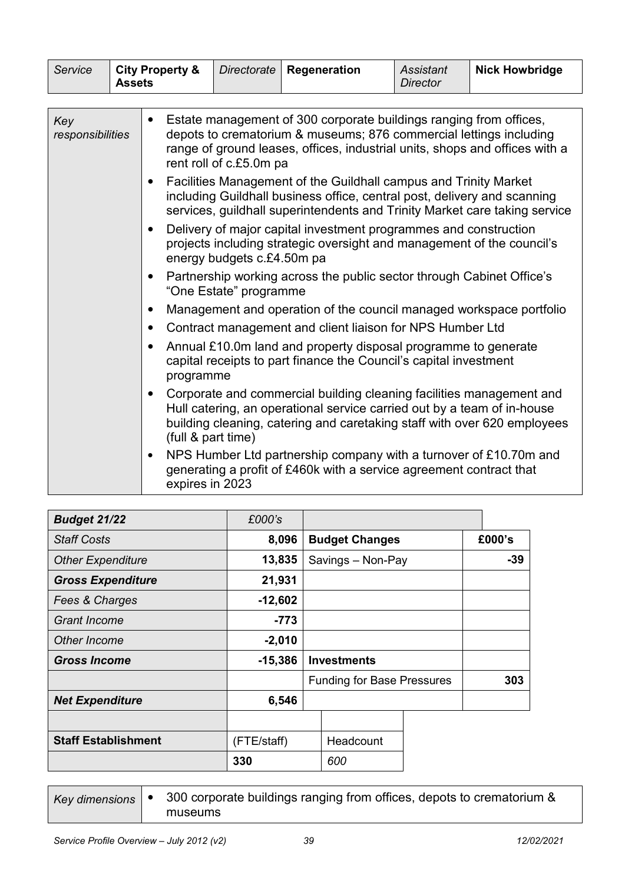| <b>City Property &amp;</b><br>Service<br><b>Assets</b>        |  | Directorate                                                                                                                                                                                                                                                     | Regeneration                                                        | <b>Assistant</b><br><b>Director</b>                                                                                                                                                                                         | <b>Nick Howbridge</b>                                                 |  |  |  |
|---------------------------------------------------------------|--|-----------------------------------------------------------------------------------------------------------------------------------------------------------------------------------------------------------------------------------------------------------------|---------------------------------------------------------------------|-----------------------------------------------------------------------------------------------------------------------------------------------------------------------------------------------------------------------------|-----------------------------------------------------------------------|--|--|--|
|                                                               |  |                                                                                                                                                                                                                                                                 |                                                                     |                                                                                                                                                                                                                             |                                                                       |  |  |  |
| Key<br>responsibilities                                       |  | Estate management of 300 corporate buildings ranging from offices,<br>$\bullet$<br>depots to crematorium & museums; 876 commercial lettings including<br>range of ground leases, offices, industrial units, shops and offices with a<br>rent roll of c.£5.0m pa |                                                                     |                                                                                                                                                                                                                             |                                                                       |  |  |  |
|                                                               |  | Facilities Management of the Guildhall campus and Trinity Market<br>$\bullet$<br>including Guildhall business office, central post, delivery and scanning<br>services, guildhall superintendents and Trinity Market care taking service                         |                                                                     |                                                                                                                                                                                                                             |                                                                       |  |  |  |
|                                                               |  | Delivery of major capital investment programmes and construction<br>$\bullet$<br>projects including strategic oversight and management of the council's<br>energy budgets c.£4.50m pa                                                                           |                                                                     |                                                                                                                                                                                                                             |                                                                       |  |  |  |
|                                                               |  | $\bullet$                                                                                                                                                                                                                                                       | "One Estate" programme                                              |                                                                                                                                                                                                                             | Partnership working across the public sector through Cabinet Office's |  |  |  |
| $\bullet$<br>$\bullet$<br>$\bullet$<br>$\bullet$<br>$\bullet$ |  |                                                                                                                                                                                                                                                                 | Management and operation of the council managed workspace portfolio |                                                                                                                                                                                                                             |                                                                       |  |  |  |
|                                                               |  | Contract management and client liaison for NPS Humber Ltd                                                                                                                                                                                                       |                                                                     |                                                                                                                                                                                                                             |                                                                       |  |  |  |
|                                                               |  | programme                                                                                                                                                                                                                                                       |                                                                     | Annual £10.0m land and property disposal programme to generate<br>capital receipts to part finance the Council's capital investment                                                                                         |                                                                       |  |  |  |
|                                                               |  | (full & part time)                                                                                                                                                                                                                                              |                                                                     | Corporate and commercial building cleaning facilities management and<br>Hull catering, an operational service carried out by a team of in-house<br>building cleaning, catering and caretaking staff with over 620 employees |                                                                       |  |  |  |
|                                                               |  | expires in 2023                                                                                                                                                                                                                                                 |                                                                     | NPS Humber Ltd partnership company with a turnover of £10.70m and<br>generating a profit of £460k with a service agreement contract that                                                                                    |                                                                       |  |  |  |

| <b>Budget 21/22</b>             | £000's      |                   |                                   |       |        |
|---------------------------------|-------------|-------------------|-----------------------------------|-------|--------|
| <b>Staff Costs</b>              | 8,096       |                   | <b>Budget Changes</b>             |       | £000's |
| <b>Other Expenditure</b>        | 13,835      | Savings - Non-Pay |                                   | $-39$ |        |
| <b>Gross Expenditure</b>        | 21,931      |                   |                                   |       |        |
| Fees & Charges                  | $-12,602$   |                   |                                   |       |        |
| <b>Grant Income</b>             | $-773$      |                   |                                   |       |        |
| Other Income                    | $-2,010$    |                   |                                   |       |        |
| <b>Gross Income</b>             | $-15,386$   |                   | <b>Investments</b>                |       |        |
|                                 |             |                   | <b>Funding for Base Pressures</b> |       | 303    |
| 6,546<br><b>Net Expenditure</b> |             |                   |                                   |       |        |
|                                 |             |                   |                                   |       |        |
| <b>Staff Establishment</b>      | (FTE/staff) |                   | Headcount                         |       |        |
|                                 | 330         |                   | 600                               |       |        |

*Key dimensions* • 300 corporate buildings ranging from offices, depots to crematorium & museums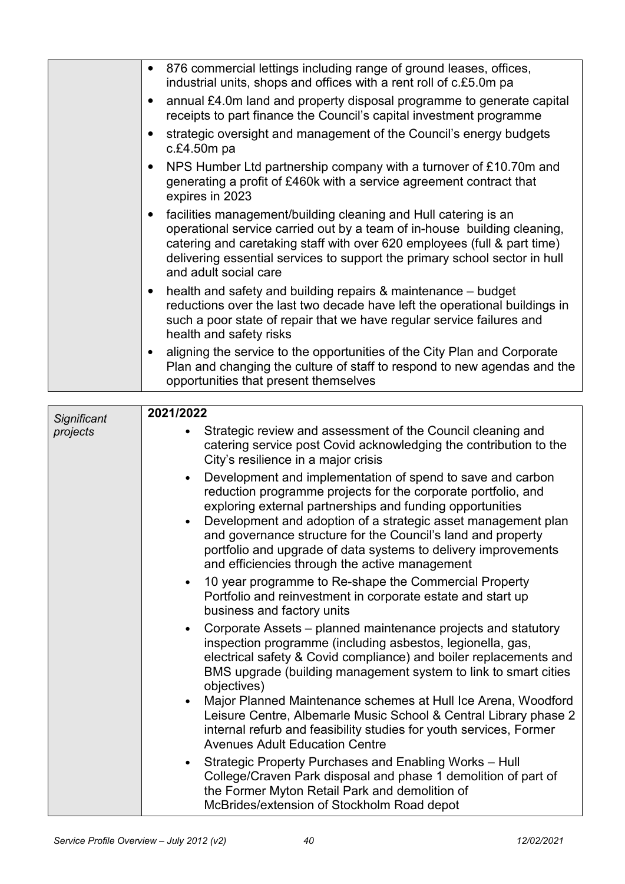| 876 commercial lettings including range of ground leases, offices,<br>industrial units, shops and offices with a rent roll of c.£5.0m pa                                                                                                                                                                                       |
|--------------------------------------------------------------------------------------------------------------------------------------------------------------------------------------------------------------------------------------------------------------------------------------------------------------------------------|
| annual £4.0m land and property disposal programme to generate capital<br>receipts to part finance the Council's capital investment programme                                                                                                                                                                                   |
| strategic oversight and management of the Council's energy budgets<br>$c.f.4.50m$ pa                                                                                                                                                                                                                                           |
| NPS Humber Ltd partnership company with a turnover of £10.70m and<br>generating a profit of £460k with a service agreement contract that<br>expires in 2023                                                                                                                                                                    |
| facilities management/building cleaning and Hull catering is an<br>operational service carried out by a team of in-house building cleaning,<br>catering and caretaking staff with over 620 employees (full & part time)<br>delivering essential services to support the primary school sector in hull<br>and adult social care |
| health and safety and building repairs & maintenance – budget<br>reductions over the last two decade have left the operational buildings in<br>such a poor state of repair that we have regular service failures and<br>health and safety risks                                                                                |
| aligning the service to the opportunities of the City Plan and Corporate<br>$\bullet$<br>Plan and changing the culture of staff to respond to new agendas and the<br>opportunities that present themselves                                                                                                                     |

| Significant | 2021/2022                                                                                                                                                                                                                                                                                                                                                                                                                                                               |
|-------------|-------------------------------------------------------------------------------------------------------------------------------------------------------------------------------------------------------------------------------------------------------------------------------------------------------------------------------------------------------------------------------------------------------------------------------------------------------------------------|
| projects    | Strategic review and assessment of the Council cleaning and<br>$\bullet$<br>catering service post Covid acknowledging the contribution to the<br>City's resilience in a major crisis                                                                                                                                                                                                                                                                                    |
|             | Development and implementation of spend to save and carbon<br>$\bullet$<br>reduction programme projects for the corporate portfolio, and<br>exploring external partnerships and funding opportunities<br>Development and adoption of a strategic asset management plan<br>$\bullet$<br>and governance structure for the Council's land and property<br>portfolio and upgrade of data systems to delivery improvements<br>and efficiencies through the active management |
|             | 10 year programme to Re-shape the Commercial Property<br>$\bullet$<br>Portfolio and reinvestment in corporate estate and start up<br>business and factory units                                                                                                                                                                                                                                                                                                         |
|             | Corporate Assets – planned maintenance projects and statutory<br>$\bullet$<br>inspection programme (including asbestos, legionella, gas,<br>electrical safety & Covid compliance) and boiler replacements and<br>BMS upgrade (building management system to link to smart cities<br>objectives)                                                                                                                                                                         |
|             | Major Planned Maintenance schemes at Hull Ice Arena, Woodford<br>$\bullet$<br>Leisure Centre, Albemarle Music School & Central Library phase 2<br>internal refurb and feasibility studies for youth services, Former<br><b>Avenues Adult Education Centre</b>                                                                                                                                                                                                           |
|             | Strategic Property Purchases and Enabling Works - Hull<br>$\bullet$<br>College/Craven Park disposal and phase 1 demolition of part of<br>the Former Myton Retail Park and demolition of<br>McBrides/extension of Stockholm Road depot                                                                                                                                                                                                                                   |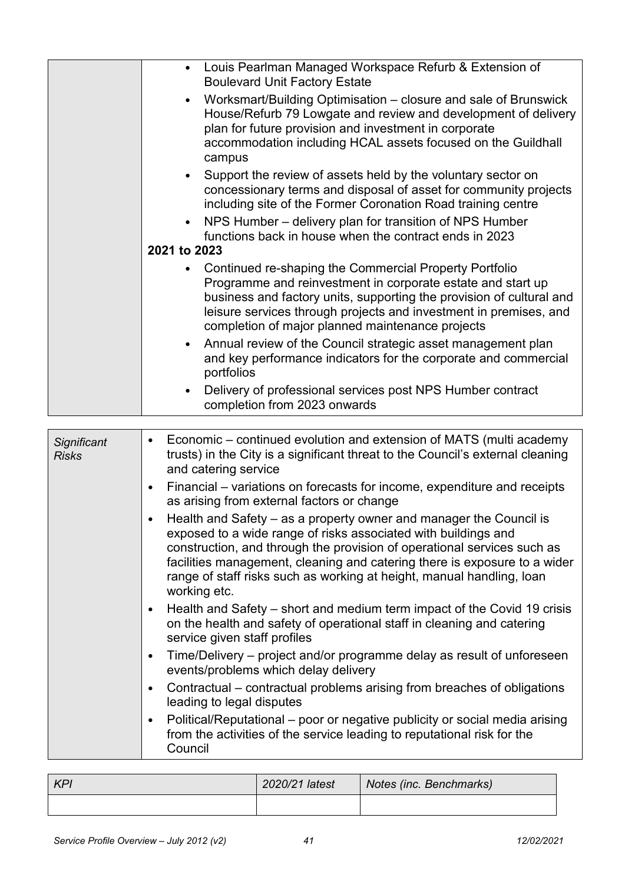|                             | Louis Pearlman Managed Workspace Refurb & Extension of<br>$\bullet$<br><b>Boulevard Unit Factory Estate</b>                                                                                                                                                                                                                                                                                                         |
|-----------------------------|---------------------------------------------------------------------------------------------------------------------------------------------------------------------------------------------------------------------------------------------------------------------------------------------------------------------------------------------------------------------------------------------------------------------|
|                             | Worksmart/Building Optimisation – closure and sale of Brunswick<br>$\bullet$<br>House/Refurb 79 Lowgate and review and development of delivery<br>plan for future provision and investment in corporate<br>accommodation including HCAL assets focused on the Guildhall<br>campus                                                                                                                                   |
|                             | Support the review of assets held by the voluntary sector on<br>$\bullet$<br>concessionary terms and disposal of asset for community projects<br>including site of the Former Coronation Road training centre                                                                                                                                                                                                       |
|                             | NPS Humber – delivery plan for transition of NPS Humber<br>$\bullet$<br>functions back in house when the contract ends in 2023                                                                                                                                                                                                                                                                                      |
|                             | 2021 to 2023<br>Continued re-shaping the Commercial Property Portfolio<br>Programme and reinvestment in corporate estate and start up<br>business and factory units, supporting the provision of cultural and<br>leisure services through projects and investment in premises, and<br>completion of major planned maintenance projects<br>Annual review of the Council strategic asset management plan<br>$\bullet$ |
|                             | and key performance indicators for the corporate and commercial<br>portfolios                                                                                                                                                                                                                                                                                                                                       |
|                             | Delivery of professional services post NPS Humber contract<br>$\bullet$<br>completion from 2023 onwards                                                                                                                                                                                                                                                                                                             |
|                             |                                                                                                                                                                                                                                                                                                                                                                                                                     |
| Significant<br><b>Risks</b> | Economic – continued evolution and extension of MATS (multi academy<br>$\bullet$<br>trusts) in the City is a significant threat to the Council's external cleaning<br>and catering service                                                                                                                                                                                                                          |
|                             | Financial – variations on forecasts for income, expenditure and receipts<br>$\bullet$<br>as arising from external factors or change                                                                                                                                                                                                                                                                                 |
|                             | Health and Safety - as a property owner and manager the Council is<br>$\bullet$<br>exposed to a wide range of risks associated with buildings and<br>construction, and through the provision of operational services such as<br>facilities management, cleaning and catering there is exposure to a wider<br>range of staff risks such as working at height, manual handling, loan<br>working etc.                  |
|                             | Health and Safety – short and medium term impact of the Covid 19 crisis<br>$\bullet$<br>on the health and safety of operational staff in cleaning and catering<br>service given staff profiles                                                                                                                                                                                                                      |
|                             | Time/Delivery – project and/or programme delay as result of unforeseen<br>$\bullet$<br>events/problems which delay delivery                                                                                                                                                                                                                                                                                         |
|                             | Contractual – contractual problems arising from breaches of obligations<br>$\bullet$<br>leading to legal disputes                                                                                                                                                                                                                                                                                                   |
|                             | Political/Reputational - poor or negative publicity or social media arising<br>$\bullet$<br>from the activities of the service leading to reputational risk for the<br>Council                                                                                                                                                                                                                                      |

| KPI | 2020/21 latest | Notes (inc. Benchmarks) |
|-----|----------------|-------------------------|
|     |                |                         |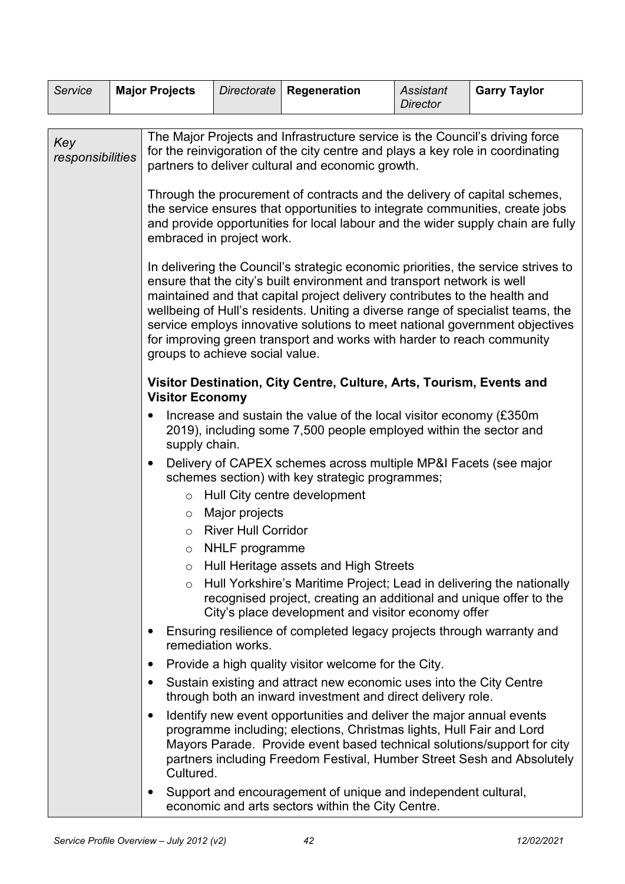| <b>Service</b>          |                                                                                                                                                                                                                                                                           | <b>Major Projects</b>                                                                                                                                                                                                                                                                                                                                                                                                                                                                                                    | <b>Directorate</b>         | Regeneration                                                                                                                                                                                                                                                                                      | <b>Assistant</b><br><b>Director</b> | <b>Garry Taylor</b> |  |
|-------------------------|---------------------------------------------------------------------------------------------------------------------------------------------------------------------------------------------------------------------------------------------------------------------------|--------------------------------------------------------------------------------------------------------------------------------------------------------------------------------------------------------------------------------------------------------------------------------------------------------------------------------------------------------------------------------------------------------------------------------------------------------------------------------------------------------------------------|----------------------------|---------------------------------------------------------------------------------------------------------------------------------------------------------------------------------------------------------------------------------------------------------------------------------------------------|-------------------------------------|---------------------|--|
|                         |                                                                                                                                                                                                                                                                           |                                                                                                                                                                                                                                                                                                                                                                                                                                                                                                                          |                            |                                                                                                                                                                                                                                                                                                   |                                     |                     |  |
| Key<br>responsibilities |                                                                                                                                                                                                                                                                           | The Major Projects and Infrastructure service is the Council's driving force<br>for the reinvigoration of the city centre and plays a key role in coordinating<br>partners to deliver cultural and economic growth.                                                                                                                                                                                                                                                                                                      |                            |                                                                                                                                                                                                                                                                                                   |                                     |                     |  |
|                         | Through the procurement of contracts and the delivery of capital schemes,<br>the service ensures that opportunities to integrate communities, create jobs<br>and provide opportunities for local labour and the wider supply chain are fully<br>embraced in project work. |                                                                                                                                                                                                                                                                                                                                                                                                                                                                                                                          |                            |                                                                                                                                                                                                                                                                                                   |                                     |                     |  |
|                         |                                                                                                                                                                                                                                                                           | In delivering the Council's strategic economic priorities, the service strives to<br>ensure that the city's built environment and transport network is well<br>maintained and that capital project delivery contributes to the health and<br>wellbeing of Hull's residents. Uniting a diverse range of specialist teams, the<br>service employs innovative solutions to meet national government objectives<br>for improving green transport and works with harder to reach community<br>groups to achieve social value. |                            |                                                                                                                                                                                                                                                                                                   |                                     |                     |  |
|                         |                                                                                                                                                                                                                                                                           | <b>Visitor Economy</b>                                                                                                                                                                                                                                                                                                                                                                                                                                                                                                   |                            | Visitor Destination, City Centre, Culture, Arts, Tourism, Events and                                                                                                                                                                                                                              |                                     |                     |  |
|                         |                                                                                                                                                                                                                                                                           | supply chain.                                                                                                                                                                                                                                                                                                                                                                                                                                                                                                            |                            | Increase and sustain the value of the local visitor economy (£350m)<br>2019), including some 7,500 people employed within the sector and                                                                                                                                                          |                                     |                     |  |
|                         |                                                                                                                                                                                                                                                                           | $\bullet$                                                                                                                                                                                                                                                                                                                                                                                                                                                                                                                |                            | Delivery of CAPEX schemes across multiple MP&I Facets (see major<br>schemes section) with key strategic programmes;                                                                                                                                                                               |                                     |                     |  |
|                         |                                                                                                                                                                                                                                                                           |                                                                                                                                                                                                                                                                                                                                                                                                                                                                                                                          |                            | $\circ$ Hull City centre development                                                                                                                                                                                                                                                              |                                     |                     |  |
|                         |                                                                                                                                                                                                                                                                           | $\circ$                                                                                                                                                                                                                                                                                                                                                                                                                                                                                                                  | Major projects             |                                                                                                                                                                                                                                                                                                   |                                     |                     |  |
|                         |                                                                                                                                                                                                                                                                           | $\circ$                                                                                                                                                                                                                                                                                                                                                                                                                                                                                                                  | <b>River Hull Corridor</b> |                                                                                                                                                                                                                                                                                                   |                                     |                     |  |
|                         |                                                                                                                                                                                                                                                                           | $\circ$                                                                                                                                                                                                                                                                                                                                                                                                                                                                                                                  | NHLF programme             |                                                                                                                                                                                                                                                                                                   |                                     |                     |  |
|                         |                                                                                                                                                                                                                                                                           | $\circ$                                                                                                                                                                                                                                                                                                                                                                                                                                                                                                                  |                            | ○ Hull Heritage assets and High Streets<br>Hull Yorkshire's Maritime Project; Lead in delivering the nationally<br>recognised project, creating an additional and unique offer to the<br>City's place development and visitor economy offer                                                       |                                     |                     |  |
|                         |                                                                                                                                                                                                                                                                           | $\bullet$                                                                                                                                                                                                                                                                                                                                                                                                                                                                                                                | remediation works.         | Ensuring resilience of completed legacy projects through warranty and                                                                                                                                                                                                                             |                                     |                     |  |
|                         |                                                                                                                                                                                                                                                                           | $\bullet$                                                                                                                                                                                                                                                                                                                                                                                                                                                                                                                |                            | Provide a high quality visitor welcome for the City.                                                                                                                                                                                                                                              |                                     |                     |  |
|                         |                                                                                                                                                                                                                                                                           | $\bullet$                                                                                                                                                                                                                                                                                                                                                                                                                                                                                                                |                            | Sustain existing and attract new economic uses into the City Centre<br>through both an inward investment and direct delivery role.                                                                                                                                                                |                                     |                     |  |
|                         |                                                                                                                                                                                                                                                                           | $\bullet$<br>Cultured.                                                                                                                                                                                                                                                                                                                                                                                                                                                                                                   |                            | Identify new event opportunities and deliver the major annual events<br>programme including; elections, Christmas lights, Hull Fair and Lord<br>Mayors Parade. Provide event based technical solutions/support for city<br>partners including Freedom Festival, Humber Street Sesh and Absolutely |                                     |                     |  |
|                         |                                                                                                                                                                                                                                                                           | $\bullet$                                                                                                                                                                                                                                                                                                                                                                                                                                                                                                                |                            | Support and encouragement of unique and independent cultural,<br>economic and arts sectors within the City Centre.                                                                                                                                                                                |                                     |                     |  |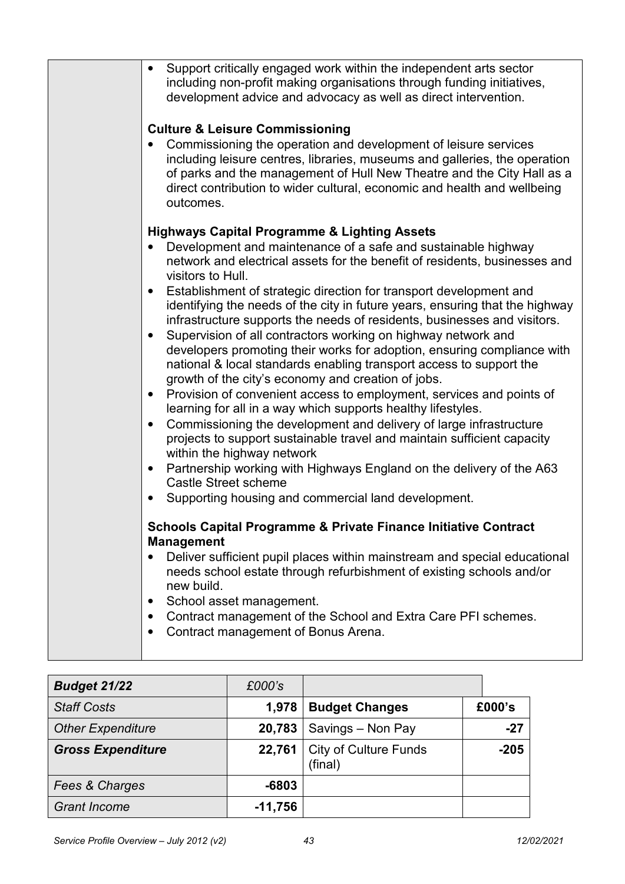| Support critically engaged work within the independent arts sector<br>including non-profit making organisations through funding initiatives,<br>development advice and advocacy as well as direct intervention.                                                                                                  |
|------------------------------------------------------------------------------------------------------------------------------------------------------------------------------------------------------------------------------------------------------------------------------------------------------------------|
| <b>Culture &amp; Leisure Commissioning</b>                                                                                                                                                                                                                                                                       |
| Commissioning the operation and development of leisure services<br>including leisure centres, libraries, museums and galleries, the operation<br>of parks and the management of Hull New Theatre and the City Hall as a<br>direct contribution to wider cultural, economic and health and wellbeing<br>outcomes. |
| <b>Highways Capital Programme &amp; Lighting Assets</b>                                                                                                                                                                                                                                                          |
| Development and maintenance of a safe and sustainable highway<br>network and electrical assets for the benefit of residents, businesses and<br>visitors to Hull.                                                                                                                                                 |
| Establishment of strategic direction for transport development and<br>$\bullet$<br>identifying the needs of the city in future years, ensuring that the highway<br>infrastructure supports the needs of residents, businesses and visitors.                                                                      |
| Supervision of all contractors working on highway network and<br>$\bullet$<br>developers promoting their works for adoption, ensuring compliance with<br>national & local standards enabling transport access to support the<br>growth of the city's economy and creation of jobs.                               |
| Provision of convenient access to employment, services and points of<br>$\bullet$<br>learning for all in a way which supports healthy lifestyles.                                                                                                                                                                |
| Commissioning the development and delivery of large infrastructure<br>$\bullet$<br>projects to support sustainable travel and maintain sufficient capacity<br>within the highway network                                                                                                                         |
| Partnership working with Highways England on the delivery of the A63<br>$\bullet$<br><b>Castle Street scheme</b>                                                                                                                                                                                                 |
| Supporting housing and commercial land development.                                                                                                                                                                                                                                                              |
| <b>Schools Capital Programme &amp; Private Finance Initiative Contract</b><br><b>Management</b>                                                                                                                                                                                                                  |
| Deliver sufficient pupil places within mainstream and special educational<br>$\bullet$<br>needs school estate through refurbishment of existing schools and/or<br>new build.                                                                                                                                     |
| School asset management.<br>$\bullet$                                                                                                                                                                                                                                                                            |
| Contract management of the School and Extra Care PFI schemes.<br>٠<br>Contract management of Bonus Arena.<br>$\bullet$                                                                                                                                                                                           |
|                                                                                                                                                                                                                                                                                                                  |

| <b>Budget 21/22</b>       | £000's    |                                         |        |
|---------------------------|-----------|-----------------------------------------|--------|
| <b>Staff Costs</b>        | 1,978     | <b>Budget Changes</b>                   | £000's |
| <b>Other Expenditure</b>  | 20,783    | Savings - Non Pay                       | $-27$  |
| <b>Gross Expenditure</b>  | 22,761    | <b>City of Culture Funds</b><br>(final) | $-205$ |
| <b>Fees &amp; Charges</b> | $-6803$   |                                         |        |
| <b>Grant Income</b>       | $-11,756$ |                                         |        |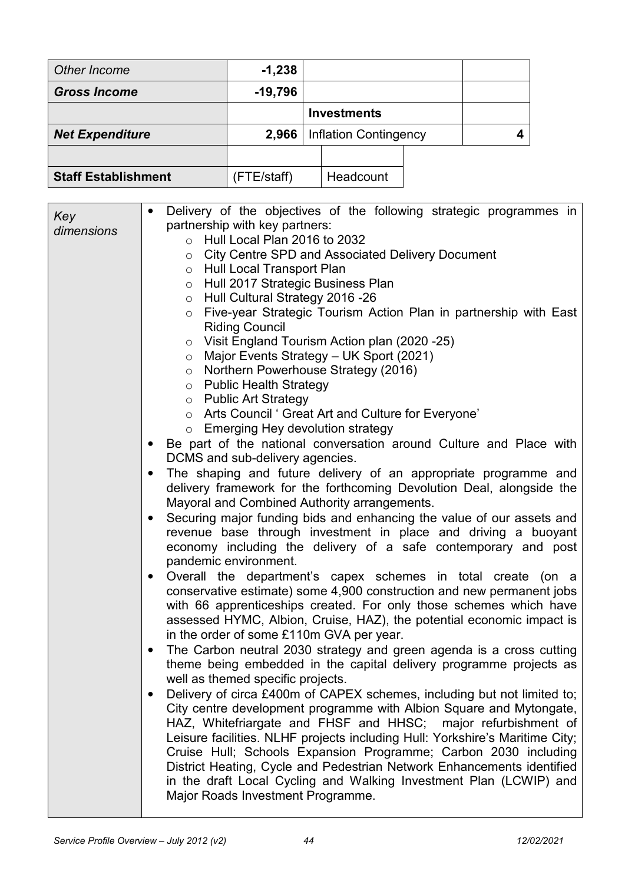| Other Income                    | $-1,238$    |                              |  |
|---------------------------------|-------------|------------------------------|--|
| <b>Gross Income</b>             | $-19,796$   |                              |  |
|                                 |             | <b>Investments</b>           |  |
| <b>Net Expenditure</b><br>2,966 |             | <b>Inflation Contingency</b> |  |
|                                 |             |                              |  |
| <b>Staff Establishment</b>      | (FTE/staff) | Headcount                    |  |

| Key        | Delivery of the objectives of the following strategic programmes in<br>$\bullet$                                                     |
|------------|--------------------------------------------------------------------------------------------------------------------------------------|
| dimensions | partnership with key partners:                                                                                                       |
|            | o Hull Local Plan 2016 to 2032                                                                                                       |
|            | <b>City Centre SPD and Associated Delivery Document</b><br>$\circ$                                                                   |
|            | o Hull Local Transport Plan                                                                                                          |
|            | Hull 2017 Strategic Business Plan<br>$\circ$                                                                                         |
|            | Hull Cultural Strategy 2016 -26<br>$\circ$                                                                                           |
|            | Five-year Strategic Tourism Action Plan in partnership with East<br>$\circ$                                                          |
|            | <b>Riding Council</b>                                                                                                                |
|            | o Visit England Tourism Action plan (2020 -25)                                                                                       |
|            | Major Events Strategy - UK Sport (2021)<br>$\circ$                                                                                   |
|            | Northern Powerhouse Strategy (2016)<br>$\circ$                                                                                       |
|            | $\circ$ Public Health Strategy                                                                                                       |
|            | o Public Art Strategy                                                                                                                |
|            | o Arts Council ' Great Art and Culture for Everyone'                                                                                 |
|            | $\circ$ Emerging Hey devolution strategy                                                                                             |
|            | Be part of the national conversation around Culture and Place with<br>$\bullet$                                                      |
|            | DCMS and sub-delivery agencies.                                                                                                      |
|            | The shaping and future delivery of an appropriate programme and<br>$\bullet$                                                         |
|            | delivery framework for the forthcoming Devolution Deal, alongside the                                                                |
|            | Mayoral and Combined Authority arrangements.                                                                                         |
|            | Securing major funding bids and enhancing the value of our assets and<br>$\bullet$                                                   |
|            | revenue base through investment in place and driving a buoyant                                                                       |
|            | economy including the delivery of a safe contemporary and post                                                                       |
|            | pandemic environment.                                                                                                                |
|            | Overall the department's capex schemes in total create (on a<br>$\bullet$                                                            |
|            | conservative estimate) some 4,900 construction and new permanent jobs                                                                |
|            | with 66 apprenticeships created. For only those schemes which have                                                                   |
|            | assessed HYMC, Albion, Cruise, HAZ), the potential economic impact is                                                                |
|            | in the order of some £110m GVA per year.                                                                                             |
|            | The Carbon neutral 2030 strategy and green agenda is a cross cutting<br>$\bullet$                                                    |
|            | theme being embedded in the capital delivery programme projects as                                                                   |
|            | well as themed specific projects.                                                                                                    |
|            | Delivery of circa £400m of CAPEX schemes, including but not limited to;                                                              |
|            | City centre development programme with Albion Square and Mytongate,<br>HAZ, Whitefriargate and FHSF and HHSC; major refurbishment of |
|            | Leisure facilities. NLHF projects including Hull: Yorkshire's Maritime City;                                                         |
|            | Cruise Hull; Schools Expansion Programme; Carbon 2030 including                                                                      |
|            | District Heating, Cycle and Pedestrian Network Enhancements identified                                                               |
|            | in the draft Local Cycling and Walking Investment Plan (LCWIP) and                                                                   |
|            | Major Roads Investment Programme.                                                                                                    |
|            |                                                                                                                                      |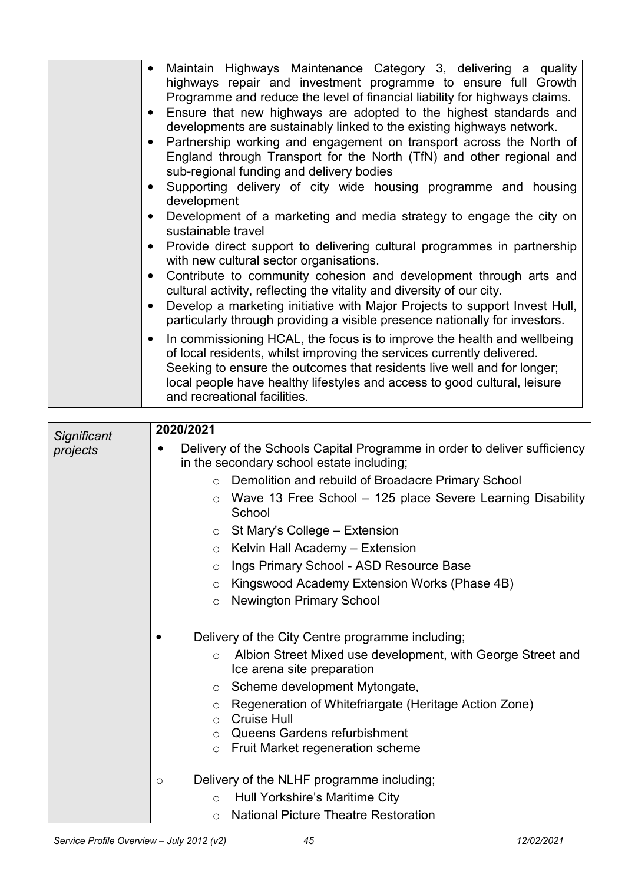| Maintain Highways Maintenance Category 3, delivering a quality<br>$\bullet$<br>highways repair and investment programme to ensure full Growth<br>Programme and reduce the level of financial liability for highways claims.<br>Ensure that new highways are adopted to the highest standards and<br>$\bullet$<br>developments are sustainably linked to the existing highways network.<br>Partnership working and engagement on transport across the North of<br>$\bullet$<br>England through Transport for the North (TfN) and other regional and<br>sub-regional funding and delivery bodies<br>Supporting delivery of city wide housing programme and housing<br>$\bullet$<br>development<br>Development of a marketing and media strategy to engage the city on<br>$\bullet$<br>sustainable travel<br>Provide direct support to delivering cultural programmes in partnership<br>$\bullet$<br>with new cultural sector organisations.<br>Contribute to community cohesion and development through arts and<br>$\bullet$<br>cultural activity, reflecting the vitality and diversity of our city.<br>Develop a marketing initiative with Major Projects to support Invest Hull,<br>$\bullet$<br>particularly through providing a visible presence nationally for investors. |
|--------------------------------------------------------------------------------------------------------------------------------------------------------------------------------------------------------------------------------------------------------------------------------------------------------------------------------------------------------------------------------------------------------------------------------------------------------------------------------------------------------------------------------------------------------------------------------------------------------------------------------------------------------------------------------------------------------------------------------------------------------------------------------------------------------------------------------------------------------------------------------------------------------------------------------------------------------------------------------------------------------------------------------------------------------------------------------------------------------------------------------------------------------------------------------------------------------------------------------------------------------------------------------|
| In commissioning HCAL, the focus is to improve the health and wellbeing<br>$\bullet$<br>of local residents, whilst improving the services currently delivered.<br>Seeking to ensure the outcomes that residents live well and for longer;<br>local people have healthy lifestyles and access to good cultural, leisure<br>and recreational facilities.                                                                                                                                                                                                                                                                                                                                                                                                                                                                                                                                                                                                                                                                                                                                                                                                                                                                                                                         |

| Significant | 2020/2021                                                                                                              |  |  |
|-------------|------------------------------------------------------------------------------------------------------------------------|--|--|
| projects    | Delivery of the Schools Capital Programme in order to deliver sufficiency<br>in the secondary school estate including; |  |  |
|             | Demolition and rebuild of Broadacre Primary School<br>$\circ$                                                          |  |  |
|             | Wave 13 Free School – 125 place Severe Learning Disability<br>$\circ$<br>School                                        |  |  |
|             | $\circ$ St Mary's College – Extension                                                                                  |  |  |
|             | $\circ$ Kelvin Hall Academy – Extension                                                                                |  |  |
|             | Ings Primary School - ASD Resource Base<br>$\circ$                                                                     |  |  |
|             | Kingswood Academy Extension Works (Phase 4B)<br>$\circ$                                                                |  |  |
|             | <b>Newington Primary School</b><br>$\circ$                                                                             |  |  |
|             |                                                                                                                        |  |  |
|             | Delivery of the City Centre programme including;                                                                       |  |  |
|             | Albion Street Mixed use development, with George Street and<br>$\circ$<br>Ice arena site preparation                   |  |  |
|             | $\circ$ Scheme development Mytongate,                                                                                  |  |  |
|             | Regeneration of Whitefriargate (Heritage Action Zone)<br>$\circ$<br><b>Cruise Hull</b><br>$\circ$                      |  |  |
|             | Queens Gardens refurbishment<br>$\circ$                                                                                |  |  |
|             | $\circ$ Fruit Market regeneration scheme                                                                               |  |  |
|             |                                                                                                                        |  |  |
|             | Delivery of the NLHF programme including;<br>$\circ$                                                                   |  |  |
|             | Hull Yorkshire's Maritime City<br>$\circ$                                                                              |  |  |
|             | <b>National Picture Theatre Restoration</b><br>$\circ$                                                                 |  |  |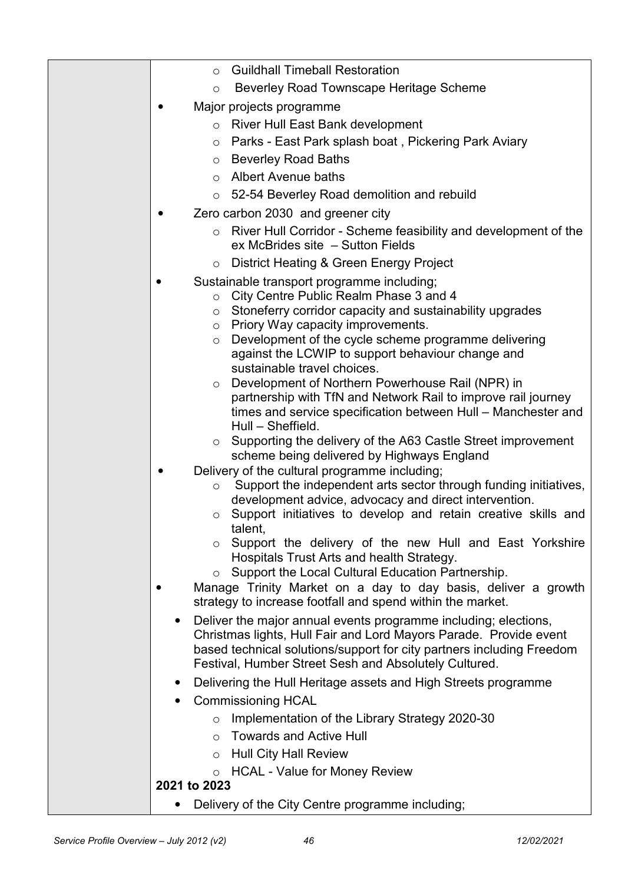|           | <b>Guildhall Timeball Restoration</b><br>$\circ$                                                                               |
|-----------|--------------------------------------------------------------------------------------------------------------------------------|
|           | Beverley Road Townscape Heritage Scheme<br>$\circ$                                                                             |
|           | Major projects programme                                                                                                       |
|           | <b>River Hull East Bank development</b><br>$\circ$                                                                             |
|           | Parks - East Park splash boat, Pickering Park Aviary<br>$\circ$                                                                |
|           | <b>Beverley Road Baths</b><br>$\circ$                                                                                          |
|           | <b>Albert Avenue baths</b><br>$\circ$                                                                                          |
|           | 52-54 Beverley Road demolition and rebuild<br>$\circ$                                                                          |
|           | Zero carbon 2030 and greener city                                                                                              |
|           | River Hull Corridor - Scheme feasibility and development of the<br>$\circ$                                                     |
|           | ex McBrides site - Sutton Fields                                                                                               |
|           | District Heating & Green Energy Project<br>O                                                                                   |
|           | Sustainable transport programme including;                                                                                     |
|           | City Centre Public Realm Phase 3 and 4<br>$\circ$<br>Stoneferry corridor capacity and sustainability upgrades<br>$\circ$       |
|           | Priory Way capacity improvements.<br>$\circ$                                                                                   |
|           | Development of the cycle scheme programme delivering<br>$\circ$                                                                |
|           | against the LCWIP to support behaviour change and                                                                              |
|           | sustainable travel choices.                                                                                                    |
|           | Development of Northern Powerhouse Rail (NPR) in<br>$\circ$<br>partnership with TfN and Network Rail to improve rail journey   |
|           | times and service specification between Hull - Manchester and                                                                  |
|           | Hull - Sheffield.                                                                                                              |
|           | Supporting the delivery of the A63 Castle Street improvement<br>$\circ$                                                        |
|           | scheme being delivered by Highways England                                                                                     |
|           | Delivery of the cultural programme including;<br>Support the independent arts sector through funding initiatives,<br>$\circ$   |
|           | development advice, advocacy and direct intervention.                                                                          |
|           | Support initiatives to develop and retain creative skills and<br>$\circ$                                                       |
|           | talent,                                                                                                                        |
|           | Support the delivery of the new Hull and East Yorkshire<br>$\circ$<br>Hospitals Trust Arts and health Strategy.                |
|           | o Support the Local Cultural Education Partnership.                                                                            |
|           | Manage Trinity Market on a day to day basis, deliver a growth                                                                  |
|           | strategy to increase footfall and spend within the market.                                                                     |
| $\bullet$ | Deliver the major annual events programme including; elections,                                                                |
|           | Christmas lights, Hull Fair and Lord Mayors Parade. Provide event                                                              |
|           | based technical solutions/support for city partners including Freedom<br>Festival, Humber Street Sesh and Absolutely Cultured. |
| $\bullet$ | Delivering the Hull Heritage assets and High Streets programme                                                                 |
|           | <b>Commissioning HCAL</b>                                                                                                      |
|           | Implementation of the Library Strategy 2020-30<br>$\circ$                                                                      |
|           | <b>Towards and Active Hull</b><br>$\circ$                                                                                      |
|           | <b>Hull City Hall Review</b><br>$\circ$                                                                                        |
|           | <b>HCAL - Value for Money Review</b><br>$\circ$                                                                                |
|           | 2021 to 2023                                                                                                                   |
|           | Delivery of the City Centre programme including;                                                                               |
|           |                                                                                                                                |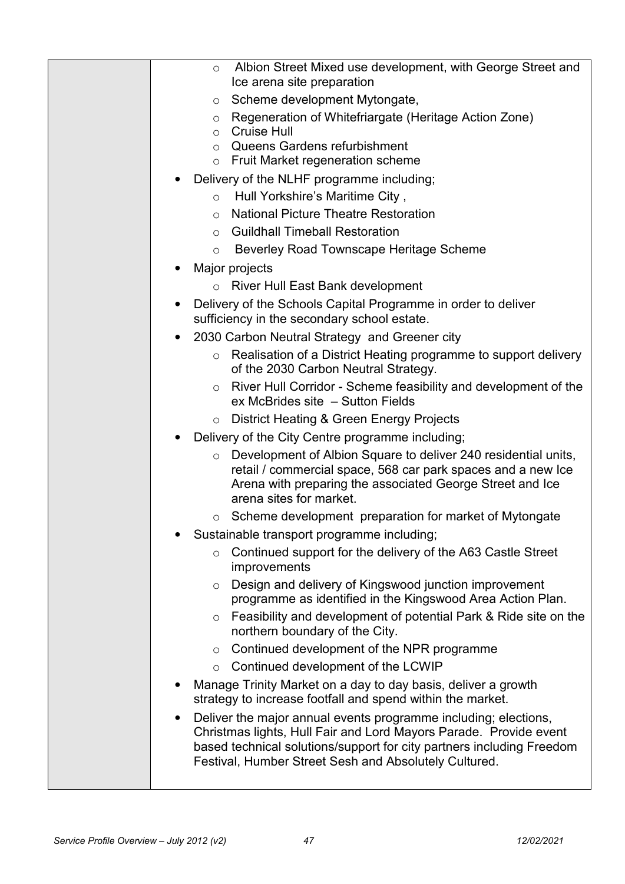| Albion Street Mixed use development, with George Street and<br>$\circ$<br>Ice arena site preparation                                                                                                                                                                                |
|-------------------------------------------------------------------------------------------------------------------------------------------------------------------------------------------------------------------------------------------------------------------------------------|
| Scheme development Mytongate,<br>O                                                                                                                                                                                                                                                  |
| Regeneration of Whitefriargate (Heritage Action Zone)<br>O                                                                                                                                                                                                                          |
| <b>Cruise Hull</b><br>$\circ$                                                                                                                                                                                                                                                       |
| Queens Gardens refurbishment<br>$\circ$                                                                                                                                                                                                                                             |
| Fruit Market regeneration scheme<br>$\circ$                                                                                                                                                                                                                                         |
| Delivery of the NLHF programme including;                                                                                                                                                                                                                                           |
| Hull Yorkshire's Maritime City,<br>$\circ$                                                                                                                                                                                                                                          |
| <b>National Picture Theatre Restoration</b><br>$\circ$                                                                                                                                                                                                                              |
| <b>Guildhall Timeball Restoration</b><br>$\bigcirc$                                                                                                                                                                                                                                 |
| Beverley Road Townscape Heritage Scheme<br>$\circ$                                                                                                                                                                                                                                  |
| Major projects                                                                                                                                                                                                                                                                      |
| <b>River Hull East Bank development</b><br>$\circ$                                                                                                                                                                                                                                  |
| Delivery of the Schools Capital Programme in order to deliver<br>sufficiency in the secondary school estate.                                                                                                                                                                        |
| 2030 Carbon Neutral Strategy and Greener city                                                                                                                                                                                                                                       |
| Realisation of a District Heating programme to support delivery<br>$\circ$<br>of the 2030 Carbon Neutral Strategy.                                                                                                                                                                  |
| River Hull Corridor - Scheme feasibility and development of the<br>$\circ$<br>ex McBrides site - Sutton Fields                                                                                                                                                                      |
| ○ District Heating & Green Energy Projects                                                                                                                                                                                                                                          |
| Delivery of the City Centre programme including;                                                                                                                                                                                                                                    |
| Development of Albion Square to deliver 240 residential units,<br>$\circ$<br>retail / commercial space, 568 car park spaces and a new Ice<br>Arena with preparing the associated George Street and Ice<br>arena sites for market.                                                   |
| Scheme development preparation for market of Mytongate<br>$\circ$                                                                                                                                                                                                                   |
| Sustainable transport programme including;                                                                                                                                                                                                                                          |
| Continued support for the delivery of the A63 Castle Street<br>$\circ$<br>improvements                                                                                                                                                                                              |
| Design and delivery of Kingswood junction improvement<br>O<br>programme as identified in the Kingswood Area Action Plan.                                                                                                                                                            |
| Feasibility and development of potential Park & Ride site on the<br>$\circ$<br>northern boundary of the City.                                                                                                                                                                       |
| Continued development of the NPR programme<br>O                                                                                                                                                                                                                                     |
| Continued development of the LCWIP<br>$\circ$                                                                                                                                                                                                                                       |
| Manage Trinity Market on a day to day basis, deliver a growth<br>strategy to increase footfall and spend within the market.                                                                                                                                                         |
| Deliver the major annual events programme including; elections,<br>$\bullet$<br>Christmas lights, Hull Fair and Lord Mayors Parade. Provide event<br>based technical solutions/support for city partners including Freedom<br>Festival, Humber Street Sesh and Absolutely Cultured. |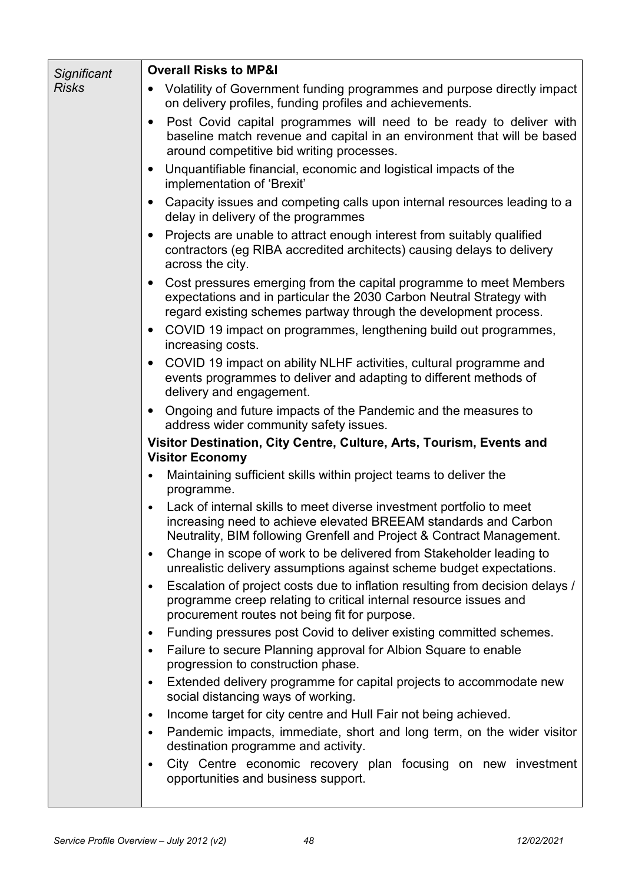| Significant  | <b>Overall Risks to MP&amp;I</b>                                                                                                                                                                                            |  |  |  |  |
|--------------|-----------------------------------------------------------------------------------------------------------------------------------------------------------------------------------------------------------------------------|--|--|--|--|
| <b>Risks</b> | Volatility of Government funding programmes and purpose directly impact<br>$\bullet$<br>on delivery profiles, funding profiles and achievements.                                                                            |  |  |  |  |
|              | Post Covid capital programmes will need to be ready to deliver with<br>$\bullet$<br>baseline match revenue and capital in an environment that will be based<br>around competitive bid writing processes.                    |  |  |  |  |
|              | Unquantifiable financial, economic and logistical impacts of the<br>$\bullet$<br>implementation of 'Brexit'                                                                                                                 |  |  |  |  |
|              | Capacity issues and competing calls upon internal resources leading to a<br>$\bullet$<br>delay in delivery of the programmes                                                                                                |  |  |  |  |
|              | Projects are unable to attract enough interest from suitably qualified<br>$\bullet$<br>contractors (eg RIBA accredited architects) causing delays to delivery<br>across the city.                                           |  |  |  |  |
|              | Cost pressures emerging from the capital programme to meet Members<br>$\bullet$<br>expectations and in particular the 2030 Carbon Neutral Strategy with<br>regard existing schemes partway through the development process. |  |  |  |  |
|              | COVID 19 impact on programmes, lengthening build out programmes,<br>$\bullet$<br>increasing costs.                                                                                                                          |  |  |  |  |
|              | COVID 19 impact on ability NLHF activities, cultural programme and<br>$\bullet$<br>events programmes to deliver and adapting to different methods of<br>delivery and engagement.                                            |  |  |  |  |
|              | Ongoing and future impacts of the Pandemic and the measures to<br>$\bullet$<br>address wider community safety issues.                                                                                                       |  |  |  |  |
|              | Visitor Destination, City Centre, Culture, Arts, Tourism, Events and<br><b>Visitor Economy</b>                                                                                                                              |  |  |  |  |
|              | Maintaining sufficient skills within project teams to deliver the<br>$\bullet$<br>programme.                                                                                                                                |  |  |  |  |
|              | Lack of internal skills to meet diverse investment portfolio to meet<br>increasing need to achieve elevated BREEAM standards and Carbon<br>Neutrality, BIM following Grenfell and Project & Contract Management.            |  |  |  |  |
|              | Change in scope of work to be delivered from Stakeholder leading to<br>$\bullet$<br>unrealistic delivery assumptions against scheme budget expectations.                                                                    |  |  |  |  |
|              | Escalation of project costs due to inflation resulting from decision delays /<br>$\bullet$<br>programme creep relating to critical internal resource issues and<br>procurement routes not being fit for purpose.            |  |  |  |  |
|              | Funding pressures post Covid to deliver existing committed schemes.<br>$\bullet$                                                                                                                                            |  |  |  |  |
|              | Failure to secure Planning approval for Albion Square to enable<br>$\bullet$<br>progression to construction phase.                                                                                                          |  |  |  |  |
|              | Extended delivery programme for capital projects to accommodate new<br>$\bullet$<br>social distancing ways of working.                                                                                                      |  |  |  |  |
|              | Income target for city centre and Hull Fair not being achieved.<br>$\bullet$                                                                                                                                                |  |  |  |  |
|              | Pandemic impacts, immediate, short and long term, on the wider visitor<br>$\bullet$<br>destination programme and activity.                                                                                                  |  |  |  |  |
|              | City Centre economic recovery plan focusing on new investment<br>$\bullet$<br>opportunities and business support.                                                                                                           |  |  |  |  |